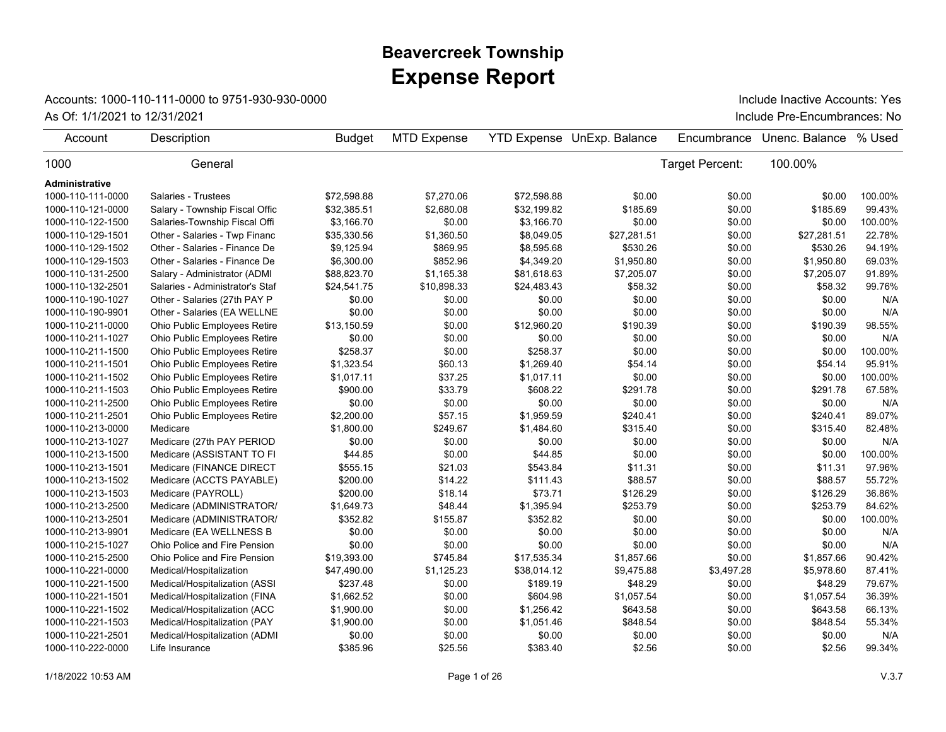## **Expense Report Beavercreek Township**

## Accounts: 1000-110-111-0000 to 9751-930-930-0000

As Of: 1/1/2021 to 12/31/2021 **As Of: 1/1/2021** to 12/31/2021 **Include Pre-Encumbrances:** No Include Inactive Accounts: Yes

| Account           | Description                     | <b>Budget</b> | <b>MTD Expense</b> |             | <b>YTD Expense UnExp. Balance</b> | Encumbrance     | Unenc. Balance | % Used  |
|-------------------|---------------------------------|---------------|--------------------|-------------|-----------------------------------|-----------------|----------------|---------|
| 1000              | General                         |               |                    |             |                                   | Target Percent: | 100.00%        |         |
| Administrative    |                                 |               |                    |             |                                   |                 |                |         |
| 1000-110-111-0000 | Salaries - Trustees             | \$72,598.88   | \$7,270.06         | \$72,598.88 | \$0.00                            | \$0.00          | \$0.00         | 100.00% |
| 1000-110-121-0000 | Salary - Township Fiscal Offic  | \$32,385.51   | \$2,680.08         | \$32,199.82 | \$185.69                          | \$0.00          | \$185.69       | 99.43%  |
| 1000-110-122-1500 | Salaries-Township Fiscal Offi   | \$3,166.70    | \$0.00             | \$3,166.70  | \$0.00                            | \$0.00          | \$0.00         | 100.00% |
| 1000-110-129-1501 | Other - Salaries - Twp Financ   | \$35,330.56   | \$1,360.50         | \$8,049.05  | \$27,281.51                       | \$0.00          | \$27,281.51    | 22.78%  |
| 1000-110-129-1502 | Other - Salaries - Finance De   | \$9,125.94    | \$869.95           | \$8,595.68  | \$530.26                          | \$0.00          | \$530.26       | 94.19%  |
| 1000-110-129-1503 | Other - Salaries - Finance De   | \$6,300.00    | \$852.96           | \$4,349.20  | \$1,950.80                        | \$0.00          | \$1,950.80     | 69.03%  |
| 1000-110-131-2500 | Salary - Administrator (ADMI    | \$88,823.70   | \$1,165.38         | \$81,618.63 | \$7,205.07                        | \$0.00          | \$7,205.07     | 91.89%  |
| 1000-110-132-2501 | Salaries - Administrator's Staf | \$24,541.75   | \$10,898.33        | \$24,483.43 | \$58.32                           | \$0.00          | \$58.32        | 99.76%  |
| 1000-110-190-1027 | Other - Salaries (27th PAY P    | \$0.00        | \$0.00             | \$0.00      | \$0.00                            | \$0.00          | \$0.00         | N/A     |
| 1000-110-190-9901 | Other - Salaries (EA WELLNE     | \$0.00        | \$0.00             | \$0.00      | \$0.00                            | \$0.00          | \$0.00         | N/A     |
| 1000-110-211-0000 | Ohio Public Employees Retire    | \$13,150.59   | \$0.00             | \$12,960.20 | \$190.39                          | \$0.00          | \$190.39       | 98.55%  |
| 1000-110-211-1027 | Ohio Public Employees Retire    | \$0.00        | \$0.00             | \$0.00      | \$0.00                            | \$0.00          | \$0.00         | N/A     |
| 1000-110-211-1500 | Ohio Public Employees Retire    | \$258.37      | \$0.00             | \$258.37    | \$0.00                            | \$0.00          | \$0.00         | 100.00% |
| 1000-110-211-1501 | Ohio Public Employees Retire    | \$1,323.54    | \$60.13            | \$1,269.40  | \$54.14                           | \$0.00          | \$54.14        | 95.91%  |
| 1000-110-211-1502 | Ohio Public Employees Retire    | \$1,017.11    | \$37.25            | \$1,017.11  | \$0.00                            | \$0.00          | \$0.00         | 100.00% |
| 1000-110-211-1503 | Ohio Public Employees Retire    | \$900.00      | \$33.79            | \$608.22    | \$291.78                          | \$0.00          | \$291.78       | 67.58%  |
| 1000-110-211-2500 | Ohio Public Employees Retire    | \$0.00        | \$0.00             | \$0.00      | \$0.00                            | \$0.00          | \$0.00         | N/A     |
| 1000-110-211-2501 | Ohio Public Employees Retire    | \$2,200.00    | \$57.15            | \$1,959.59  | \$240.41                          | \$0.00          | \$240.41       | 89.07%  |
| 1000-110-213-0000 | Medicare                        | \$1,800.00    | \$249.67           | \$1,484.60  | \$315.40                          | \$0.00          | \$315.40       | 82.48%  |
| 1000-110-213-1027 | Medicare (27th PAY PERIOD       | \$0.00        | \$0.00             | \$0.00      | \$0.00                            | \$0.00          | \$0.00         | N/A     |
| 1000-110-213-1500 | Medicare (ASSISTANT TO FI       | \$44.85       | \$0.00             | \$44.85     | \$0.00                            | \$0.00          | \$0.00         | 100.00% |
| 1000-110-213-1501 | Medicare (FINANCE DIRECT        | \$555.15      | \$21.03            | \$543.84    | \$11.31                           | \$0.00          | \$11.31        | 97.96%  |
| 1000-110-213-1502 | Medicare (ACCTS PAYABLE)        | \$200.00      | \$14.22            | \$111.43    | \$88.57                           | \$0.00          | \$88.57        | 55.72%  |
| 1000-110-213-1503 | Medicare (PAYROLL)              | \$200.00      | \$18.14            | \$73.71     | \$126.29                          | \$0.00          | \$126.29       | 36.86%  |
| 1000-110-213-2500 | Medicare (ADMINISTRATOR/        | \$1,649.73    | \$48.44            | \$1,395.94  | \$253.79                          | \$0.00          | \$253.79       | 84.62%  |
| 1000-110-213-2501 | Medicare (ADMINISTRATOR/        | \$352.82      | \$155.87           | \$352.82    | \$0.00                            | \$0.00          | \$0.00         | 100.00% |
| 1000-110-213-9901 | Medicare (EA WELLNESS B         | \$0.00        | \$0.00             | \$0.00      | \$0.00                            | \$0.00          | \$0.00         | N/A     |
| 1000-110-215-1027 | Ohio Police and Fire Pension    | \$0.00        | \$0.00             | \$0.00      | \$0.00                            | \$0.00          | \$0.00         | N/A     |
| 1000-110-215-2500 | Ohio Police and Fire Pension    | \$19,393.00   | \$745.84           | \$17,535.34 | \$1,857.66                        | \$0.00          | \$1,857.66     | 90.42%  |
| 1000-110-221-0000 | Medical/Hospitalization         | \$47,490.00   | \$1,125.23         | \$38,014.12 | \$9,475.88                        | \$3,497.28      | \$5,978.60     | 87.41%  |
| 1000-110-221-1500 | Medical/Hospitalization (ASSI   | \$237.48      | \$0.00             | \$189.19    | \$48.29                           | \$0.00          | \$48.29        | 79.67%  |
| 1000-110-221-1501 | Medical/Hospitalization (FINA   | \$1,662.52    | \$0.00             | \$604.98    | \$1,057.54                        | \$0.00          | \$1,057.54     | 36.39%  |
| 1000-110-221-1502 | Medical/Hospitalization (ACC    | \$1,900.00    | \$0.00             | \$1,256.42  | \$643.58                          | \$0.00          | \$643.58       | 66.13%  |
| 1000-110-221-1503 | Medical/Hospitalization (PAY    | \$1,900.00    | \$0.00             | \$1,051.46  | \$848.54                          | \$0.00          | \$848.54       | 55.34%  |
| 1000-110-221-2501 | Medical/Hospitalization (ADMI   | \$0.00        | \$0.00             | \$0.00      | \$0.00                            | \$0.00          | \$0.00         | N/A     |
| 1000-110-222-0000 | Life Insurance                  | \$385.96      | \$25.56            | \$383.40    | \$2.56                            | \$0.00          | \$2.56         | 99.34%  |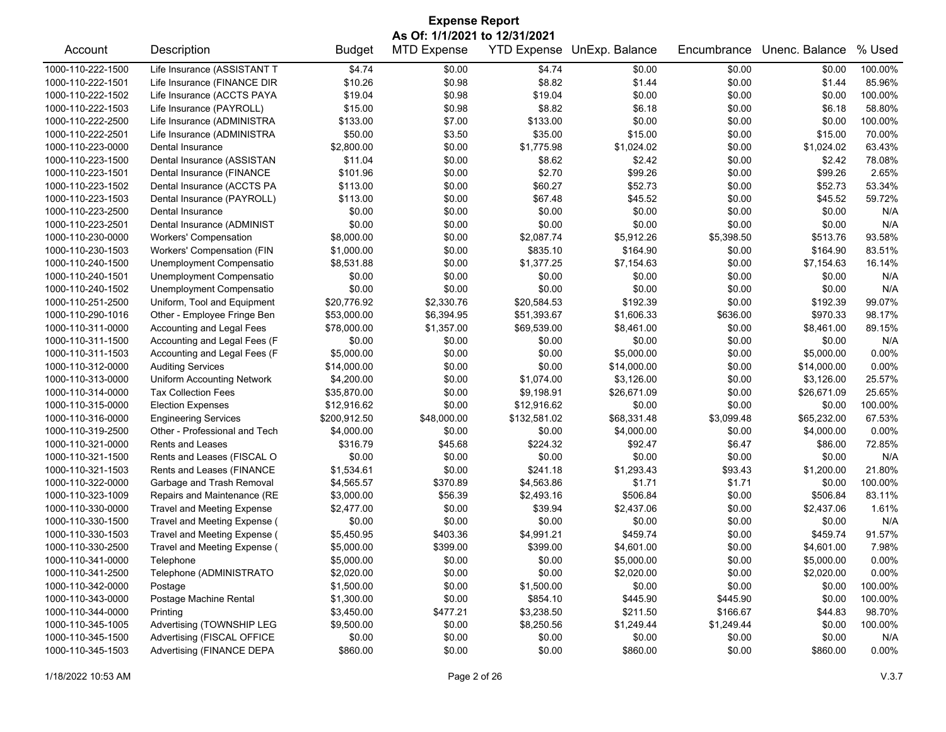| <b>Expense Report</b>                  |                                                         |                          |                    |                        |                        |                  |                    |                 |  |
|----------------------------------------|---------------------------------------------------------|--------------------------|--------------------|------------------------|------------------------|------------------|--------------------|-----------------|--|
| As Of: 1/1/2021 to 12/31/2021          |                                                         |                          |                    |                        |                        |                  |                    |                 |  |
| Account                                | Description                                             | <b>Budget</b>            | <b>MTD Expense</b> | <b>YTD Expense</b>     | UnExp. Balance         | Encumbrance      | Unenc. Balance     | % Used          |  |
| 1000-110-222-1500                      | Life Insurance (ASSISTANT T                             | \$4.74                   | \$0.00             | \$4.74                 | \$0.00                 | \$0.00           | \$0.00             | 100.00%         |  |
| 1000-110-222-1501                      | Life Insurance (FINANCE DIR                             | \$10.26                  | \$0.98             | \$8.82                 | \$1.44                 | \$0.00           | \$1.44             | 85.96%          |  |
| 1000-110-222-1502                      | Life Insurance (ACCTS PAYA                              | \$19.04                  | \$0.98             | \$19.04                | \$0.00                 | \$0.00           | \$0.00             | 100.00%         |  |
| 1000-110-222-1503                      | Life Insurance (PAYROLL)                                | \$15.00                  | \$0.98             | \$8.82                 | \$6.18                 | \$0.00           | \$6.18             | 58.80%          |  |
| 1000-110-222-2500                      | Life Insurance (ADMINISTRA                              | \$133.00                 | \$7.00             | \$133.00               | \$0.00                 | \$0.00           | \$0.00             | 100.00%         |  |
| 1000-110-222-2501                      | Life Insurance (ADMINISTRA                              | \$50.00                  | \$3.50             | \$35.00                | \$15.00                | \$0.00           | \$15.00            | 70.00%          |  |
| 1000-110-223-0000                      | Dental Insurance                                        | \$2,800.00               | \$0.00             | \$1,775.98             | \$1,024.02             | \$0.00           | \$1,024.02         | 63.43%          |  |
| 1000-110-223-1500                      | Dental Insurance (ASSISTAN                              | \$11.04                  | \$0.00             | \$8.62                 | \$2.42                 | \$0.00           | \$2.42             | 78.08%          |  |
| 1000-110-223-1501                      | Dental Insurance (FINANCE                               | \$101.96                 | \$0.00             | \$2.70                 | \$99.26                | \$0.00           | \$99.26            | 2.65%           |  |
| 1000-110-223-1502                      | Dental Insurance (ACCTS PA                              | \$113.00                 | \$0.00             | \$60.27                | \$52.73                | \$0.00           | \$52.73            | 53.34%          |  |
| 1000-110-223-1503                      | Dental Insurance (PAYROLL)                              | \$113.00                 | \$0.00             | \$67.48                | \$45.52                | \$0.00           | \$45.52            | 59.72%          |  |
| 1000-110-223-2500                      | Dental Insurance                                        | \$0.00                   | \$0.00             | \$0.00                 | \$0.00                 | \$0.00           | \$0.00             | N/A             |  |
| 1000-110-223-2501                      | Dental Insurance (ADMINIST                              | \$0.00                   | \$0.00             | \$0.00                 | \$0.00                 | \$0.00           | \$0.00             | N/A             |  |
| 1000-110-230-0000                      | <b>Workers' Compensation</b>                            | \$8,000.00               | \$0.00             | \$2,087.74             | \$5,912.26             | \$5,398.50       | \$513.76           | 93.58%          |  |
| 1000-110-230-1503                      | Workers' Compensation (FIN                              | \$1,000.00               | \$0.00             | \$835.10               | \$164.90               | \$0.00           | \$164.90           | 83.51%          |  |
| 1000-110-240-1500                      | Unemployment Compensatio                                | \$8,531.88               | \$0.00             | \$1,377.25             | \$7,154.63             | \$0.00           | \$7,154.63         | 16.14%          |  |
| 1000-110-240-1501                      | Unemployment Compensatio                                | \$0.00                   | \$0.00             | \$0.00                 | \$0.00                 | \$0.00           | \$0.00             | N/A             |  |
| 1000-110-240-1502                      | Unemployment Compensatio                                | \$0.00                   | \$0.00             | \$0.00                 | \$0.00                 | \$0.00           | \$0.00             | N/A             |  |
| 1000-110-251-2500                      | Uniform, Tool and Equipment                             | \$20,776.92              | \$2,330.76         | \$20,584.53            | \$192.39               | \$0.00           | \$192.39           | 99.07%          |  |
| 1000-110-290-1016                      | Other - Employee Fringe Ben                             | \$53,000.00              | \$6,394.95         | \$51,393.67            | \$1,606.33             | \$636.00         | \$970.33           | 98.17%          |  |
| 1000-110-311-0000                      | Accounting and Legal Fees                               | \$78,000.00              | \$1,357.00         | \$69,539.00            | \$8,461.00             | \$0.00           | \$8,461.00         | 89.15%          |  |
| 1000-110-311-1500                      | Accounting and Legal Fees (F                            | \$0.00                   | \$0.00             | \$0.00                 | \$0.00                 | \$0.00           | \$0.00             | N/A             |  |
| 1000-110-311-1503                      | Accounting and Legal Fees (F                            | \$5,000.00               | \$0.00             | \$0.00                 | \$5,000.00             | \$0.00           | \$5,000.00         | 0.00%           |  |
| 1000-110-312-0000                      | <b>Auditing Services</b>                                | \$14,000.00              | \$0.00             | \$0.00                 | \$14,000.00            | \$0.00           | \$14,000.00        | 0.00%           |  |
| 1000-110-313-0000                      | <b>Uniform Accounting Network</b>                       | \$4,200.00               | \$0.00             | \$1,074.00             | \$3,126.00             | \$0.00           | \$3,126.00         | 25.57%          |  |
| 1000-110-314-0000                      | <b>Tax Collection Fees</b>                              | \$35,870.00              | \$0.00             | \$9,198.91             | \$26,671.09            | \$0.00           | \$26,671.09        | 25.65%          |  |
| 1000-110-315-0000                      | <b>Election Expenses</b>                                | \$12,916.62              | \$0.00             | \$12,916.62            | \$0.00                 | \$0.00           | \$0.00             | 100.00%         |  |
| 1000-110-316-0000                      | <b>Engineering Services</b>                             | \$200,912.50             | \$48,000.00        | \$132,581.02           | \$68,331.48            | \$3,099.48       | \$65,232.00        | 67.53%          |  |
| 1000-110-319-2500                      | Other - Professional and Tech                           | \$4,000.00               | \$0.00             | \$0.00                 | \$4,000.00             | \$0.00           | \$4,000.00         | $0.00\%$        |  |
| 1000-110-321-0000                      | <b>Rents and Leases</b>                                 | \$316.79                 | \$45.68            | \$224.32               | \$92.47                | \$6.47           | \$86.00            | 72.85%          |  |
| 1000-110-321-1500                      | Rents and Leases (FISCAL O                              | \$0.00                   | \$0.00             | \$0.00                 | \$0.00                 | \$0.00           | \$0.00             | N/A             |  |
| 1000-110-321-1503                      | Rents and Leases (FINANCE                               | \$1,534.61               | \$0.00             | \$241.18               | \$1,293.43             | \$93.43          | \$1,200.00         | 21.80%          |  |
| 1000-110-322-0000                      | Garbage and Trash Removal                               | \$4,565.57               | \$370.89           | \$4,563.86             | \$1.71                 | \$1.71           | \$0.00             | 100.00%         |  |
| 1000-110-323-1009                      | Repairs and Maintenance (RE                             | \$3,000.00               | \$56.39            | \$2,493.16             | \$506.84               | \$0.00           | \$506.84           | 83.11%          |  |
| 1000-110-330-0000                      | <b>Travel and Meeting Expense</b>                       | \$2,477.00               | \$0.00             | \$39.94                | \$2,437.06             | \$0.00           | \$2,437.06         | 1.61%           |  |
| 1000-110-330-1500                      | Travel and Meeting Expense (                            | \$0.00                   | \$0.00             | \$0.00                 | \$0.00                 | \$0.00           | \$0.00             | N/A             |  |
| 1000-110-330-1503                      | Travel and Meeting Expense (                            | \$5,450.95               | \$403.36           | \$4,991.21             | \$459.74               | \$0.00           | \$459.74           | 91.57%          |  |
| 1000-110-330-2500                      | Travel and Meeting Expense (                            | \$5,000.00               | \$399.00           | \$399.00               | \$4,601.00             | \$0.00           | \$4,601.00         | 7.98%           |  |
| 1000-110-341-0000                      | Telephone                                               | \$5,000.00               | \$0.00             | \$0.00                 | \$5,000.00             | \$0.00           | \$5,000.00         | 0.00%           |  |
| 1000-110-341-2500                      | Telephone (ADMINISTRATO                                 | \$2,020.00               | \$0.00             | \$0.00                 | \$2,020.00             | \$0.00           | \$2,020.00         | $0.00\%$        |  |
| 1000-110-342-0000                      | Postage                                                 | \$1,500.00               | \$0.00             |                        | \$0.00                 | \$0.00           | \$0.00             | 100.00%         |  |
| 1000-110-343-0000                      | Postage Machine Rental                                  | \$1,300.00               | \$0.00             | \$1,500.00<br>\$854.10 | \$445.90               | \$445.90         | \$0.00             | 100.00%         |  |
|                                        |                                                         |                          |                    |                        |                        |                  |                    | 98.70%          |  |
| 1000-110-344-0000<br>1000-110-345-1005 | Printing                                                | \$3,450.00<br>\$9,500.00 | \$477.21           | \$3,238.50             | \$211.50<br>\$1,249.44 | \$166.67         | \$44.83<br>\$0.00  | 100.00%         |  |
| 1000-110-345-1500                      | Advertising (TOWNSHIP LEG                               |                          | \$0.00             | \$8,250.56             |                        | \$1,249.44       |                    |                 |  |
| 1000-110-345-1503                      | Advertising (FISCAL OFFICE<br>Advertising (FINANCE DEPA | \$0.00<br>\$860.00       | \$0.00<br>\$0.00   | \$0.00<br>\$0.00       | \$0.00<br>\$860.00     | \$0.00<br>\$0.00 | \$0.00<br>\$860.00 | N/A<br>$0.00\%$ |  |
|                                        |                                                         |                          |                    |                        |                        |                  |                    |                 |  |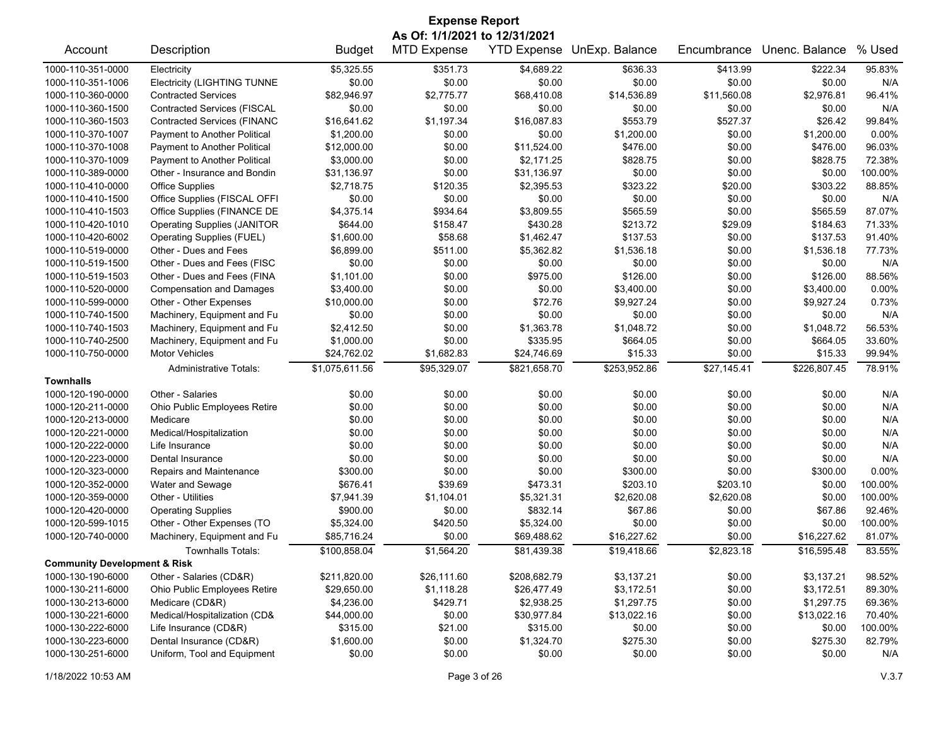| <b>Expense Report</b>                   |                                                       |                             |                           |                    |                    |             |                          |                  |  |
|-----------------------------------------|-------------------------------------------------------|-----------------------------|---------------------------|--------------------|--------------------|-------------|--------------------------|------------------|--|
| As Of: 1/1/2021 to 12/31/2021           |                                                       |                             |                           |                    |                    |             |                          |                  |  |
| Account                                 | Description                                           | <b>Budget</b>               | <b>MTD Expense</b>        | <b>YTD Expense</b> | UnExp. Balance     | Encumbrance | Unenc. Balance           | % Used           |  |
| 1000-110-351-0000                       | Electricity                                           | \$5,325.55                  | \$351.73                  | \$4,689.22         | \$636.33           | \$413.99    | \$222.34                 | 95.83%           |  |
| 1000-110-351-1006                       | <b>Electricity (LIGHTING TUNNE</b>                    | \$0.00                      | \$0.00                    | \$0.00             | \$0.00             | \$0.00      | \$0.00                   | N/A              |  |
| 1000-110-360-0000                       | <b>Contracted Services</b>                            | \$82,946.97                 | \$2,775.77                | \$68,410.08        | \$14,536.89        | \$11,560.08 | \$2,976.81               | 96.41%           |  |
| 1000-110-360-1500                       | <b>Contracted Services (FISCAL</b>                    | \$0.00                      | \$0.00                    | \$0.00             | \$0.00             | \$0.00      | \$0.00                   | N/A              |  |
| 1000-110-360-1503                       | <b>Contracted Services (FINANC</b>                    | \$16,641.62                 | \$1,197.34                | \$16,087.83        | \$553.79           | \$527.37    | \$26.42                  | 99.84%           |  |
| 1000-110-370-1007                       | Payment to Another Political                          | \$1,200.00                  | \$0.00                    | \$0.00             | \$1,200.00         | \$0.00      | \$1,200.00               | 0.00%            |  |
| 1000-110-370-1008                       | Payment to Another Political                          | \$12,000.00                 | \$0.00                    | \$11,524.00        | \$476.00           | \$0.00      | \$476.00                 | 96.03%           |  |
| 1000-110-370-1009                       | Payment to Another Political                          | \$3,000.00                  | \$0.00                    | \$2,171.25         | \$828.75           | \$0.00      | \$828.75                 | 72.38%           |  |
| 1000-110-389-0000                       | Other - Insurance and Bondin                          | \$31,136.97                 | \$0.00                    | \$31,136.97        | \$0.00             | \$0.00      | \$0.00                   | 100.00%          |  |
| 1000-110-410-0000                       | <b>Office Supplies</b>                                | \$2,718.75                  | \$120.35                  | \$2,395.53         | \$323.22           | \$20.00     | \$303.22                 | 88.85%           |  |
| 1000-110-410-1500                       | Office Supplies (FISCAL OFFI                          | \$0.00                      | \$0.00                    | \$0.00             | \$0.00             | \$0.00      | \$0.00                   | N/A              |  |
| 1000-110-410-1503                       | Office Supplies (FINANCE DE                           | \$4,375.14                  | \$934.64                  | \$3,809.55         | \$565.59           | \$0.00      | \$565.59                 | 87.07%           |  |
| 1000-110-420-1010                       | <b>Operating Supplies (JANITOR</b>                    | \$644.00                    | \$158.47                  | \$430.28           | \$213.72           | \$29.09     | \$184.63                 | 71.33%           |  |
| 1000-110-420-6002                       | Operating Supplies (FUEL)                             | \$1,600.00                  | \$58.68                   | \$1,462.47         | \$137.53           | \$0.00      | \$137.53                 | 91.40%           |  |
| 1000-110-519-0000                       | Other - Dues and Fees                                 | \$6,899.00                  | \$511.00                  | \$5,362.82         | \$1,536.18         | \$0.00      | \$1,536.18               | 77.73%           |  |
| 1000-110-519-1500                       | Other - Dues and Fees (FISC                           | \$0.00                      | \$0.00                    | \$0.00             | \$0.00             | \$0.00      | \$0.00                   | N/A              |  |
| 1000-110-519-1503                       | Other - Dues and Fees (FINA                           | \$1,101.00                  | \$0.00                    | \$975.00           | \$126.00           | \$0.00      | \$126.00                 | 88.56%           |  |
| 1000-110-520-0000                       | <b>Compensation and Damages</b>                       | \$3,400.00                  | \$0.00                    | \$0.00             | \$3,400.00         | \$0.00      | \$3,400.00               | 0.00%            |  |
| 1000-110-599-0000                       | Other - Other Expenses                                | \$10,000.00                 | \$0.00                    | \$72.76            | \$9,927.24         | \$0.00      | \$9,927.24               | 0.73%            |  |
| 1000-110-740-1500                       | Machinery, Equipment and Fu                           | \$0.00                      | \$0.00                    | \$0.00             | \$0.00             | \$0.00      | \$0.00                   | N/A              |  |
| 1000-110-740-1503                       | Machinery, Equipment and Fu                           | \$2,412.50                  | \$0.00                    | \$1,363.78         | \$1,048.72         | \$0.00      | \$1,048.72               | 56.53%           |  |
| 1000-110-740-2500                       | Machinery, Equipment and Fu                           | \$1,000.00                  | \$0.00                    | \$335.95           | \$664.05           | \$0.00      | \$664.05                 | 33.60%           |  |
| 1000-110-750-0000                       | <b>Motor Vehicles</b>                                 | \$24,762.02                 | \$1,682.83                | \$24,746.69        | \$15.33            | \$0.00      | \$15.33                  | 99.94%           |  |
|                                         | <b>Administrative Totals:</b>                         | \$1,075,611.56              | \$95,329.07               | \$821,658.70       | \$253,952.86       | \$27,145.41 | \$226,807.45             | 78.91%           |  |
| <b>Townhalls</b>                        |                                                       |                             |                           |                    |                    |             |                          |                  |  |
| 1000-120-190-0000                       | Other - Salaries                                      | \$0.00                      | \$0.00                    | \$0.00             | \$0.00             | \$0.00      | \$0.00                   | N/A              |  |
| 1000-120-211-0000                       | Ohio Public Employees Retire                          | \$0.00                      | \$0.00                    | \$0.00             | \$0.00             | \$0.00      | \$0.00                   | N/A              |  |
| 1000-120-213-0000                       | Medicare                                              | \$0.00                      | \$0.00                    | \$0.00             | \$0.00             | \$0.00      | \$0.00                   | N/A              |  |
| 1000-120-221-0000                       | Medical/Hospitalization                               | \$0.00                      | \$0.00                    | \$0.00             | \$0.00             | \$0.00      | \$0.00                   | N/A              |  |
| 1000-120-222-0000                       | Life Insurance                                        | \$0.00                      | \$0.00                    | \$0.00             | \$0.00             | \$0.00      | \$0.00                   | N/A              |  |
| 1000-120-223-0000                       | Dental Insurance                                      | \$0.00                      | \$0.00                    | \$0.00             | \$0.00             | \$0.00      | \$0.00                   | N/A              |  |
| 1000-120-323-0000                       | Repairs and Maintenance                               | \$300.00                    | \$0.00                    | \$0.00             | \$300.00           | \$0.00      | \$300.00                 | $0.00\%$         |  |
| 1000-120-352-0000                       | Water and Sewage                                      | \$676.41                    | \$39.69                   | \$473.31           | \$203.10           | \$203.10    | \$0.00                   | 100.00%          |  |
| 1000-120-359-0000                       | Other - Utilities                                     | \$7,941.39                  | \$1,104.01                | \$5,321.31         | \$2,620.08         | \$2,620.08  | \$0.00                   | 100.00%          |  |
| 1000-120-420-0000                       | <b>Operating Supplies</b>                             | \$900.00                    | \$0.00                    | \$832.14           | \$67.86            | \$0.00      | \$67.86                  | 92.46%           |  |
| 1000-120-599-1015                       | Other - Other Expenses (TO                            | \$5,324.00                  | \$420.50                  | \$5,324.00         | \$0.00             | \$0.00      | \$0.00                   | 100.00%          |  |
| 1000-120-740-0000                       | Machinery, Equipment and Fu                           | \$85,716.24                 | \$0.00                    | \$69,488.62        | \$16,227.62        | \$0.00      | \$16,227.62              | 81.07%           |  |
|                                         | Townhalls Totals:                                     | \$100,858.04                | \$1,564.20                | \$81,439.38        | \$19,418.66        | \$2,823.18  | \$16,595.48              | 83.55%           |  |
| <b>Community Development &amp; Risk</b> |                                                       |                             |                           |                    |                    |             |                          |                  |  |
| 1000-130-190-6000                       | Other - Salaries (CD&R)                               |                             |                           | \$208,682.79       |                    | \$0.00      |                          |                  |  |
| 1000-130-211-6000                       |                                                       | \$211,820.00<br>\$29,650.00 | \$26,111.60<br>\$1,118.28 |                    | \$3,137.21         |             | \$3,137.21<br>\$3,172.51 | 98.52%<br>89.30% |  |
| 1000-130-213-6000                       | Ohio Public Employees Retire<br>Medicare (CD&R)       | \$4,236.00                  |                           | \$26,477.49        | \$3,172.51         | \$0.00      |                          | 69.36%           |  |
| 1000-130-221-6000                       |                                                       |                             | \$429.71                  | \$2,938.25         | \$1,297.75         | \$0.00      | \$1,297.75               |                  |  |
|                                         | Medical/Hospitalization (CD&<br>Life Insurance (CD&R) | \$44,000.00                 | \$0.00                    | \$30,977.84        | \$13,022.16        | \$0.00      | \$13,022.16              | 70.40%           |  |
| 1000-130-222-6000                       |                                                       | \$315.00                    | \$21.00                   | \$315.00           | \$0.00<br>\$275.30 | \$0.00      | \$0.00                   | 100.00%          |  |
| 1000-130-223-6000                       | Dental Insurance (CD&R)                               | \$1,600.00                  | \$0.00                    | \$1,324.70         |                    | \$0.00      | \$275.30                 | 82.79%           |  |
| 1000-130-251-6000                       | Uniform, Tool and Equipment                           | \$0.00                      | \$0.00                    | \$0.00             | \$0.00             | \$0.00      | \$0.00                   | N/A              |  |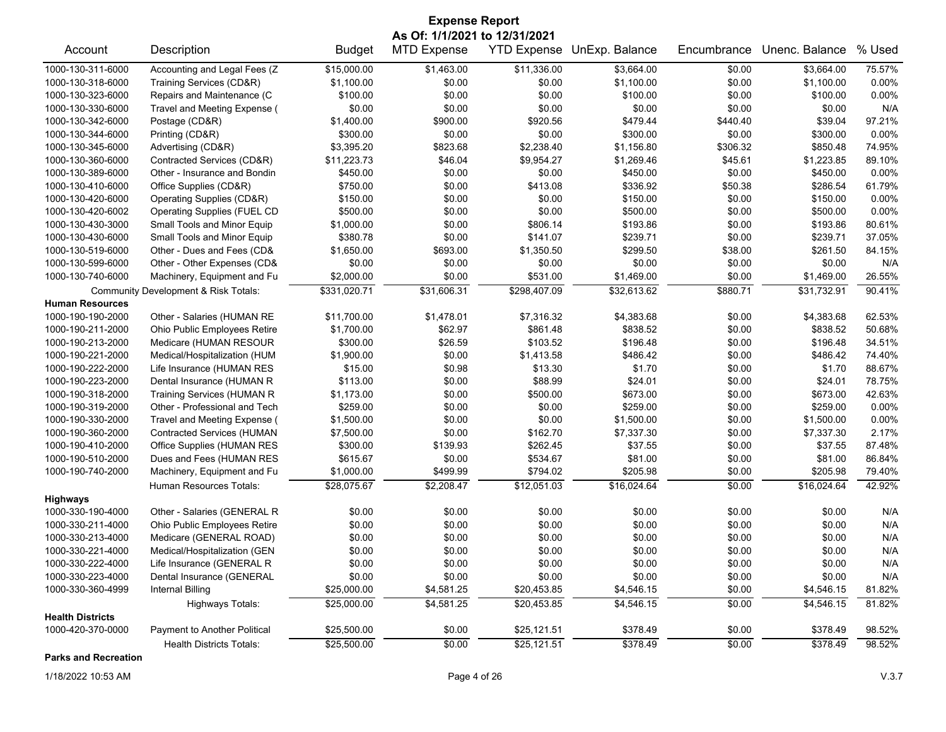| <b>Expense Report</b>   |                                      |               |                                                     |              |                            |             |                |        |  |
|-------------------------|--------------------------------------|---------------|-----------------------------------------------------|--------------|----------------------------|-------------|----------------|--------|--|
| Account                 | Description                          | <b>Budget</b> | As Of: 1/1/2021 to 12/31/2021<br><b>MTD Expense</b> |              | YTD Expense UnExp. Balance | Encumbrance | Unenc. Balance | % Used |  |
| 1000-130-311-6000       | Accounting and Legal Fees (Z         | \$15,000.00   | \$1,463.00                                          | \$11,336.00  | \$3,664.00                 | \$0.00      | \$3,664.00     | 75.57% |  |
| 1000-130-318-6000       | Training Services (CD&R)             | \$1,100.00    | \$0.00                                              | \$0.00       | \$1,100.00                 | \$0.00      | \$1,100.00     | 0.00%  |  |
| 1000-130-323-6000       | Repairs and Maintenance (C           | \$100.00      | \$0.00                                              | \$0.00       | \$100.00                   | \$0.00      | \$100.00       | 0.00%  |  |
| 1000-130-330-6000       | Travel and Meeting Expense (         | \$0.00        | \$0.00                                              | \$0.00       | \$0.00                     | \$0.00      | \$0.00         | N/A    |  |
| 1000-130-342-6000       | Postage (CD&R)                       | \$1,400.00    | \$900.00                                            | \$920.56     | \$479.44                   | \$440.40    | \$39.04        | 97.21% |  |
| 1000-130-344-6000       | Printing (CD&R)                      | \$300.00      | \$0.00                                              | \$0.00       | \$300.00                   | \$0.00      | \$300.00       | 0.00%  |  |
| 1000-130-345-6000       | Advertising (CD&R)                   | \$3,395.20    | \$823.68                                            | \$2,238.40   | \$1,156.80                 | \$306.32    | \$850.48       | 74.95% |  |
| 1000-130-360-6000       | Contracted Services (CD&R)           | \$11,223.73   | \$46.04                                             | \$9,954.27   | \$1,269.46                 | \$45.61     | \$1,223.85     | 89.10% |  |
| 1000-130-389-6000       | Other - Insurance and Bondin         | \$450.00      | \$0.00                                              | \$0.00       | \$450.00                   | \$0.00      | \$450.00       | 0.00%  |  |
| 1000-130-410-6000       | Office Supplies (CD&R)               | \$750.00      | \$0.00                                              | \$413.08     | \$336.92                   | \$50.38     | \$286.54       | 61.79% |  |
| 1000-130-420-6000       | Operating Supplies (CD&R)            | \$150.00      | \$0.00                                              | \$0.00       | \$150.00                   | \$0.00      | \$150.00       | 0.00%  |  |
| 1000-130-420-6002       | <b>Operating Supplies (FUEL CD</b>   | \$500.00      | \$0.00                                              | \$0.00       | \$500.00                   | \$0.00      | \$500.00       | 0.00%  |  |
| 1000-130-430-3000       | Small Tools and Minor Equip          | \$1,000.00    | \$0.00                                              | \$806.14     | \$193.86                   | \$0.00      | \$193.86       | 80.61% |  |
| 1000-130-430-6000       | Small Tools and Minor Equip          | \$380.78      | \$0.00                                              | \$141.07     | \$239.71                   | \$0.00      | \$239.71       | 37.05% |  |
| 1000-130-519-6000       | Other - Dues and Fees (CD&           | \$1,650.00    | \$693.00                                            | \$1,350.50   | \$299.50                   | \$38.00     | \$261.50       | 84.15% |  |
| 1000-130-599-6000       | Other - Other Expenses (CD&          | \$0.00        | \$0.00                                              | \$0.00       | \$0.00                     | \$0.00      | \$0.00         | N/A    |  |
| 1000-130-740-6000       | Machinery, Equipment and Fu          | \$2,000.00    | \$0.00                                              | \$531.00     | \$1,469.00                 | \$0.00      | \$1,469.00     | 26.55% |  |
|                         | Community Development & Risk Totals: | \$331,020.71  | \$31,606.31                                         | \$298,407.09 | \$32,613.62                | \$880.71    | \$31,732.91    | 90.41% |  |
| <b>Human Resources</b>  |                                      |               |                                                     |              |                            |             |                |        |  |
| 1000-190-190-2000       | Other - Salaries (HUMAN RE           | \$11,700.00   | \$1,478.01                                          | \$7,316.32   | \$4,383.68                 | \$0.00      | \$4,383.68     | 62.53% |  |
| 1000-190-211-2000       | Ohio Public Employees Retire         | \$1,700.00    | \$62.97                                             | \$861.48     | \$838.52                   | \$0.00      | \$838.52       | 50.68% |  |
| 1000-190-213-2000       | Medicare (HUMAN RESOUR               | \$300.00      | \$26.59                                             | \$103.52     | \$196.48                   | \$0.00      | \$196.48       | 34.51% |  |
| 1000-190-221-2000       | Medical/Hospitalization (HUM         | \$1,900.00    | \$0.00                                              | \$1,413.58   | \$486.42                   | \$0.00      | \$486.42       | 74.40% |  |
| 1000-190-222-2000       | Life Insurance (HUMAN RES            | \$15.00       | \$0.98                                              | \$13.30      | \$1.70                     | \$0.00      | \$1.70         | 88.67% |  |
| 1000-190-223-2000       | Dental Insurance (HUMAN R            | \$113.00      | \$0.00                                              | \$88.99      | \$24.01                    | \$0.00      | \$24.01        | 78.75% |  |
| 1000-190-318-2000       | Training Services (HUMAN R           | \$1,173.00    | \$0.00                                              | \$500.00     | \$673.00                   | \$0.00      | \$673.00       | 42.63% |  |
| 1000-190-319-2000       | Other - Professional and Tech        | \$259.00      | \$0.00                                              | \$0.00       | \$259.00                   | \$0.00      | \$259.00       | 0.00%  |  |
| 1000-190-330-2000       | Travel and Meeting Expense (         | \$1,500.00    | \$0.00                                              | \$0.00       | \$1,500.00                 | \$0.00      | \$1,500.00     | 0.00%  |  |
| 1000-190-360-2000       | <b>Contracted Services (HUMAN</b>    | \$7,500.00    | \$0.00                                              | \$162.70     | \$7,337.30                 | \$0.00      | \$7,337.30     | 2.17%  |  |
| 1000-190-410-2000       | Office Supplies (HUMAN RES           | \$300.00      | \$139.93                                            | \$262.45     | \$37.55                    | \$0.00      | \$37.55        | 87.48% |  |
| 1000-190-510-2000       | Dues and Fees (HUMAN RES             | \$615.67      | \$0.00                                              | \$534.67     | \$81.00                    | \$0.00      | \$81.00        | 86.84% |  |
| 1000-190-740-2000       | Machinery, Equipment and Fu          | \$1,000.00    | \$499.99                                            | \$794.02     | \$205.98                   | \$0.00      | \$205.98       | 79.40% |  |
|                         | Human Resources Totals:              | \$28,075.67   | \$2,208.47                                          | \$12,051.03  | \$16,024.64                | \$0.00      | \$16,024.64    | 42.92% |  |
| <b>Highways</b>         |                                      |               |                                                     |              |                            |             |                |        |  |
| 1000-330-190-4000       | Other - Salaries (GENERAL R          | \$0.00        | \$0.00                                              | \$0.00       | \$0.00                     | \$0.00      | \$0.00         | N/A    |  |
| 1000-330-211-4000       | Ohio Public Employees Retire         | \$0.00        | \$0.00                                              | \$0.00       | \$0.00                     | \$0.00      | \$0.00         | N/A    |  |
| 1000-330-213-4000       | Medicare (GENERAL ROAD)              | \$0.00        | \$0.00                                              | \$0.00       | \$0.00                     | \$0.00      | \$0.00         | N/A    |  |
| 1000-330-221-4000       | Medical/Hospitalization (GEN         | \$0.00        | \$0.00                                              | \$0.00       | \$0.00                     | \$0.00      | \$0.00         | N/A    |  |
| 1000-330-222-4000       | Life Insurance (GENERAL R            | \$0.00        | \$0.00                                              | \$0.00       | \$0.00                     | \$0.00      | \$0.00         | N/A    |  |
| 1000-330-223-4000       | Dental Insurance (GENERAL            | \$0.00        | \$0.00                                              | \$0.00       | \$0.00                     | \$0.00      | \$0.00         | N/A    |  |
| 1000-330-360-4999       | Internal Billing                     | \$25,000.00   | \$4,581.25                                          | \$20,453.85  | \$4,546.15                 | \$0.00      | \$4,546.15     | 81.82% |  |
|                         | <b>Highways Totals:</b>              | \$25,000.00   | \$4,581.25                                          | \$20,453.85  | \$4,546.15                 | \$0.00      | \$4,546.15     | 81.82% |  |
| <b>Health Districts</b> |                                      |               |                                                     |              |                            |             |                |        |  |
| 1000-420-370-0000       | Payment to Another Political         | \$25,500.00   | \$0.00                                              | \$25,121.51  | \$378.49                   | \$0.00      | \$378.49       | 98.52% |  |
|                         | <b>Health Districts Totals:</b>      | \$25,500.00   | \$0.00                                              | \$25,121.51  | \$378.49                   | \$0.00      | \$378.49       | 98.52% |  |

**Parks and Recreation**

1/18/2022 10:53 AM Page 4 of 26 V.3.7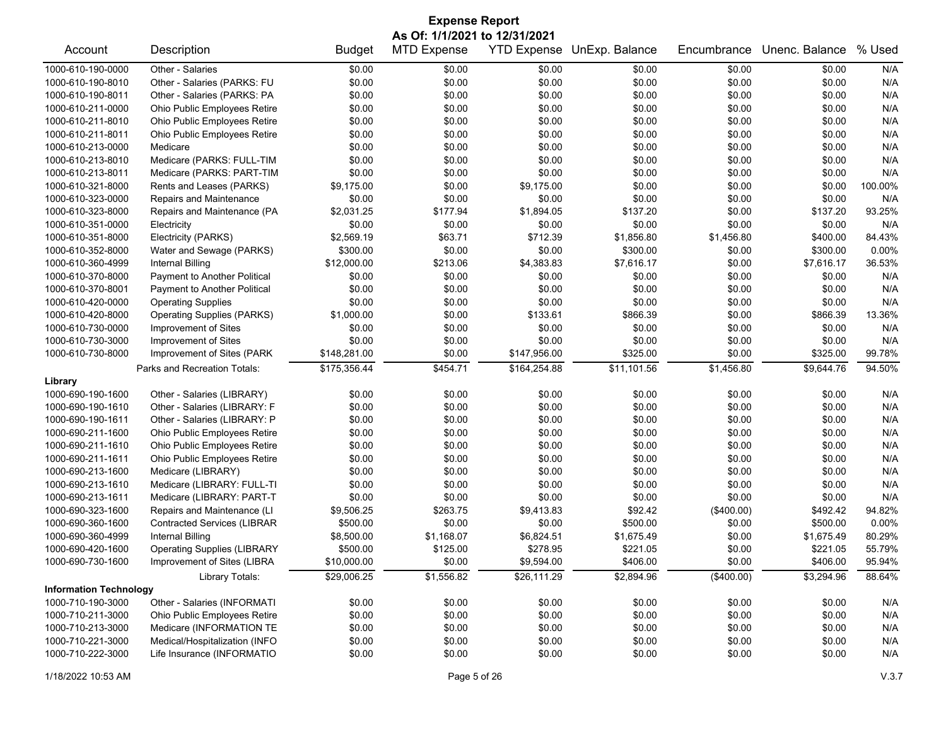| <b>Expense Report</b>         |                                    |               |                    |                    |                |             |                |         |  |
|-------------------------------|------------------------------------|---------------|--------------------|--------------------|----------------|-------------|----------------|---------|--|
| As Of: 1/1/2021 to 12/31/2021 |                                    |               |                    |                    |                |             |                |         |  |
| Account                       | Description                        | <b>Budget</b> | <b>MTD Expense</b> | <b>YTD Expense</b> | UnExp. Balance | Encumbrance | Unenc. Balance | % Used  |  |
| 1000-610-190-0000             | Other - Salaries                   | \$0.00        | \$0.00             | \$0.00             | \$0.00         | \$0.00      | \$0.00         | N/A     |  |
| 1000-610-190-8010             | Other - Salaries (PARKS: FU        | \$0.00        | \$0.00             | \$0.00             | \$0.00         | \$0.00      | \$0.00         | N/A     |  |
| 1000-610-190-8011             | Other - Salaries (PARKS: PA        | \$0.00        | \$0.00             | \$0.00             | \$0.00         | \$0.00      | \$0.00         | N/A     |  |
| 1000-610-211-0000             | Ohio Public Employees Retire       | \$0.00        | \$0.00             | \$0.00             | \$0.00         | \$0.00      | \$0.00         | N/A     |  |
| 1000-610-211-8010             | Ohio Public Employees Retire       | \$0.00        | \$0.00             | \$0.00             | \$0.00         | \$0.00      | \$0.00         | N/A     |  |
| 1000-610-211-8011             | Ohio Public Employees Retire       | \$0.00        | \$0.00             | \$0.00             | \$0.00         | \$0.00      | \$0.00         | N/A     |  |
| 1000-610-213-0000             | Medicare                           | \$0.00        | \$0.00             | \$0.00             | \$0.00         | \$0.00      | \$0.00         | N/A     |  |
| 1000-610-213-8010             | Medicare (PARKS: FULL-TIM          | \$0.00        | \$0.00             | \$0.00             | \$0.00         | \$0.00      | \$0.00         | N/A     |  |
| 1000-610-213-8011             | Medicare (PARKS: PART-TIM          | \$0.00        | \$0.00             | \$0.00             | \$0.00         | \$0.00      | \$0.00         | N/A     |  |
| 1000-610-321-8000             | Rents and Leases (PARKS)           | \$9,175.00    | \$0.00             | \$9,175.00         | \$0.00         | \$0.00      | \$0.00         | 100.00% |  |
| 1000-610-323-0000             | Repairs and Maintenance            | \$0.00        | \$0.00             | \$0.00             | \$0.00         | \$0.00      | \$0.00         | N/A     |  |
| 1000-610-323-8000             | Repairs and Maintenance (PA        | \$2,031.25    | \$177.94           | \$1,894.05         | \$137.20       | \$0.00      | \$137.20       | 93.25%  |  |
| 1000-610-351-0000             | Electricity                        | \$0.00        | \$0.00             | \$0.00             | \$0.00         | \$0.00      | \$0.00         | N/A     |  |
| 1000-610-351-8000             | Electricity (PARKS)                | \$2,569.19    | \$63.71            | \$712.39           | \$1,856.80     | \$1,456.80  | \$400.00       | 84.43%  |  |
| 1000-610-352-8000             | Water and Sewage (PARKS)           | \$300.00      | \$0.00             | \$0.00             | \$300.00       | \$0.00      | \$300.00       | 0.00%   |  |
| 1000-610-360-4999             | <b>Internal Billing</b>            | \$12,000.00   | \$213.06           | \$4,383.83         | \$7,616.17     | \$0.00      | \$7,616.17     | 36.53%  |  |
| 1000-610-370-8000             | Payment to Another Political       | \$0.00        | \$0.00             | \$0.00             | \$0.00         | \$0.00      | \$0.00         | N/A     |  |
| 1000-610-370-8001             | Payment to Another Political       | \$0.00        | \$0.00             | \$0.00             | \$0.00         | \$0.00      | \$0.00         | N/A     |  |
| 1000-610-420-0000             | <b>Operating Supplies</b>          | \$0.00        | \$0.00             | \$0.00             | \$0.00         | \$0.00      | \$0.00         | N/A     |  |
| 1000-610-420-8000             | <b>Operating Supplies (PARKS)</b>  | \$1,000.00    | \$0.00             | \$133.61           | \$866.39       | \$0.00      | \$866.39       | 13.36%  |  |
| 1000-610-730-0000             | Improvement of Sites               | \$0.00        | \$0.00             | \$0.00             | \$0.00         | \$0.00      | \$0.00         | N/A     |  |
| 1000-610-730-3000             | Improvement of Sites               | \$0.00        | \$0.00             | \$0.00             | \$0.00         | \$0.00      | \$0.00         | N/A     |  |
| 1000-610-730-8000             | Improvement of Sites (PARK         | \$148,281.00  | \$0.00             | \$147,956.00       | \$325.00       | \$0.00      | \$325.00       | 99.78%  |  |
|                               | Parks and Recreation Totals:       | \$175,356.44  | \$454.71           | \$164,254.88       | \$11,101.56    | \$1,456.80  | \$9,644.76     | 94.50%  |  |
| Library                       |                                    |               |                    |                    |                |             |                |         |  |
| 1000-690-190-1600             | Other - Salaries (LIBRARY)         | \$0.00        | \$0.00             | \$0.00             | \$0.00         | \$0.00      | \$0.00         | N/A     |  |
| 1000-690-190-1610             | Other - Salaries (LIBRARY: F       | \$0.00        | \$0.00             | \$0.00             | \$0.00         | \$0.00      | \$0.00         | N/A     |  |
| 1000-690-190-1611             | Other - Salaries (LIBRARY: P       | \$0.00        | \$0.00             | \$0.00             | \$0.00         | \$0.00      | \$0.00         | N/A     |  |
| 1000-690-211-1600             | Ohio Public Employees Retire       | \$0.00        | \$0.00             | \$0.00             | \$0.00         | \$0.00      | \$0.00         | N/A     |  |
| 1000-690-211-1610             | Ohio Public Employees Retire       | \$0.00        | \$0.00             | \$0.00             | \$0.00         | \$0.00      | \$0.00         | N/A     |  |
| 1000-690-211-1611             | Ohio Public Employees Retire       | \$0.00        | \$0.00             | \$0.00             | \$0.00         | \$0.00      | \$0.00         | N/A     |  |
| 1000-690-213-1600             | Medicare (LIBRARY)                 | \$0.00        | \$0.00             | \$0.00             | \$0.00         | \$0.00      | \$0.00         | N/A     |  |
| 1000-690-213-1610             | Medicare (LIBRARY: FULL-TI         | \$0.00        | \$0.00             | \$0.00             | \$0.00         | \$0.00      | \$0.00         | N/A     |  |
| 1000-690-213-1611             | Medicare (LIBRARY: PART-T          | \$0.00        | \$0.00             | \$0.00             | \$0.00         | \$0.00      | \$0.00         | N/A     |  |
| 1000-690-323-1600             | Repairs and Maintenance (LI        | \$9,506.25    | \$263.75           | \$9,413.83         | \$92.42        | (\$400.00)  | \$492.42       | 94.82%  |  |
| 1000-690-360-1600             | <b>Contracted Services (LIBRAR</b> | \$500.00      | \$0.00             | \$0.00             | \$500.00       | \$0.00      | \$500.00       | 0.00%   |  |
| 1000-690-360-4999             | Internal Billing                   | \$8,500.00    | \$1,168.07         | \$6,824.51         | \$1,675.49     | \$0.00      | \$1,675.49     | 80.29%  |  |
| 1000-690-420-1600             | <b>Operating Supplies (LIBRARY</b> | \$500.00      | \$125.00           | \$278.95           | \$221.05       | \$0.00      | \$221.05       | 55.79%  |  |
| 1000-690-730-1600             | Improvement of Sites (LIBRA        | \$10,000.00   | \$0.00             | \$9,594.00         | \$406.00       | \$0.00      | \$406.00       | 95.94%  |  |
|                               | Library Totals:                    | \$29,006.25   | \$1,556.82         | \$26,111.29        | \$2,894.96     | (\$400.00)  | \$3,294.96     | 88.64%  |  |
| <b>Information Technology</b> |                                    |               |                    |                    |                |             |                |         |  |
| 1000-710-190-3000             | Other - Salaries (INFORMATI        | \$0.00        | \$0.00             | \$0.00             | \$0.00         | \$0.00      | \$0.00         | N/A     |  |
| 1000-710-211-3000             | Ohio Public Employees Retire       | \$0.00        | \$0.00             | \$0.00             | \$0.00         | \$0.00      | \$0.00         | N/A     |  |
| 1000-710-213-3000             | Medicare (INFORMATION TE           | \$0.00        | \$0.00             | \$0.00             | \$0.00         | \$0.00      | \$0.00         | N/A     |  |
| 1000-710-221-3000             | Medical/Hospitalization (INFO      | \$0.00        | \$0.00             | \$0.00             | \$0.00         | \$0.00      | \$0.00         | N/A     |  |
| 1000-710-222-3000             | Life Insurance (INFORMATIO         | \$0.00        | \$0.00             | \$0.00             | \$0.00         | \$0.00      | \$0.00         | N/A     |  |
|                               |                                    |               |                    |                    |                |             |                |         |  |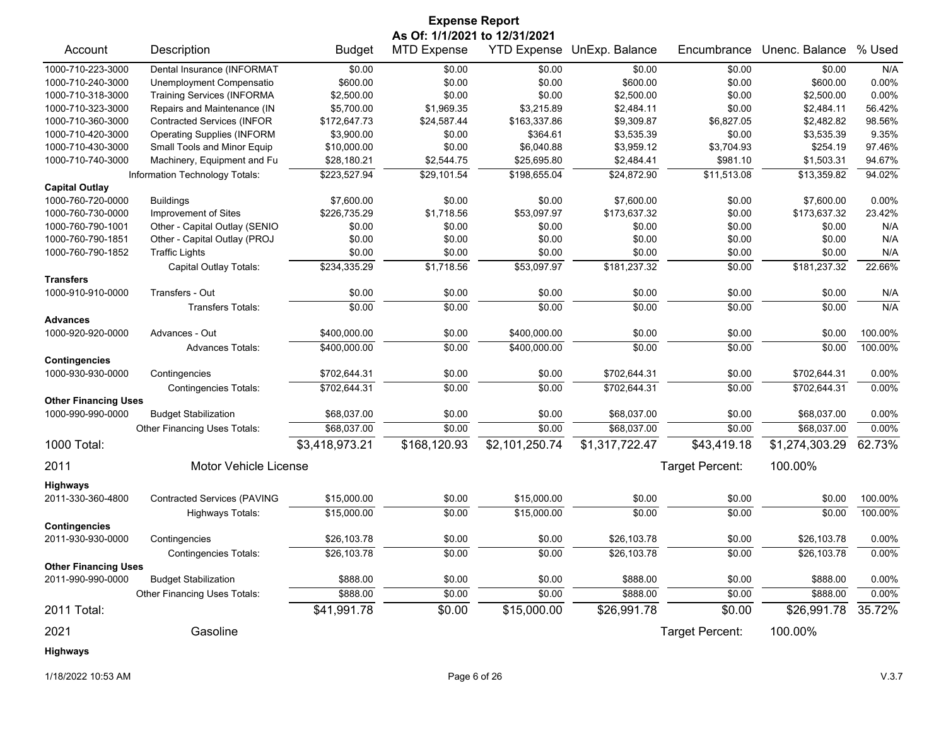|                             |                                    |                | <b>Expense Report</b>         |                    |                            |                 |                |          |
|-----------------------------|------------------------------------|----------------|-------------------------------|--------------------|----------------------------|-----------------|----------------|----------|
|                             |                                    |                | As Of: 1/1/2021 to 12/31/2021 |                    |                            |                 |                |          |
| Account                     | Description                        | <b>Budget</b>  | <b>MTD Expense</b>            | <b>YTD Expense</b> | UnExp. Balance             | Encumbrance     | Unenc. Balance | % Used   |
| 1000-710-223-3000           | Dental Insurance (INFORMAT         | \$0.00         | \$0.00                        | \$0.00             | \$0.00                     | \$0.00          | \$0.00         | N/A      |
| 1000-710-240-3000           | Unemployment Compensatio           | \$600.00       | \$0.00                        | \$0.00             | \$600.00                   | \$0.00          | \$600.00       | 0.00%    |
| 1000-710-318-3000           | <b>Training Services (INFORMA</b>  | \$2,500.00     | \$0.00                        | \$0.00             | \$2,500.00                 | \$0.00          | \$2,500.00     | 0.00%    |
| 1000-710-323-3000           | Repairs and Maintenance (IN        | \$5,700.00     | \$1,969.35                    | \$3,215.89         | \$2,484.11                 | \$0.00          | \$2,484.11     | 56.42%   |
| 1000-710-360-3000           | <b>Contracted Services (INFOR</b>  | \$172,647.73   | \$24,587.44                   | \$163,337.86       | \$9,309.87                 | \$6,827.05      | \$2,482.82     | 98.56%   |
| 1000-710-420-3000           | <b>Operating Supplies (INFORM</b>  | \$3,900.00     | \$0.00                        | \$364.61           | \$3,535.39                 | \$0.00          | \$3,535.39     | 9.35%    |
| 1000-710-430-3000           | Small Tools and Minor Equip        | \$10,000.00    | \$0.00                        | \$6,040.88         | \$3,959.12                 | \$3,704.93      | \$254.19       | 97.46%   |
| 1000-710-740-3000           | Machinery, Equipment and Fu        | \$28,180.21    | \$2,544.75                    | \$25,695.80        | \$2,484.41                 | \$981.10        | \$1,503.31     | 94.67%   |
|                             | Information Technology Totals:     | \$223,527.94   | \$29,101.54                   | \$198,655.04       | \$24,872.90                | \$11,513.08     | \$13,359.82    | 94.02%   |
| <b>Capital Outlay</b>       |                                    |                |                               |                    |                            |                 |                |          |
| 1000-760-720-0000           | <b>Buildings</b>                   | \$7,600.00     | \$0.00                        | \$0.00             | \$7,600.00                 | \$0.00          | \$7,600.00     | $0.00\%$ |
| 1000-760-730-0000           | Improvement of Sites               | \$226,735.29   | \$1,718.56                    | \$53,097.97        | \$173,637.32               | \$0.00          | \$173,637.32   | 23.42%   |
| 1000-760-790-1001           | Other - Capital Outlay (SENIO      | \$0.00         | \$0.00                        | \$0.00             | \$0.00                     | \$0.00          | \$0.00         | N/A      |
| 1000-760-790-1851           | Other - Capital Outlay (PROJ       | \$0.00         | \$0.00                        | \$0.00             | \$0.00                     | \$0.00          | \$0.00         | N/A      |
| 1000-760-790-1852           | <b>Traffic Lights</b>              | \$0.00         | \$0.00                        | \$0.00             | \$0.00                     | \$0.00          | \$0.00         | N/A      |
|                             | Capital Outlay Totals:             | \$234,335.29   | \$1,718.56                    | \$53,097.97        | \$181,237.32               | \$0.00          | \$181,237.32   | 22.66%   |
| <b>Transfers</b>            |                                    |                |                               |                    |                            |                 |                |          |
| 1000-910-910-0000           | Transfers - Out                    | \$0.00         | \$0.00                        | \$0.00             | \$0.00                     | \$0.00          | \$0.00         | N/A      |
|                             | <b>Transfers Totals:</b>           | \$0.00         | \$0.00                        | \$0.00             | \$0.00                     | \$0.00          | \$0.00         | N/A      |
| <b>Advances</b>             |                                    |                |                               |                    |                            |                 |                |          |
| 1000-920-920-0000           | Advances - Out                     | \$400,000.00   | \$0.00                        | \$400,000.00       | \$0.00                     | \$0.00          | \$0.00         | 100.00%  |
|                             | <b>Advances Totals:</b>            | \$400,000.00   | \$0.00                        | \$400,000.00       | \$0.00                     | \$0.00          | \$0.00         | 100.00%  |
| <b>Contingencies</b>        |                                    |                |                               |                    |                            |                 |                |          |
| 1000-930-930-0000           | Contingencies                      | \$702,644.31   | \$0.00                        | \$0.00             | \$702,644.31               | \$0.00          | \$702,644.31   | $0.00\%$ |
|                             | <b>Contingencies Totals:</b>       | \$702,644.31   | 50.00                         | \$0.00             | \$702,644.31               | \$0.00          | \$702,644.31   | 0.00%    |
| <b>Other Financing Uses</b> |                                    |                |                               |                    |                            |                 |                |          |
| 1000-990-990-0000           | <b>Budget Stabilization</b>        | \$68,037.00    | \$0.00                        | \$0.00             | \$68,037.00                | \$0.00          | \$68,037.00    | $0.00\%$ |
|                             | Other Financing Uses Totals:       | \$68,037.00    | \$0.00                        | \$0.00             | \$68,037.00                | \$0.00          | \$68,037.00    | 0.00%    |
| 1000 Total:                 |                                    | \$3,418,973.21 | \$168,120.93                  | \$2,101,250.74     | $\overline{$1,317,722.47}$ | \$43,419.18     | \$1,274,303.29 | 62.73%   |
| 2011                        | Motor Vehicle License              |                |                               |                    |                            | Target Percent: | 100.00%        |          |
| <b>Highways</b>             |                                    |                |                               |                    |                            |                 |                |          |
| 2011-330-360-4800           | <b>Contracted Services (PAVING</b> | \$15,000.00    | \$0.00                        | \$15,000.00        | \$0.00                     | \$0.00          | \$0.00         | 100.00%  |
|                             | Highways Totals:                   | \$15,000.00    | \$0.00                        | \$15,000.00        | \$0.00                     | \$0.00          | \$0.00         | 100.00%  |
| <b>Contingencies</b>        |                                    |                |                               |                    |                            |                 |                |          |
| 2011-930-930-0000           | Contingencies                      | \$26,103.78    | \$0.00                        | \$0.00             | \$26,103.78                | \$0.00          | \$26,103.78    | 0.00%    |
|                             | <b>Contingencies Totals:</b>       | \$26,103.78    | \$0.00                        | \$0.00             | \$26,103.78                | \$0.00          | \$26,103.78    | 0.00%    |
| <b>Other Financing Uses</b> |                                    |                |                               |                    |                            |                 |                |          |
| 2011-990-990-0000           | <b>Budget Stabilization</b>        | \$888.00       | \$0.00                        | \$0.00             | \$888.00                   | \$0.00          | \$888.00       | 0.00%    |
|                             | Other Financing Uses Totals:       | \$888.00       | \$0.00                        | \$0.00             | \$888.00                   | \$0.00          | \$888.00       | 0.00%    |
| 2011 Total:                 |                                    | \$41,991.78    | \$0.00                        | \$15,000.00        | \$26,991.78                | \$0.00          | \$26,991.78    | 35.72%   |
| 2021                        | Gasoline                           |                |                               |                    |                            | Target Percent: | 100.00%        |          |
| <b>Highways</b>             |                                    |                |                               |                    |                            |                 |                |          |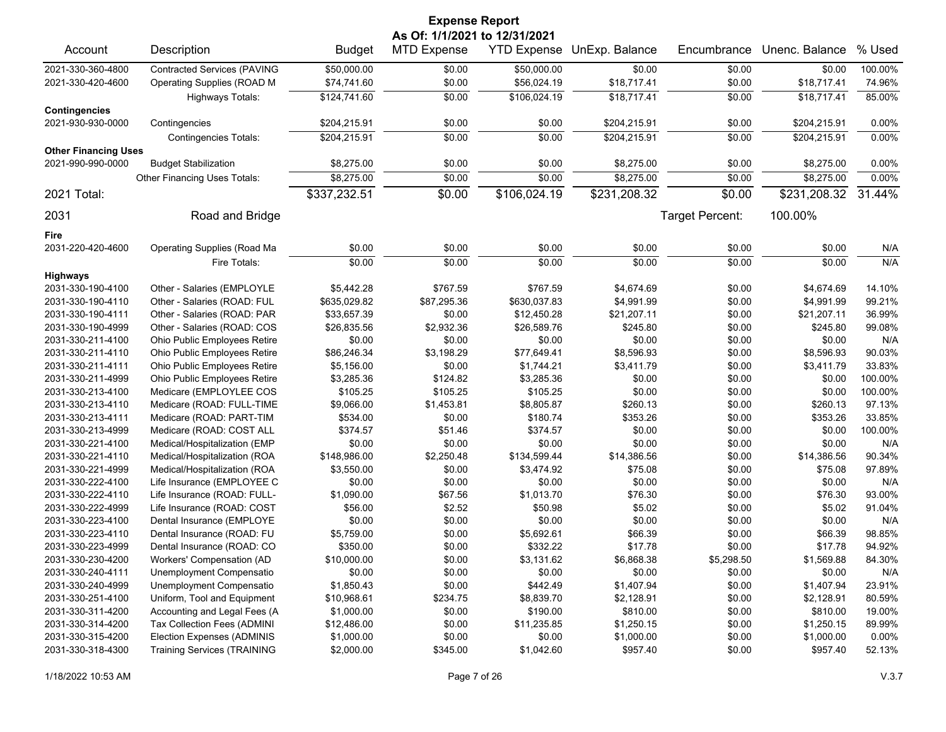| <b>Expense Report</b>       |                                    |               |                               |                    |                |                 |                |         |  |
|-----------------------------|------------------------------------|---------------|-------------------------------|--------------------|----------------|-----------------|----------------|---------|--|
|                             |                                    |               | As Of: 1/1/2021 to 12/31/2021 |                    |                |                 |                |         |  |
| Account                     | Description                        | <b>Budget</b> | <b>MTD Expense</b>            | <b>YTD Expense</b> | UnExp. Balance | Encumbrance     | Unenc. Balance | % Used  |  |
| 2021-330-360-4800           | <b>Contracted Services (PAVING</b> | \$50,000.00   | \$0.00                        | \$50,000.00        | \$0.00         | \$0.00          | \$0.00         | 100.00% |  |
| 2021-330-420-4600           | Operating Supplies (ROAD M         | \$74,741.60   | \$0.00                        | \$56,024.19        | \$18,717.41    | \$0.00          | \$18,717.41    | 74.96%  |  |
|                             | Highways Totals:                   | \$124,741.60  | \$0.00                        | \$106,024.19       | \$18,717.41    | \$0.00          | \$18,717.41    | 85.00%  |  |
| <b>Contingencies</b>        |                                    |               |                               |                    |                |                 |                |         |  |
| 2021-930-930-0000           | Contingencies                      | \$204,215.91  | \$0.00                        | \$0.00             | \$204,215.91   | \$0.00          | \$204,215.91   | 0.00%   |  |
|                             | <b>Contingencies Totals:</b>       | \$204,215.91  | \$0.00                        | \$0.00             | \$204,215.91   | \$0.00          | \$204,215.91   | 0.00%   |  |
| <b>Other Financing Uses</b> |                                    |               |                               |                    |                |                 |                |         |  |
| 2021-990-990-0000           | <b>Budget Stabilization</b>        | \$8,275.00    | \$0.00                        | \$0.00             | \$8,275.00     | \$0.00          | \$8,275.00     | 0.00%   |  |
|                             | Other Financing Uses Totals:       | \$8,275.00    | \$0.00                        | \$0.00             | \$8,275.00     | \$0.00          | \$8,275.00     | 0.00%   |  |
| 2021 Total:                 |                                    | \$337,232.51  | \$0.00                        | \$106,024.19       | \$231,208.32   | \$0.00          | \$231,208.32   | 31.44%  |  |
| 2031                        | Road and Bridge                    |               |                               |                    |                | Target Percent: | 100.00%        |         |  |
| Fire                        |                                    |               |                               |                    |                |                 |                |         |  |
| 2031-220-420-4600           | <b>Operating Supplies (Road Ma</b> | \$0.00        | \$0.00                        | \$0.00             | \$0.00         | \$0.00          | \$0.00         | N/A     |  |
|                             | Fire Totals:                       | \$0.00        | \$0.00                        | \$0.00             | \$0.00         | \$0.00          | \$0.00         | N/A     |  |
| <b>Highways</b>             |                                    |               |                               |                    |                |                 |                |         |  |
| 2031-330-190-4100           | Other - Salaries (EMPLOYLE         | \$5,442.28    | \$767.59                      | \$767.59           | \$4,674.69     | \$0.00          | \$4,674.69     | 14.10%  |  |
| 2031-330-190-4110           | Other - Salaries (ROAD: FUL        | \$635,029.82  | \$87,295.36                   | \$630,037.83       | \$4,991.99     | \$0.00          | \$4,991.99     | 99.21%  |  |
| 2031-330-190-4111           | Other - Salaries (ROAD: PAR        | \$33,657.39   | \$0.00                        | \$12,450.28        | \$21,207.11    | \$0.00          | \$21,207.11    | 36.99%  |  |
| 2031-330-190-4999           | Other - Salaries (ROAD: COS        | \$26,835.56   | \$2,932.36                    | \$26,589.76        | \$245.80       | \$0.00          | \$245.80       | 99.08%  |  |
| 2031-330-211-4100           | Ohio Public Employees Retire       | \$0.00        | \$0.00                        | \$0.00             | \$0.00         | \$0.00          | \$0.00         | N/A     |  |
| 2031-330-211-4110           | Ohio Public Employees Retire       | \$86,246.34   | \$3,198.29                    | \$77,649.41        | \$8,596.93     | \$0.00          | \$8,596.93     | 90.03%  |  |
| 2031-330-211-4111           | Ohio Public Employees Retire       | \$5,156.00    | \$0.00                        | \$1,744.21         | \$3,411.79     | \$0.00          | \$3,411.79     | 33.83%  |  |
| 2031-330-211-4999           | Ohio Public Employees Retire       | \$3,285.36    | \$124.82                      | \$3,285.36         | \$0.00         | \$0.00          | \$0.00         | 100.00% |  |
| 2031-330-213-4100           | Medicare (EMPLOYLEE COS            | \$105.25      | \$105.25                      | \$105.25           | \$0.00         | \$0.00          | \$0.00         | 100.00% |  |
| 2031-330-213-4110           | Medicare (ROAD: FULL-TIME          | \$9,066.00    | \$1,453.81                    | \$8,805.87         | \$260.13       | \$0.00          | \$260.13       | 97.13%  |  |
| 2031-330-213-4111           | Medicare (ROAD: PART-TIM           | \$534.00      | \$0.00                        | \$180.74           | \$353.26       | \$0.00          | \$353.26       | 33.85%  |  |
| 2031-330-213-4999           | Medicare (ROAD: COST ALL           | \$374.57      | \$51.46                       | \$374.57           | \$0.00         | \$0.00          | \$0.00         | 100.00% |  |
| 2031-330-221-4100           | Medical/Hospitalization (EMP       | \$0.00        | \$0.00                        | \$0.00             | \$0.00         | \$0.00          | \$0.00         | N/A     |  |
| 2031-330-221-4110           | Medical/Hospitalization (ROA       | \$148,986.00  | \$2,250.48                    | \$134,599.44       | \$14,386.56    | \$0.00          | \$14,386.56    | 90.34%  |  |
| 2031-330-221-4999           | Medical/Hospitalization (ROA       | \$3,550.00    | \$0.00                        | \$3,474.92         | \$75.08        | \$0.00          | \$75.08        | 97.89%  |  |
| 2031-330-222-4100           | Life Insurance (EMPLOYEE C         | \$0.00        | \$0.00                        | \$0.00             | \$0.00         | \$0.00          | \$0.00         | N/A     |  |
| 2031-330-222-4110           | Life Insurance (ROAD: FULL-        | \$1,090.00    | \$67.56                       | \$1,013.70         | \$76.30        | \$0.00          | \$76.30        | 93.00%  |  |
| 2031-330-222-4999           | Life Insurance (ROAD: COST         | \$56.00       | \$2.52                        | \$50.98            | \$5.02         | \$0.00          | \$5.02         | 91.04%  |  |
| 2031-330-223-4100           | Dental Insurance (EMPLOYE          | \$0.00        | \$0.00                        | \$0.00             | \$0.00         | \$0.00          | \$0.00         | N/A     |  |
| 2031-330-223-4110           | Dental Insurance (ROAD: FU         | \$5,759.00    | \$0.00                        | \$5,692.61         | \$66.39        | \$0.00          | \$66.39        | 98.85%  |  |
| 2031-330-223-4999           | Dental Insurance (ROAD: CO         | \$350.00      | \$0.00                        | \$332.22           | \$17.78        | \$0.00          | \$17.78        | 94.92%  |  |
| 2031-330-230-4200           | Workers' Compensation (AD          | \$10,000.00   | \$0.00                        | \$3,131.62         | \$6,868.38     | \$5,298.50      | \$1,569.88     | 84.30%  |  |
| 2031-330-240-4111           | Unemployment Compensatio           | \$0.00        | \$0.00                        | \$0.00             | \$0.00         | \$0.00          | \$0.00         | N/A     |  |
| 2031-330-240-4999           | Unemployment Compensatio           | \$1,850.43    | \$0.00                        | \$442.49           | \$1,407.94     | \$0.00          | \$1,407.94     | 23.91%  |  |
| 2031-330-251-4100           | Uniform, Tool and Equipment        | \$10,968.61   | \$234.75                      | \$8,839.70         | \$2,128.91     | \$0.00          | \$2,128.91     | 80.59%  |  |
| 2031-330-311-4200           | Accounting and Legal Fees (A       | \$1,000.00    | \$0.00                        | \$190.00           | \$810.00       | \$0.00          | \$810.00       | 19.00%  |  |
| 2031-330-314-4200           | Tax Collection Fees (ADMINI        | \$12,486.00   | \$0.00                        | \$11,235.85        | \$1,250.15     | \$0.00          | \$1,250.15     | 89.99%  |  |
| 2031-330-315-4200           | Election Expenses (ADMINIS         | \$1,000.00    | \$0.00                        | \$0.00             | \$1,000.00     | \$0.00          | \$1,000.00     | 0.00%   |  |
| 2031-330-318-4300           | <b>Training Services (TRAINING</b> | \$2,000.00    | \$345.00                      | \$1,042.60         | \$957.40       | \$0.00          | \$957.40       | 52.13%  |  |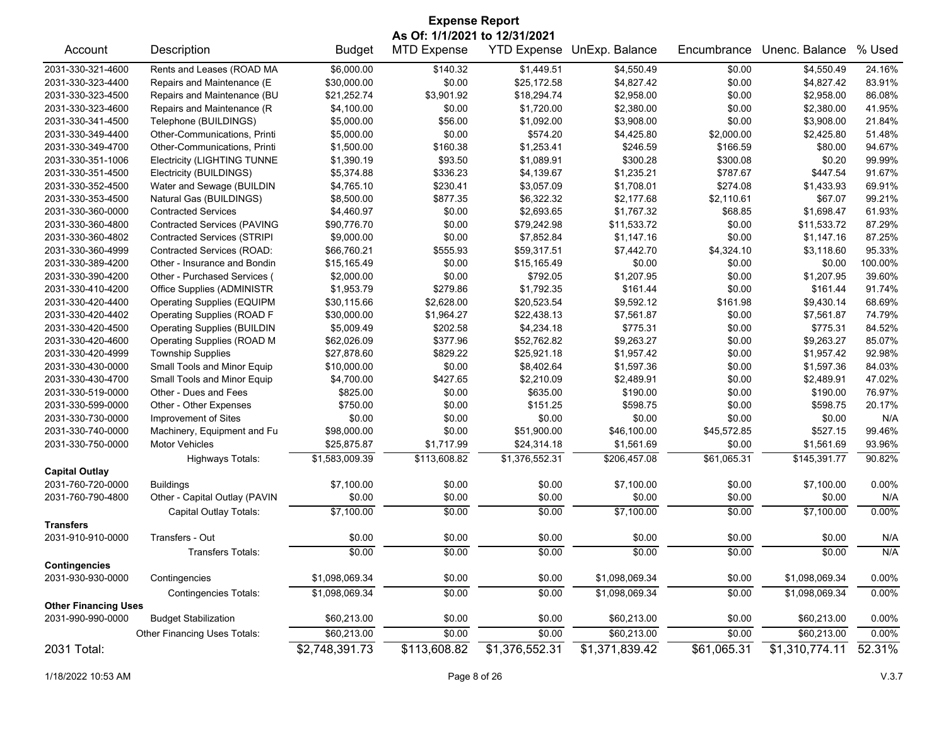|                                       | <b>Expense Report</b>              |                |                    |                    |                |             |                |         |  |  |
|---------------------------------------|------------------------------------|----------------|--------------------|--------------------|----------------|-------------|----------------|---------|--|--|
|                                       | As Of: 1/1/2021 to 12/31/2021      |                |                    |                    |                |             |                |         |  |  |
| Account                               | Description                        | <b>Budget</b>  | <b>MTD Expense</b> | <b>YTD Expense</b> | UnExp. Balance | Encumbrance | Unenc. Balance | % Used  |  |  |
| 2031-330-321-4600                     | Rents and Leases (ROAD MA          | \$6,000.00     | \$140.32           | \$1,449.51         | \$4,550.49     | \$0.00      | \$4,550.49     | 24.16%  |  |  |
| 2031-330-323-4400                     | Repairs and Maintenance (E         | \$30,000.00    | \$0.00             | \$25,172.58        | \$4,827.42     | \$0.00      | \$4,827.42     | 83.91%  |  |  |
| 2031-330-323-4500                     | Repairs and Maintenance (BU        | \$21,252.74    | \$3,901.92         | \$18,294.74        | \$2,958.00     | \$0.00      | \$2,958.00     | 86.08%  |  |  |
| 2031-330-323-4600                     | Repairs and Maintenance (R         | \$4,100.00     | \$0.00             | \$1,720.00         | \$2,380.00     | \$0.00      | \$2,380.00     | 41.95%  |  |  |
| 2031-330-341-4500                     | Telephone (BUILDINGS)              | \$5,000.00     | \$56.00            | \$1,092.00         | \$3,908.00     | \$0.00      | \$3,908.00     | 21.84%  |  |  |
| 2031-330-349-4400                     | Other-Communications, Printi       | \$5,000.00     | \$0.00             | \$574.20           | \$4,425.80     | \$2,000.00  | \$2,425.80     | 51.48%  |  |  |
| 2031-330-349-4700                     | Other-Communications, Printi       | \$1,500.00     | \$160.38           | \$1,253.41         | \$246.59       | \$166.59    | \$80.00        | 94.67%  |  |  |
| 2031-330-351-1006                     | <b>Electricity (LIGHTING TUNNE</b> | \$1,390.19     | \$93.50            | \$1,089.91         | \$300.28       | \$300.08    | \$0.20         | 99.99%  |  |  |
| 2031-330-351-4500                     | Electricity (BUILDINGS)            | \$5,374.88     | \$336.23           | \$4,139.67         | \$1,235.21     | \$787.67    | \$447.54       | 91.67%  |  |  |
| 2031-330-352-4500                     | Water and Sewage (BUILDIN          | \$4,765.10     | \$230.41           | \$3,057.09         | \$1,708.01     | \$274.08    | \$1,433.93     | 69.91%  |  |  |
| 2031-330-353-4500                     | Natural Gas (BUILDINGS)            | \$8,500.00     | \$877.35           | \$6,322.32         | \$2,177.68     | \$2,110.61  | \$67.07        | 99.21%  |  |  |
| 2031-330-360-0000                     | <b>Contracted Services</b>         | \$4,460.97     | \$0.00             | \$2,693.65         | \$1,767.32     | \$68.85     | \$1,698.47     | 61.93%  |  |  |
| 2031-330-360-4800                     | <b>Contracted Services (PAVING</b> | \$90,776.70    | \$0.00             | \$79,242.98        | \$11,533.72    | \$0.00      | \$11,533.72    | 87.29%  |  |  |
| 2031-330-360-4802                     | <b>Contracted Services (STRIPI</b> | \$9,000.00     | \$0.00             | \$7,852.84         | \$1,147.16     | \$0.00      | \$1,147.16     | 87.25%  |  |  |
| 2031-330-360-4999                     | Contracted Services (ROAD:         | \$66,760.21    | \$555.93           | \$59,317.51        | \$7,442.70     | \$4,324.10  | \$3,118.60     | 95.33%  |  |  |
| 2031-330-389-4200                     | Other - Insurance and Bondin       | \$15,165.49    | \$0.00             | \$15,165.49        | \$0.00         | \$0.00      | \$0.00         | 100.00% |  |  |
| 2031-330-390-4200                     | Other - Purchased Services (       | \$2,000.00     | \$0.00             | \$792.05           | \$1,207.95     | \$0.00      | \$1,207.95     | 39.60%  |  |  |
| 2031-330-410-4200                     | Office Supplies (ADMINISTR         | \$1,953.79     | \$279.86           | \$1,792.35         | \$161.44       | \$0.00      | \$161.44       | 91.74%  |  |  |
| 2031-330-420-4400                     | <b>Operating Supplies (EQUIPM</b>  | \$30,115.66    | \$2,628.00         | \$20,523.54        | \$9,592.12     | \$161.98    | \$9,430.14     | 68.69%  |  |  |
| 2031-330-420-4402                     | Operating Supplies (ROAD F         | \$30,000.00    | \$1,964.27         | \$22,438.13        | \$7,561.87     | \$0.00      | \$7,561.87     | 74.79%  |  |  |
| 2031-330-420-4500                     | <b>Operating Supplies (BUILDIN</b> | \$5,009.49     | \$202.58           | \$4,234.18         | \$775.31       | \$0.00      | \$775.31       | 84.52%  |  |  |
| 2031-330-420-4600                     | Operating Supplies (ROAD M         | \$62,026.09    | \$377.96           | \$52,762.82        | \$9,263.27     | \$0.00      | \$9,263.27     | 85.07%  |  |  |
| 2031-330-420-4999                     | <b>Township Supplies</b>           | \$27,878.60    | \$829.22           | \$25,921.18        | \$1,957.42     | \$0.00      | \$1,957.42     | 92.98%  |  |  |
| 2031-330-430-0000                     | Small Tools and Minor Equip        | \$10,000.00    | \$0.00             | \$8,402.64         | \$1,597.36     | \$0.00      | \$1,597.36     | 84.03%  |  |  |
| 2031-330-430-4700                     | Small Tools and Minor Equip        | \$4,700.00     | \$427.65           | \$2,210.09         | \$2,489.91     | \$0.00      | \$2,489.91     | 47.02%  |  |  |
| 2031-330-519-0000                     | Other - Dues and Fees              | \$825.00       | \$0.00             | \$635.00           | \$190.00       | \$0.00      | \$190.00       | 76.97%  |  |  |
| 2031-330-599-0000                     | Other - Other Expenses             | \$750.00       | \$0.00             | \$151.25           | \$598.75       | \$0.00      | \$598.75       | 20.17%  |  |  |
| 2031-330-730-0000                     | Improvement of Sites               | \$0.00         | \$0.00             | \$0.00             | \$0.00         | \$0.00      | \$0.00         | N/A     |  |  |
| 2031-330-740-0000                     | Machinery, Equipment and Fu        | \$98,000.00    | \$0.00             | \$51,900.00        | \$46,100.00    | \$45,572.85 | \$527.15       | 99.46%  |  |  |
| 2031-330-750-0000                     | Motor Vehicles                     | \$25,875.87    | \$1,717.99         | \$24,314.18        | \$1,561.69     | \$0.00      | \$1,561.69     | 93.96%  |  |  |
|                                       |                                    |                |                    |                    |                |             |                |         |  |  |
| <b>Capital Outlay</b>                 | <b>Highways Totals:</b>            | \$1,583,009.39 | \$113,608.82       | \$1,376,552.31     | \$206,457.08   | \$61,065.31 | \$145,391.77   | 90.82%  |  |  |
| 2031-760-720-0000                     | <b>Buildings</b>                   | \$7,100.00     | \$0.00             | \$0.00             | \$7,100.00     | \$0.00      | \$7,100.00     | 0.00%   |  |  |
| 2031-760-790-4800                     | Other - Capital Outlay (PAVIN      | \$0.00         | \$0.00             | \$0.00             | \$0.00         | \$0.00      | \$0.00         | N/A     |  |  |
|                                       |                                    |                |                    |                    |                |             |                |         |  |  |
|                                       | Capital Outlay Totals:             | \$7,100.00     | \$0.00             | \$0.00             | \$7,100.00     | \$0.00      | \$7,100.00     | 0.00%   |  |  |
| <b>Transfers</b><br>2031-910-910-0000 | Transfers - Out                    | \$0.00         | \$0.00             | \$0.00             | \$0.00         | \$0.00      | \$0.00         | N/A     |  |  |
|                                       |                                    |                |                    |                    |                |             |                |         |  |  |
|                                       | Transfers Totals:                  | \$0.00         | \$0.00             | \$0.00             | \$0.00         | \$0.00      | \$0.00         | N/A     |  |  |
| <b>Contingencies</b>                  |                                    |                |                    |                    |                |             |                |         |  |  |
| 2031-930-930-0000                     | Contingencies                      | \$1,098,069.34 | \$0.00             | \$0.00             | \$1,098,069.34 | \$0.00      | \$1,098,069.34 | 0.00%   |  |  |
|                                       | <b>Contingencies Totals:</b>       | \$1,098,069.34 | \$0.00             | \$0.00             | \$1,098,069.34 | \$0.00      | \$1,098,069.34 | 0.00%   |  |  |
| <b>Other Financing Uses</b>           |                                    |                |                    |                    |                |             |                |         |  |  |
| 2031-990-990-0000                     | <b>Budget Stabilization</b>        | \$60,213.00    | \$0.00             | \$0.00             | \$60,213.00    | \$0.00      | \$60,213.00    | 0.00%   |  |  |
|                                       | Other Financing Uses Totals:       | \$60,213.00    | \$0.00             | \$0.00             | \$60,213.00    | \$0.00      | \$60,213.00    | 0.00%   |  |  |
| 2031 Total:                           |                                    | \$2,748,391.73 | \$113,608.82       | \$1,376,552.31     | \$1,371,839.42 | \$61,065.31 | \$1,310,774.11 | 52.31%  |  |  |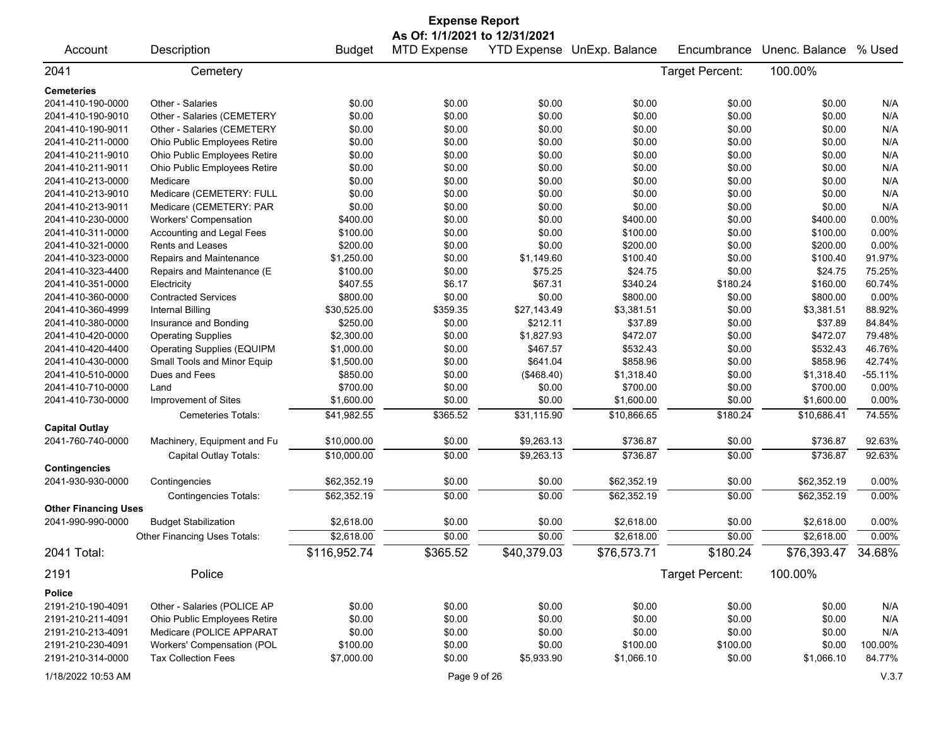|                             |                                   |               | <b>Expense Report</b> |             |                            |                 |                    |           |  |  |
|-----------------------------|-----------------------------------|---------------|-----------------------|-------------|----------------------------|-----------------|--------------------|-----------|--|--|
|                             | As Of: 1/1/2021 to 12/31/2021     |               |                       |             |                            |                 |                    |           |  |  |
| Account                     | Description                       | <b>Budget</b> | <b>MTD Expense</b>    |             | YTD Expense UnExp. Balance | Encumbrance     | Unenc. Balance     | % Used    |  |  |
| 2041                        | Cemetery                          |               |                       |             |                            | Target Percent: | 100.00%            |           |  |  |
| <b>Cemeteries</b>           |                                   |               |                       |             |                            |                 |                    |           |  |  |
| 2041-410-190-0000           | Other - Salaries                  | \$0.00        | \$0.00                | \$0.00      | \$0.00                     | \$0.00          | \$0.00             | N/A       |  |  |
| 2041-410-190-9010           | Other - Salaries (CEMETERY        | \$0.00        | \$0.00                | \$0.00      | \$0.00                     | \$0.00          | \$0.00             | N/A       |  |  |
| 2041-410-190-9011           | Other - Salaries (CEMETERY        | \$0.00        | \$0.00                | \$0.00      | \$0.00                     | \$0.00          | \$0.00             | N/A       |  |  |
| 2041-410-211-0000           | Ohio Public Employees Retire      | \$0.00        | \$0.00                | \$0.00      | \$0.00                     | \$0.00          | \$0.00             | N/A       |  |  |
| 2041-410-211-9010           | Ohio Public Employees Retire      | \$0.00        | \$0.00                | \$0.00      | \$0.00                     | \$0.00          | \$0.00             | N/A       |  |  |
| 2041-410-211-9011           | Ohio Public Employees Retire      | \$0.00        | \$0.00                | \$0.00      | \$0.00                     | \$0.00          | \$0.00             | N/A       |  |  |
| 2041-410-213-0000           | Medicare                          | \$0.00        | \$0.00                | \$0.00      | \$0.00                     | \$0.00          | \$0.00             | N/A       |  |  |
| 2041-410-213-9010           | Medicare (CEMETERY: FULL          | \$0.00        | \$0.00                | \$0.00      | \$0.00                     | \$0.00          | \$0.00             | N/A       |  |  |
| 2041-410-213-9011           | Medicare (CEMETERY: PAR           | \$0.00        | \$0.00                | \$0.00      | \$0.00                     | \$0.00          | \$0.00             | N/A       |  |  |
| 2041-410-230-0000           | <b>Workers' Compensation</b>      | \$400.00      | \$0.00                | \$0.00      | \$400.00                   | \$0.00          | \$400.00           | 0.00%     |  |  |
| 2041-410-311-0000           | Accounting and Legal Fees         | \$100.00      | \$0.00                | \$0.00      | \$100.00                   | \$0.00          | \$100.00           | 0.00%     |  |  |
| 2041-410-321-0000           | Rents and Leases                  | \$200.00      | \$0.00                | \$0.00      | \$200.00                   | \$0.00          | \$200.00           | 0.00%     |  |  |
| 2041-410-323-0000           | Repairs and Maintenance           | \$1,250.00    | \$0.00                | \$1,149.60  | \$100.40                   | \$0.00          | \$100.40           | 91.97%    |  |  |
| 2041-410-323-4400           | Repairs and Maintenance (E        | \$100.00      | \$0.00                | \$75.25     | \$24.75                    | \$0.00          | \$24.75            | 75.25%    |  |  |
| 2041-410-351-0000           | Electricity                       | \$407.55      | \$6.17                | \$67.31     | \$340.24                   | \$180.24        | \$160.00           | 60.74%    |  |  |
| 2041-410-360-0000           | <b>Contracted Services</b>        | \$800.00      | \$0.00                | \$0.00      | \$800.00                   | \$0.00          | \$800.00           | 0.00%     |  |  |
| 2041-410-360-4999           | <b>Internal Billing</b>           | \$30,525.00   | \$359.35              | \$27,143.49 | \$3,381.51                 | \$0.00          | \$3,381.51         | 88.92%    |  |  |
| 2041-410-380-0000           | Insurance and Bonding             | \$250.00      | \$0.00                | \$212.11    | \$37.89                    | \$0.00          | \$37.89            | 84.84%    |  |  |
| 2041-410-420-0000           | <b>Operating Supplies</b>         | \$2,300.00    | \$0.00                | \$1,827.93  | \$472.07                   | \$0.00          | \$472.07           | 79.48%    |  |  |
| 2041-410-420-4400           | <b>Operating Supplies (EQUIPM</b> | \$1,000.00    | \$0.00                | \$467.57    | \$532.43                   | \$0.00          | \$532.43           | 46.76%    |  |  |
| 2041-410-430-0000           | Small Tools and Minor Equip       | \$1,500.00    | \$0.00                | \$641.04    | \$858.96                   | \$0.00          | \$858.96           | 42.74%    |  |  |
| 2041-410-510-0000           | Dues and Fees                     | \$850.00      | \$0.00                | (\$468.40)  | \$1,318.40                 | \$0.00          | \$1,318.40         | $-55.11%$ |  |  |
| 2041-410-710-0000           | Land                              | \$700.00      | \$0.00                | \$0.00      | \$700.00                   | \$0.00          | \$700.00           | 0.00%     |  |  |
| 2041-410-730-0000           | Improvement of Sites              | \$1,600.00    | \$0.00                | \$0.00      | \$1,600.00                 | \$0.00          | \$1,600.00         | 0.00%     |  |  |
|                             | Cemeteries Totals:                | \$41,982.55   | \$365.52              | \$31,115.90 | \$10,866.65                | \$180.24        | \$10,686.41        | 74.55%    |  |  |
| <b>Capital Outlay</b>       |                                   |               |                       |             |                            |                 |                    |           |  |  |
| 2041-760-740-0000           | Machinery, Equipment and Fu       | \$10,000.00   | \$0.00                | \$9,263.13  | \$736.87                   | \$0.00          | \$736.87           | 92.63%    |  |  |
|                             | Capital Outlay Totals:            | \$10,000.00   | \$0.00                | \$9,263.13  | \$736.87                   | \$0.00          | \$736.87           | 92.63%    |  |  |
| <b>Contingencies</b>        |                                   |               |                       |             |                            |                 |                    |           |  |  |
| 2041-930-930-0000           | Contingencies                     | \$62,352.19   | \$0.00                | \$0.00      | \$62,352.19                | \$0.00          | \$62,352.19        | 0.00%     |  |  |
|                             | <b>Contingencies Totals:</b>      | \$62,352.19   | \$0.00                | \$0.00      | \$62,352.19                | \$0.00          | \$62,352.19        | 0.00%     |  |  |
| <b>Other Financing Uses</b> |                                   |               |                       |             |                            |                 |                    |           |  |  |
| 2041-990-990-0000           | <b>Budget Stabilization</b>       | \$2,618.00    | \$0.00                | \$0.00      | \$2,618.00                 | \$0.00          | \$2,618.00         | 0.00%     |  |  |
|                             | Other Financing Uses Totals:      | \$2,618.00    | \$0.00                | \$0.00      | \$2,618.00                 | \$0.00          | \$2,618.00         | 0.00%     |  |  |
| 2041 Total:                 |                                   | \$116,952.74  | \$365.52              | \$40,379.03 | \$76,573.71                | \$180.24        | \$76,393.47 34.68% |           |  |  |
| 2191                        | Police                            |               |                       |             |                            | Target Percent: | 100.00%            |           |  |  |
| <b>Police</b>               |                                   |               |                       |             |                            |                 |                    |           |  |  |
| 2191-210-190-4091           | Other - Salaries (POLICE AP       | \$0.00        | \$0.00                | \$0.00      | \$0.00                     | \$0.00          | \$0.00             | N/A       |  |  |
| 2191-210-211-4091           | Ohio Public Employees Retire      | \$0.00        | \$0.00                | \$0.00      | \$0.00                     | \$0.00          | \$0.00             | N/A       |  |  |
| 2191-210-213-4091           | Medicare (POLICE APPARAT          | \$0.00        | \$0.00                | \$0.00      | \$0.00                     | \$0.00          | \$0.00             | N/A       |  |  |
| 2191-210-230-4091           | Workers' Compensation (POL        | \$100.00      | \$0.00                | \$0.00      | \$100.00                   | \$100.00        | \$0.00             | 100.00%   |  |  |
| 2191-210-314-0000           | <b>Tax Collection Fees</b>        | \$7,000.00    | \$0.00                | \$5,933.90  | \$1,066.10                 | \$0.00          | \$1,066.10         | 84.77%    |  |  |
|                             |                                   |               |                       |             |                            |                 |                    |           |  |  |
| 1/18/2022 10:53 AM          |                                   |               | Page 9 of 26          |             |                            |                 |                    | V.3.7     |  |  |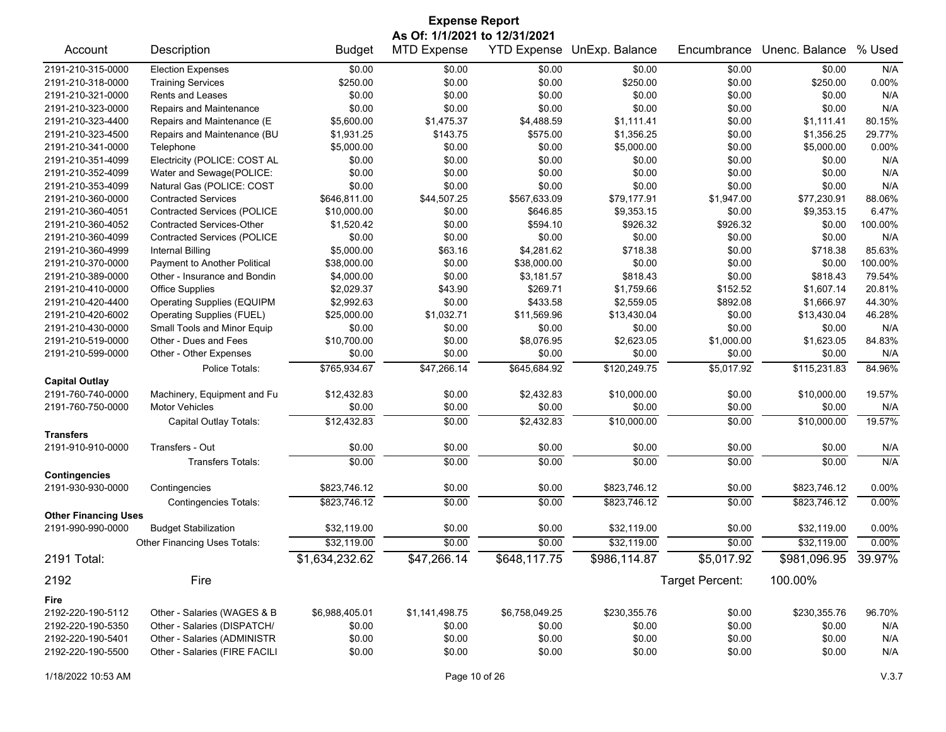| <b>Expense Report</b>                     |                                                                                                                                                                                   |                            |                  |                        |                            |                  |                            |                |  |
|-------------------------------------------|-----------------------------------------------------------------------------------------------------------------------------------------------------------------------------------|----------------------------|------------------|------------------------|----------------------------|------------------|----------------------------|----------------|--|
|                                           | As Of: 1/1/2021 to 12/31/2021<br><b>Budget</b><br><b>MTD Expense</b><br><b>YTD Expense</b><br>UnExp. Balance<br>Unenc. Balance<br>% Used<br>Account<br>Description<br>Encumbrance |                            |                  |                        |                            |                  |                            |                |  |
|                                           |                                                                                                                                                                                   |                            |                  |                        |                            |                  |                            |                |  |
| 2191-210-315-0000                         | <b>Election Expenses</b>                                                                                                                                                          | \$0.00                     | \$0.00           | \$0.00                 | \$0.00                     | \$0.00           | \$0.00                     | N/A            |  |
| 2191-210-318-0000                         | <b>Training Services</b>                                                                                                                                                          | \$250.00                   | \$0.00           | \$0.00                 | \$250.00                   | \$0.00           | \$250.00                   | 0.00%          |  |
| 2191-210-321-0000                         | <b>Rents and Leases</b>                                                                                                                                                           | \$0.00                     | \$0.00           | \$0.00                 | \$0.00                     | \$0.00           | \$0.00                     | N/A            |  |
| 2191-210-323-0000                         | Repairs and Maintenance                                                                                                                                                           | \$0.00                     | \$0.00           | \$0.00                 | \$0.00                     | \$0.00           | \$0.00                     | N/A            |  |
| 2191-210-323-4400                         | Repairs and Maintenance (E                                                                                                                                                        | \$5,600.00                 | \$1,475.37       | \$4,488.59             | \$1,111.41                 | \$0.00           | \$1,111.41                 | 80.15%         |  |
| 2191-210-323-4500                         | Repairs and Maintenance (BU                                                                                                                                                       | \$1,931.25                 | \$143.75         | \$575.00               | \$1,356.25                 | \$0.00           | \$1,356.25                 | 29.77%         |  |
| 2191-210-341-0000                         | Telephone                                                                                                                                                                         | \$5,000.00                 | \$0.00           | \$0.00                 | \$5,000.00                 | \$0.00           | \$5,000.00                 | 0.00%          |  |
| 2191-210-351-4099                         | Electricity (POLICE: COST AL                                                                                                                                                      | \$0.00                     | \$0.00           | \$0.00                 | \$0.00                     | \$0.00           | \$0.00                     | N/A            |  |
| 2191-210-352-4099                         | Water and Sewage(POLICE:                                                                                                                                                          | \$0.00                     | \$0.00           | \$0.00                 | \$0.00                     | \$0.00           | \$0.00                     | N/A            |  |
| 2191-210-353-4099                         | Natural Gas (POLICE: COST                                                                                                                                                         | \$0.00                     | \$0.00           | \$0.00                 | \$0.00                     | \$0.00           | \$0.00                     | N/A            |  |
| 2191-210-360-0000                         | <b>Contracted Services</b>                                                                                                                                                        | \$646,811.00               | \$44,507.25      | \$567,633.09           | \$79,177.91                | \$1,947.00       | \$77,230.91                | 88.06%         |  |
| 2191-210-360-4051                         | <b>Contracted Services (POLICE</b>                                                                                                                                                | \$10,000.00                | \$0.00           | \$646.85               | \$9,353.15                 | \$0.00           | \$9,353.15                 | 6.47%          |  |
| 2191-210-360-4052                         | <b>Contracted Services-Other</b>                                                                                                                                                  | \$1,520.42                 | \$0.00           | \$594.10               | \$926.32                   | \$926.32         | \$0.00                     | 100.00%        |  |
| 2191-210-360-4099                         | <b>Contracted Services (POLICE</b>                                                                                                                                                | \$0.00                     | \$0.00           | \$0.00                 | \$0.00                     | \$0.00           | \$0.00                     | N/A            |  |
| 2191-210-360-4999                         | Internal Billing                                                                                                                                                                  | \$5,000.00                 | \$63.16          | \$4,281.62             | \$718.38                   | \$0.00           | \$718.38                   | 85.63%         |  |
| 2191-210-370-0000                         | Payment to Another Political                                                                                                                                                      | \$38,000.00                | \$0.00           | \$38,000.00            | \$0.00                     | \$0.00           | \$0.00                     | 100.00%        |  |
| 2191-210-389-0000                         | Other - Insurance and Bondin                                                                                                                                                      | \$4,000.00                 | \$0.00           | \$3,181.57             | \$818.43                   | \$0.00           | \$818.43                   | 79.54%         |  |
| 2191-210-410-0000                         | <b>Office Supplies</b>                                                                                                                                                            | \$2,029.37                 | \$43.90          | \$269.71               | \$1,759.66                 | \$152.52         | \$1,607.14                 | 20.81%         |  |
| 2191-210-420-4400                         | <b>Operating Supplies (EQUIPM</b>                                                                                                                                                 | \$2,992.63                 | \$0.00           | \$433.58               | \$2,559.05                 | \$892.08         | \$1,666.97                 | 44.30%         |  |
| 2191-210-420-6002                         | <b>Operating Supplies (FUEL)</b>                                                                                                                                                  | \$25,000.00                | \$1,032.71       | \$11,569.96            | \$13,430.04                | \$0.00           | \$13,430.04                | 46.28%         |  |
| 2191-210-430-0000                         | Small Tools and Minor Equip                                                                                                                                                       | \$0.00                     | \$0.00           | \$0.00                 | \$0.00                     | \$0.00           | \$0.00                     | N/A            |  |
| 2191-210-519-0000                         | Other - Dues and Fees                                                                                                                                                             | \$10,700.00                | \$0.00           | \$8,076.95             | \$2,623.05                 | \$1,000.00       | \$1,623.05                 | 84.83%         |  |
| 2191-210-599-0000                         | Other - Other Expenses                                                                                                                                                            | \$0.00                     | \$0.00           | \$0.00                 | \$0.00                     | \$0.00           | \$0.00                     | N/A            |  |
|                                           | Police Totals:                                                                                                                                                                    | \$765,934.67               | \$47,266.14      | \$645,684.92           | \$120,249.75               | \$5,017.92       | \$115,231.83               | 84.96%         |  |
| <b>Capital Outlay</b>                     |                                                                                                                                                                                   |                            |                  |                        |                            |                  |                            |                |  |
| 2191-760-740-0000                         | Machinery, Equipment and Fu                                                                                                                                                       | \$12,432.83                | \$0.00           | \$2,432.83             | \$10,000.00                | \$0.00           | \$10,000.00                | 19.57%         |  |
| 2191-760-750-0000                         | <b>Motor Vehicles</b>                                                                                                                                                             | \$0.00                     | \$0.00           | \$0.00                 | \$0.00                     | \$0.00           | \$0.00                     | N/A            |  |
|                                           | Capital Outlay Totals:                                                                                                                                                            | \$12,432.83                | \$0.00           | $\overline{$2,432.83}$ | \$10,000.00                | \$0.00           | \$10,000.00                | 19.57%         |  |
| <b>Transfers</b>                          |                                                                                                                                                                                   |                            |                  |                        |                            |                  |                            |                |  |
| 2191-910-910-0000                         | Transfers - Out                                                                                                                                                                   | \$0.00                     | \$0.00           | \$0.00                 | \$0.00                     | \$0.00           | \$0.00                     | N/A            |  |
|                                           | <b>Transfers Totals:</b>                                                                                                                                                          | \$0.00                     | \$0.00           | \$0.00                 | \$0.00                     | \$0.00           | \$0.00                     | N/A            |  |
| <b>Contingencies</b><br>2191-930-930-0000 | Contingencies                                                                                                                                                                     | \$823,746.12               | \$0.00           | \$0.00                 | \$823,746.12               | \$0.00           | \$823,746.12               | 0.00%          |  |
|                                           |                                                                                                                                                                                   |                            |                  |                        |                            |                  |                            |                |  |
|                                           | <b>Contingencies Totals:</b>                                                                                                                                                      | \$823,746.12               | \$0.00           | \$0.00                 | \$823,746.12               | \$0.00           | \$823,746.12               | 0.00%          |  |
| <b>Other Financing Uses</b>               |                                                                                                                                                                                   |                            |                  |                        |                            |                  |                            |                |  |
| 2191-990-990-0000                         | <b>Budget Stabilization</b><br><b>Other Financing Uses Totals:</b>                                                                                                                | \$32,119.00<br>\$32.119.00 | \$0.00<br>\$0.00 | \$0.00<br>\$0.00       | \$32,119.00<br>\$32,119.00 | \$0.00<br>\$0.00 | \$32,119.00<br>\$32,119.00 | 0.00%<br>0.00% |  |
|                                           |                                                                                                                                                                                   |                            |                  |                        |                            |                  |                            |                |  |
| 2191 Total:                               |                                                                                                                                                                                   | \$1,634,232.62             | \$47,266.14      | \$648,117.75           | \$986,114.87               | \$5,017.92       | \$981,096.95               | 39.97%         |  |
| 2192                                      | Fire                                                                                                                                                                              |                            |                  |                        |                            | Target Percent:  | 100.00%                    |                |  |
| Fire                                      |                                                                                                                                                                                   |                            |                  |                        |                            |                  |                            |                |  |
| 2192-220-190-5112                         | Other - Salaries (WAGES & B                                                                                                                                                       | \$6,988,405.01             | \$1,141,498.75   | \$6,758,049.25         | \$230,355.76               | \$0.00           | \$230,355.76               | 96.70%         |  |
| 2192-220-190-5350                         | Other - Salaries (DISPATCH/                                                                                                                                                       | \$0.00                     | \$0.00           | \$0.00                 | \$0.00                     | \$0.00           | \$0.00                     | N/A            |  |
| 2192-220-190-5401                         | Other - Salaries (ADMINISTR                                                                                                                                                       | \$0.00                     | \$0.00           | \$0.00                 | \$0.00                     | \$0.00           | \$0.00                     | N/A            |  |
| 2192-220-190-5500                         | Other - Salaries (FIRE FACILI                                                                                                                                                     | \$0.00                     | \$0.00           | \$0.00                 | \$0.00                     | \$0.00           | \$0.00                     | N/A            |  |
|                                           |                                                                                                                                                                                   |                            |                  |                        |                            |                  |                            |                |  |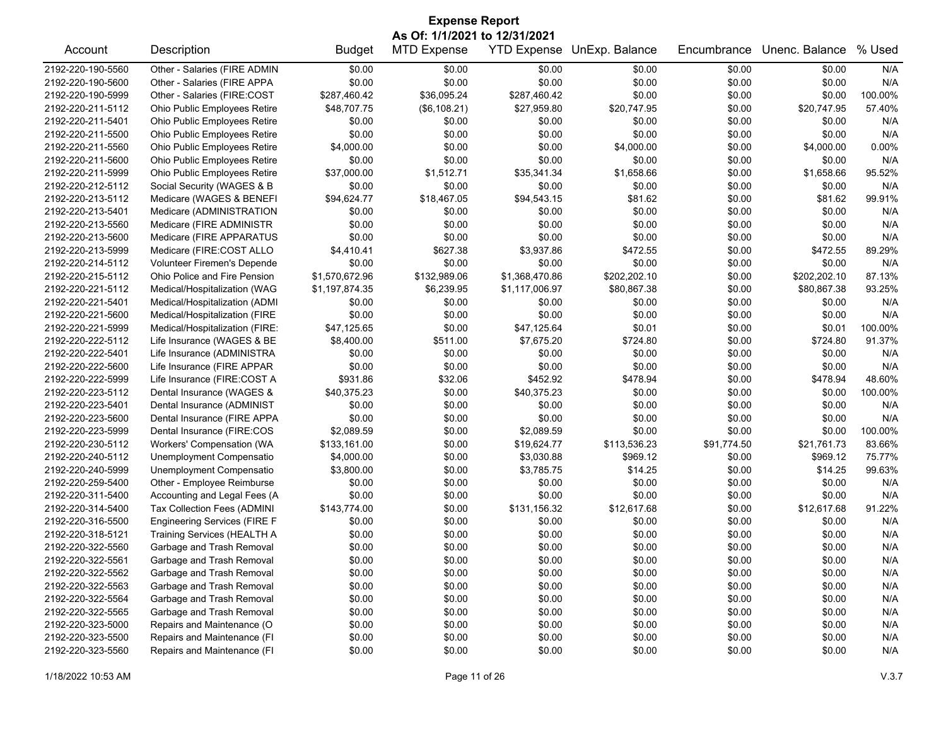| <b>Expense Report</b> |                                     |                |                    |                    |                |             |                |          |  |  |
|-----------------------|-------------------------------------|----------------|--------------------|--------------------|----------------|-------------|----------------|----------|--|--|
|                       | As Of: 1/1/2021 to 12/31/2021       |                |                    |                    |                |             |                |          |  |  |
| Account               | Description                         | <b>Budget</b>  | <b>MTD Expense</b> | <b>YTD Expense</b> | UnExp. Balance | Encumbrance | Unenc. Balance | % Used   |  |  |
| 2192-220-190-5560     | Other - Salaries (FIRE ADMIN        | \$0.00         | \$0.00             | \$0.00             | \$0.00         | \$0.00      | \$0.00         | N/A      |  |  |
| 2192-220-190-5600     | Other - Salaries (FIRE APPA         | \$0.00         | \$0.00             | \$0.00             | \$0.00         | \$0.00      | \$0.00         | N/A      |  |  |
| 2192-220-190-5999     | Other - Salaries (FIRE:COST         | \$287,460.42   | \$36.095.24        | \$287,460.42       | \$0.00         | \$0.00      | \$0.00         | 100.00%  |  |  |
| 2192-220-211-5112     | Ohio Public Employees Retire        | \$48,707.75    | (\$6,108.21)       | \$27,959.80        | \$20,747.95    | \$0.00      | \$20,747.95    | 57.40%   |  |  |
| 2192-220-211-5401     | Ohio Public Employees Retire        | \$0.00         | \$0.00             | \$0.00             | \$0.00         | \$0.00      | \$0.00         | N/A      |  |  |
| 2192-220-211-5500     | Ohio Public Employees Retire        | \$0.00         | \$0.00             | \$0.00             | \$0.00         | \$0.00      | \$0.00         | N/A      |  |  |
| 2192-220-211-5560     | Ohio Public Employees Retire        | \$4,000.00     | \$0.00             | \$0.00             | \$4,000.00     | \$0.00      | \$4,000.00     | $0.00\%$ |  |  |
| 2192-220-211-5600     | Ohio Public Employees Retire        | \$0.00         | \$0.00             | \$0.00             | \$0.00         | \$0.00      | \$0.00         | N/A      |  |  |
| 2192-220-211-5999     | Ohio Public Employees Retire        | \$37,000.00    | \$1,512.71         | \$35,341.34        | \$1,658.66     | \$0.00      | \$1,658.66     | 95.52%   |  |  |
| 2192-220-212-5112     | Social Security (WAGES & B          | \$0.00         | \$0.00             | \$0.00             | \$0.00         | \$0.00      | \$0.00         | N/A      |  |  |
| 2192-220-213-5112     | Medicare (WAGES & BENEFI            | \$94,624.77    | \$18,467.05        | \$94,543.15        | \$81.62        | \$0.00      | \$81.62        | 99.91%   |  |  |
| 2192-220-213-5401     | Medicare (ADMINISTRATION            | \$0.00         | \$0.00             | \$0.00             | \$0.00         | \$0.00      | \$0.00         | N/A      |  |  |
| 2192-220-213-5560     | Medicare (FIRE ADMINISTR            | \$0.00         | \$0.00             | \$0.00             | \$0.00         | \$0.00      | \$0.00         | N/A      |  |  |
| 2192-220-213-5600     | Medicare (FIRE APPARATUS            | \$0.00         | \$0.00             | \$0.00             | \$0.00         | \$0.00      | \$0.00         | N/A      |  |  |
| 2192-220-213-5999     | Medicare (FIRE:COST ALLO            | \$4,410.41     | \$627.38           | \$3,937.86         | \$472.55       | \$0.00      | \$472.55       | 89.29%   |  |  |
| 2192-220-214-5112     | Volunteer Firemen's Depende         | \$0.00         | \$0.00             | \$0.00             | \$0.00         | \$0.00      | \$0.00         | N/A      |  |  |
| 2192-220-215-5112     | Ohio Police and Fire Pension        | \$1,570,672.96 | \$132,989.06       | \$1,368,470.86     | \$202,202.10   | \$0.00      | \$202,202.10   | 87.13%   |  |  |
| 2192-220-221-5112     | Medical/Hospitalization (WAG        | \$1,197,874.35 | \$6,239.95         | \$1,117,006.97     | \$80,867.38    | \$0.00      | \$80,867.38    | 93.25%   |  |  |
| 2192-220-221-5401     | Medical/Hospitalization (ADMI       | \$0.00         | \$0.00             | \$0.00             | \$0.00         | \$0.00      | \$0.00         | N/A      |  |  |
| 2192-220-221-5600     | Medical/Hospitalization (FIRE       | \$0.00         | \$0.00             | \$0.00             | \$0.00         | \$0.00      | \$0.00         | N/A      |  |  |
| 2192-220-221-5999     | Medical/Hospitalization (FIRE:      | \$47,125.65    | \$0.00             | \$47,125.64        | \$0.01         | \$0.00      | \$0.01         | 100.00%  |  |  |
| 2192-220-222-5112     | Life Insurance (WAGES & BE          | \$8,400.00     | \$511.00           | \$7,675.20         | \$724.80       | \$0.00      | \$724.80       | 91.37%   |  |  |
| 2192-220-222-5401     | Life Insurance (ADMINISTRA          | \$0.00         | \$0.00             | \$0.00             | \$0.00         | \$0.00      | \$0.00         | N/A      |  |  |
| 2192-220-222-5600     | Life Insurance (FIRE APPAR          | \$0.00         | \$0.00             | \$0.00             | \$0.00         | \$0.00      | \$0.00         | N/A      |  |  |
| 2192-220-222-5999     | Life Insurance (FIRE:COST A         | \$931.86       | \$32.06            | \$452.92           | \$478.94       | \$0.00      | \$478.94       | 48.60%   |  |  |
| 2192-220-223-5112     | Dental Insurance (WAGES &           | \$40,375.23    | \$0.00             | \$40,375.23        | \$0.00         | \$0.00      | \$0.00         | 100.00%  |  |  |
| 2192-220-223-5401     | Dental Insurance (ADMINIST          | \$0.00         | \$0.00             | \$0.00             | \$0.00         | \$0.00      | \$0.00         | N/A      |  |  |
| 2192-220-223-5600     | Dental Insurance (FIRE APPA         | \$0.00         | \$0.00             | \$0.00             | \$0.00         | \$0.00      | \$0.00         | N/A      |  |  |
| 2192-220-223-5999     | Dental Insurance (FIRE:COS          | \$2,089.59     | \$0.00             | \$2,089.59         | \$0.00         | \$0.00      | \$0.00         | 100.00%  |  |  |
| 2192-220-230-5112     | Workers' Compensation (WA           | \$133,161.00   | \$0.00             | \$19,624.77        | \$113,536.23   | \$91,774.50 | \$21,761.73    | 83.66%   |  |  |
| 2192-220-240-5112     | Unemployment Compensatio            | \$4,000.00     | \$0.00             | \$3,030.88         | \$969.12       | \$0.00      | \$969.12       | 75.77%   |  |  |
| 2192-220-240-5999     | Unemployment Compensatio            | \$3,800.00     | \$0.00             | \$3,785.75         | \$14.25        | \$0.00      | \$14.25        | 99.63%   |  |  |
| 2192-220-259-5400     | Other - Employee Reimburse          | \$0.00         | \$0.00             | \$0.00             | \$0.00         | \$0.00      | \$0.00         | N/A      |  |  |
| 2192-220-311-5400     | Accounting and Legal Fees (A        | \$0.00         | \$0.00             | \$0.00             | \$0.00         | \$0.00      | \$0.00         | N/A      |  |  |
| 2192-220-314-5400     | Tax Collection Fees (ADMINI         | \$143,774.00   | \$0.00             | \$131,156.32       | \$12,617.68    | \$0.00      | \$12,617.68    | 91.22%   |  |  |
| 2192-220-316-5500     | <b>Engineering Services (FIRE F</b> | \$0.00         | \$0.00             | \$0.00             | \$0.00         | \$0.00      | \$0.00         | N/A      |  |  |
| 2192-220-318-5121     | <b>Training Services (HEALTH A</b>  | \$0.00         | \$0.00             | \$0.00             | \$0.00         | \$0.00      | \$0.00         | N/A      |  |  |
| 2192-220-322-5560     | Garbage and Trash Removal           | \$0.00         | \$0.00             | \$0.00             | \$0.00         | \$0.00      | \$0.00         | N/A      |  |  |
| 2192-220-322-5561     | Garbage and Trash Removal           | \$0.00         | \$0.00             | \$0.00             | \$0.00         | \$0.00      | \$0.00         | N/A      |  |  |
| 2192-220-322-5562     | Garbage and Trash Removal           | \$0.00         | \$0.00             | \$0.00             | \$0.00         | \$0.00      | \$0.00         | N/A      |  |  |
| 2192-220-322-5563     | Garbage and Trash Removal           | \$0.00         | \$0.00             | \$0.00             | \$0.00         | \$0.00      | \$0.00         | N/A      |  |  |
| 2192-220-322-5564     | Garbage and Trash Removal           | \$0.00         | \$0.00             | \$0.00             | \$0.00         | \$0.00      | \$0.00         | N/A      |  |  |
| 2192-220-322-5565     | Garbage and Trash Removal           | \$0.00         | \$0.00             | \$0.00             | \$0.00         | \$0.00      | \$0.00         | N/A      |  |  |
| 2192-220-323-5000     | Repairs and Maintenance (O          | \$0.00         | \$0.00             | \$0.00             | \$0.00         | \$0.00      | \$0.00         | N/A      |  |  |
| 2192-220-323-5500     | Repairs and Maintenance (FI         | \$0.00         | \$0.00             | \$0.00             | \$0.00         | \$0.00      | \$0.00         | N/A      |  |  |
| 2192-220-323-5560     | Repairs and Maintenance (FI         | \$0.00         | \$0.00             | \$0.00             | \$0.00         | \$0.00      | \$0.00         | N/A      |  |  |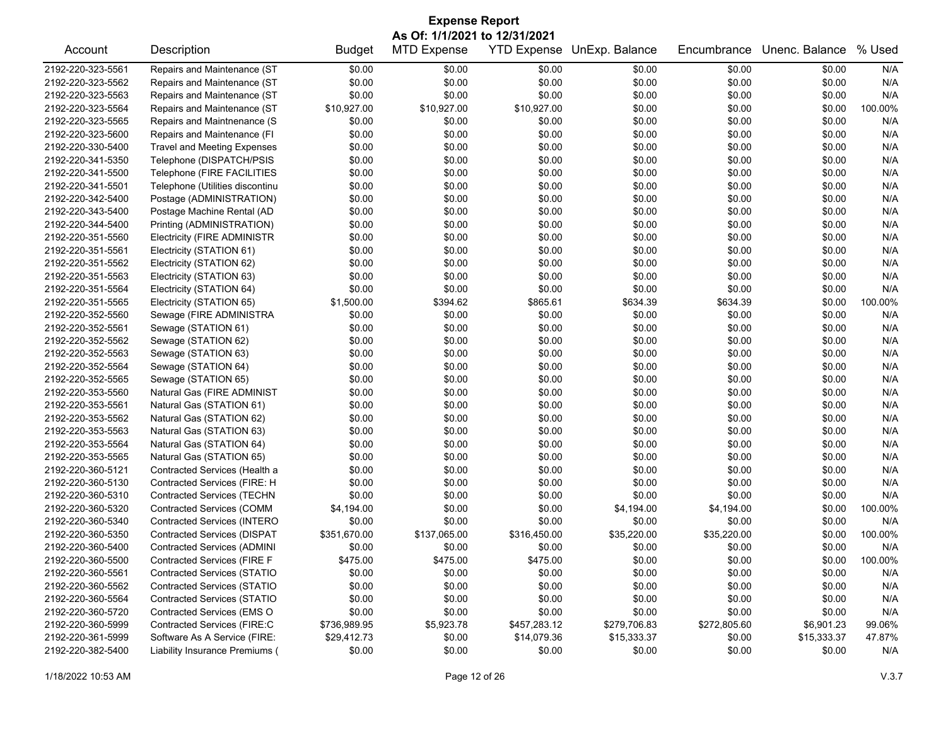| <b>Expense Report</b>         |                                    |               |                    |                    |                |              |                |         |  |
|-------------------------------|------------------------------------|---------------|--------------------|--------------------|----------------|--------------|----------------|---------|--|
| As Of: 1/1/2021 to 12/31/2021 |                                    |               |                    |                    |                |              |                |         |  |
| Account                       | Description                        | <b>Budget</b> | <b>MTD Expense</b> | <b>YTD Expense</b> | UnExp. Balance | Encumbrance  | Unenc. Balance | % Used  |  |
| 2192-220-323-5561             | Repairs and Maintenance (ST        | \$0.00        | \$0.00             | \$0.00             | \$0.00         | \$0.00       | \$0.00         | N/A     |  |
| 2192-220-323-5562             | Repairs and Maintenance (ST        | \$0.00        | \$0.00             | \$0.00             | \$0.00         | \$0.00       | \$0.00         | N/A     |  |
| 2192-220-323-5563             | Repairs and Maintenance (ST        | \$0.00        | \$0.00             | \$0.00             | \$0.00         | \$0.00       | \$0.00         | N/A     |  |
| 2192-220-323-5564             | Repairs and Maintenance (ST        | \$10,927.00   | \$10,927.00        | \$10,927.00        | \$0.00         | \$0.00       | \$0.00         | 100.00% |  |
| 2192-220-323-5565             | Repairs and Maintnenance (S        | \$0.00        | \$0.00             | \$0.00             | \$0.00         | \$0.00       | \$0.00         | N/A     |  |
| 2192-220-323-5600             | Repairs and Maintenance (FI        | \$0.00        | \$0.00             | \$0.00             | \$0.00         | \$0.00       | \$0.00         | N/A     |  |
| 2192-220-330-5400             | <b>Travel and Meeting Expenses</b> | \$0.00        | \$0.00             | \$0.00             | \$0.00         | \$0.00       | \$0.00         | N/A     |  |
| 2192-220-341-5350             | Telephone (DISPATCH/PSIS           | \$0.00        | \$0.00             | \$0.00             | \$0.00         | \$0.00       | \$0.00         | N/A     |  |
| 2192-220-341-5500             | Telephone (FIRE FACILITIES         | \$0.00        | \$0.00             | \$0.00             | \$0.00         | \$0.00       | \$0.00         | N/A     |  |
| 2192-220-341-5501             | Telephone (Utilities discontinu    | \$0.00        | \$0.00             | \$0.00             | \$0.00         | \$0.00       | \$0.00         | N/A     |  |
| 2192-220-342-5400             | Postage (ADMINISTRATION)           | \$0.00        | \$0.00             | \$0.00             | \$0.00         | \$0.00       | \$0.00         | N/A     |  |
| 2192-220-343-5400             | Postage Machine Rental (AD         | \$0.00        | \$0.00             | \$0.00             | \$0.00         | \$0.00       | \$0.00         | N/A     |  |
| 2192-220-344-5400             | Printing (ADMINISTRATION)          | \$0.00        | \$0.00             | \$0.00             | \$0.00         | \$0.00       | \$0.00         | N/A     |  |
| 2192-220-351-5560             | <b>Electricity (FIRE ADMINISTR</b> | \$0.00        | \$0.00             | \$0.00             | \$0.00         | \$0.00       | \$0.00         | N/A     |  |
| 2192-220-351-5561             | Electricity (STATION 61)           | \$0.00        | \$0.00             | \$0.00             | \$0.00         | \$0.00       | \$0.00         | N/A     |  |
| 2192-220-351-5562             | Electricity (STATION 62)           | \$0.00        | \$0.00             | \$0.00             | \$0.00         | \$0.00       | \$0.00         | N/A     |  |
| 2192-220-351-5563             | Electricity (STATION 63)           | \$0.00        | \$0.00             | \$0.00             | \$0.00         | \$0.00       | \$0.00         | N/A     |  |
| 2192-220-351-5564             | Electricity (STATION 64)           | \$0.00        | \$0.00             | \$0.00             | \$0.00         | \$0.00       | \$0.00         | N/A     |  |
| 2192-220-351-5565             | Electricity (STATION 65)           | \$1,500.00    | \$394.62           | \$865.61           | \$634.39       | \$634.39     | \$0.00         | 100.00% |  |
| 2192-220-352-5560             | Sewage (FIRE ADMINISTRA            | \$0.00        | \$0.00             | \$0.00             | \$0.00         | \$0.00       | \$0.00         | N/A     |  |
| 2192-220-352-5561             | Sewage (STATION 61)                | \$0.00        | \$0.00             | \$0.00             | \$0.00         | \$0.00       | \$0.00         | N/A     |  |
| 2192-220-352-5562             | Sewage (STATION 62)                | \$0.00        | \$0.00             | \$0.00             | \$0.00         | \$0.00       | \$0.00         | N/A     |  |
| 2192-220-352-5563             | Sewage (STATION 63)                | \$0.00        | \$0.00             | \$0.00             | \$0.00         | \$0.00       | \$0.00         | N/A     |  |
| 2192-220-352-5564             | Sewage (STATION 64)                | \$0.00        | \$0.00             | \$0.00             | \$0.00         | \$0.00       | \$0.00         | N/A     |  |
| 2192-220-352-5565             | Sewage (STATION 65)                | \$0.00        | \$0.00             | \$0.00             | \$0.00         | \$0.00       | \$0.00         | N/A     |  |
| 2192-220-353-5560             | Natural Gas (FIRE ADMINIST         | \$0.00        | \$0.00             | \$0.00             | \$0.00         | \$0.00       | \$0.00         | N/A     |  |
| 2192-220-353-5561             | Natural Gas (STATION 61)           | \$0.00        | \$0.00             | \$0.00             | \$0.00         | \$0.00       | \$0.00         | N/A     |  |
| 2192-220-353-5562             | Natural Gas (STATION 62)           | \$0.00        | \$0.00             | \$0.00             | \$0.00         | \$0.00       | \$0.00         | N/A     |  |
| 2192-220-353-5563             | Natural Gas (STATION 63)           | \$0.00        | \$0.00             | \$0.00             | \$0.00         | \$0.00       | \$0.00         | N/A     |  |
| 2192-220-353-5564             | Natural Gas (STATION 64)           | \$0.00        | \$0.00             | \$0.00             | \$0.00         | \$0.00       | \$0.00         | N/A     |  |
| 2192-220-353-5565             | Natural Gas (STATION 65)           | \$0.00        | \$0.00             | \$0.00             | \$0.00         | \$0.00       | \$0.00         | N/A     |  |
| 2192-220-360-5121             | Contracted Services (Health a      | \$0.00        | \$0.00             | \$0.00             | \$0.00         | \$0.00       | \$0.00         | N/A     |  |
| 2192-220-360-5130             | Contracted Services (FIRE: H       | \$0.00        | \$0.00             | \$0.00             | \$0.00         | \$0.00       | \$0.00         | N/A     |  |
| 2192-220-360-5310             | <b>Contracted Services (TECHN</b>  | \$0.00        | \$0.00             | \$0.00             | \$0.00         | \$0.00       | \$0.00         | N/A     |  |
| 2192-220-360-5320             | <b>Contracted Services (COMM</b>   | \$4,194.00    | \$0.00             | \$0.00             | \$4,194.00     | \$4,194.00   | \$0.00         | 100.00% |  |
| 2192-220-360-5340             | Contracted Services (INTERO        | \$0.00        | \$0.00             | \$0.00             | \$0.00         | \$0.00       | \$0.00         | N/A     |  |
| 2192-220-360-5350             | <b>Contracted Services (DISPAT</b> | \$351,670.00  | \$137,065.00       | \$316,450.00       | \$35,220.00    | \$35,220.00  | \$0.00         | 100.00% |  |
| 2192-220-360-5400             | <b>Contracted Services (ADMINI</b> | \$0.00        | \$0.00             | \$0.00             | \$0.00         | \$0.00       | \$0.00         | N/A     |  |
| 2192-220-360-5500             | Contracted Services (FIRE F        | \$475.00      | \$475.00           | \$475.00           | \$0.00         | \$0.00       | \$0.00         | 100.00% |  |
| 2192-220-360-5561             | <b>Contracted Services (STATIO</b> | \$0.00        | \$0.00             | \$0.00             | \$0.00         | \$0.00       | \$0.00         | N/A     |  |
| 2192-220-360-5562             | <b>Contracted Services (STATIO</b> | \$0.00        | \$0.00             | \$0.00             | \$0.00         | \$0.00       | \$0.00         | N/A     |  |
| 2192-220-360-5564             | Contracted Services (STATIO        | \$0.00        | \$0.00             | \$0.00             | \$0.00         | \$0.00       | \$0.00         | N/A     |  |
| 2192-220-360-5720             | Contracted Services (EMS O         | \$0.00        | \$0.00             | \$0.00             | \$0.00         | \$0.00       | \$0.00         | N/A     |  |
| 2192-220-360-5999             | Contracted Services (FIRE:C        | \$736,989.95  | \$5,923.78         | \$457,283.12       | \$279,706.83   | \$272,805.60 | \$6,901.23     | 99.06%  |  |
| 2192-220-361-5999             | Software As A Service (FIRE:       | \$29,412.73   | \$0.00             | \$14,079.36        | \$15,333.37    | \$0.00       | \$15,333.37    | 47.87%  |  |
| 2192-220-382-5400             | Liability Insurance Premiums (     | \$0.00        | \$0.00             | \$0.00             | \$0.00         | \$0.00       | \$0.00         | N/A     |  |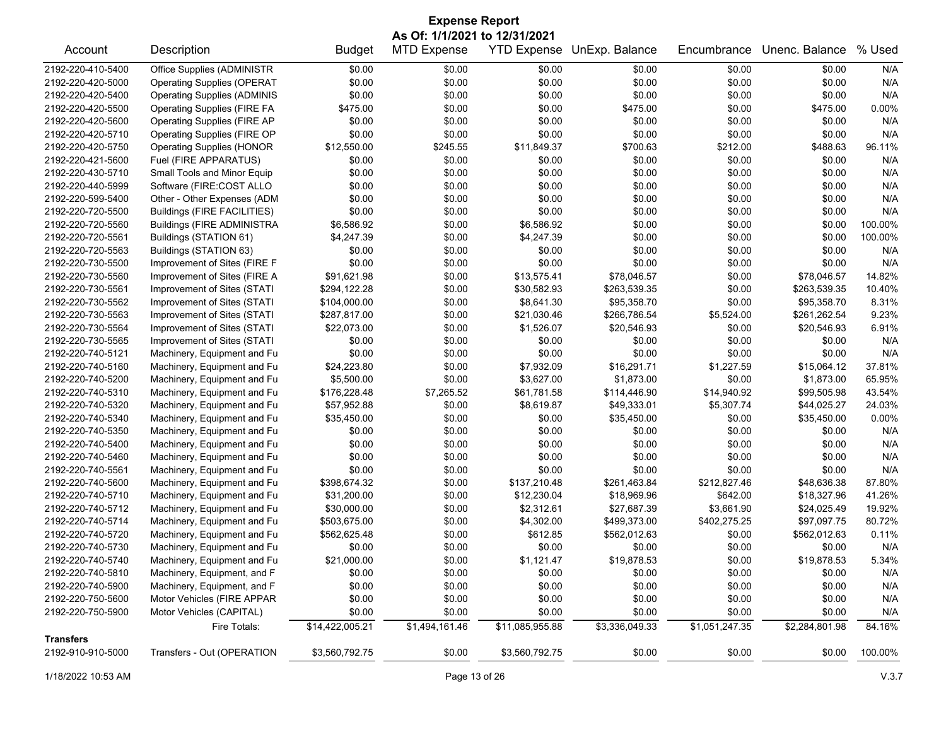| <b>Expense Report</b>                                                                                                                  |                                    |                |                    |                    |                |              |                |          |  |
|----------------------------------------------------------------------------------------------------------------------------------------|------------------------------------|----------------|--------------------|--------------------|----------------|--------------|----------------|----------|--|
| As Of: 1/1/2021 to 12/31/2021                                                                                                          |                                    |                |                    |                    |                |              |                |          |  |
| Account                                                                                                                                | Description                        | <b>Budget</b>  | <b>MTD Expense</b> | <b>YTD Expense</b> | UnExp. Balance | Encumbrance  | Unenc. Balance | % Used   |  |
| 2192-220-410-5400                                                                                                                      | Office Supplies (ADMINISTR         | \$0.00         | \$0.00             | \$0.00             | \$0.00         | \$0.00       | \$0.00         | N/A      |  |
| 2192-220-420-5000                                                                                                                      | <b>Operating Supplies (OPERAT</b>  | \$0.00         | \$0.00             | \$0.00             | \$0.00         | \$0.00       | \$0.00         | N/A      |  |
| 2192-220-420-5400                                                                                                                      | <b>Operating Supplies (ADMINIS</b> | \$0.00         | \$0.00             | \$0.00             | \$0.00         | \$0.00       | \$0.00         | N/A      |  |
| 2192-220-420-5500                                                                                                                      | <b>Operating Supplies (FIRE FA</b> | \$475.00       | \$0.00             | \$0.00             | \$475.00       | \$0.00       | \$475.00       | 0.00%    |  |
| 2192-220-420-5600                                                                                                                      | <b>Operating Supplies (FIRE AP</b> | \$0.00         | \$0.00             | \$0.00             | \$0.00         | \$0.00       | \$0.00         | N/A      |  |
| 2192-220-420-5710                                                                                                                      | Operating Supplies (FIRE OP        | \$0.00         | \$0.00             | \$0.00             | \$0.00         | \$0.00       | \$0.00         | N/A      |  |
| 2192-220-420-5750                                                                                                                      | <b>Operating Supplies (HONOR</b>   | \$12,550.00    | \$245.55           | \$11,849.37        | \$700.63       | \$212.00     | \$488.63       | 96.11%   |  |
| 2192-220-421-5600                                                                                                                      | Fuel (FIRE APPARATUS)              | \$0.00         | \$0.00             | \$0.00             | \$0.00         | \$0.00       | \$0.00         | N/A      |  |
| 2192-220-430-5710                                                                                                                      | Small Tools and Minor Equip        | \$0.00         | \$0.00             | \$0.00             | \$0.00         | \$0.00       | \$0.00         | N/A      |  |
| 2192-220-440-5999                                                                                                                      | Software (FIRE:COST ALLO           | \$0.00         | \$0.00             | \$0.00             | \$0.00         | \$0.00       | \$0.00         | N/A      |  |
| 2192-220-599-5400                                                                                                                      | Other - Other Expenses (ADM        | \$0.00         | \$0.00             | \$0.00             | \$0.00         | \$0.00       | \$0.00         | N/A      |  |
| 2192-220-720-5500                                                                                                                      | Buildings (FIRE FACILITIES)        | \$0.00         | \$0.00             | \$0.00             | \$0.00         | \$0.00       | \$0.00         | N/A      |  |
| 2192-220-720-5560                                                                                                                      | <b>Buildings (FIRE ADMINISTRA</b>  | \$6,586.92     | \$0.00             | \$6,586.92         | \$0.00         | \$0.00       | \$0.00         | 100.00%  |  |
| 2192-220-720-5561                                                                                                                      | Buildings (STATION 61)             | \$4,247.39     | \$0.00             | \$4,247.39         | \$0.00         | \$0.00       | \$0.00         | 100.00%  |  |
| 2192-220-720-5563                                                                                                                      | Buildings (STATION 63)             | \$0.00         | \$0.00             | \$0.00             | \$0.00         | \$0.00       | \$0.00         | N/A      |  |
| 2192-220-730-5500                                                                                                                      | Improvement of Sites (FIRE F       | \$0.00         | \$0.00             | \$0.00             | \$0.00         | \$0.00       | \$0.00         | N/A      |  |
| 2192-220-730-5560                                                                                                                      | Improvement of Sites (FIRE A       | \$91,621.98    | \$0.00             | \$13,575.41        | \$78,046.57    | \$0.00       | \$78,046.57    | 14.82%   |  |
| 2192-220-730-5561                                                                                                                      | Improvement of Sites (STATI        | \$294,122.28   | \$0.00             | \$30,582.93        | \$263,539.35   | \$0.00       | \$263,539.35   | 10.40%   |  |
| 2192-220-730-5562                                                                                                                      | Improvement of Sites (STATI        | \$104,000.00   | \$0.00             | \$8,641.30         | \$95,358.70    | \$0.00       | \$95,358.70    | 8.31%    |  |
| 2192-220-730-5563                                                                                                                      | Improvement of Sites (STATI        | \$287,817.00   | \$0.00             | \$21,030.46        | \$266,786.54   | \$5,524.00   | \$261,262.54   | 9.23%    |  |
| 2192-220-730-5564                                                                                                                      | Improvement of Sites (STATI        | \$22,073.00    | \$0.00             | \$1,526.07         | \$20,546.93    | \$0.00       | \$20,546.93    | 6.91%    |  |
| 2192-220-730-5565                                                                                                                      | Improvement of Sites (STATI        | \$0.00         | \$0.00             | \$0.00             | \$0.00         | \$0.00       | \$0.00         | N/A      |  |
| 2192-220-740-5121                                                                                                                      | Machinery, Equipment and Fu        | \$0.00         | \$0.00             | \$0.00             | \$0.00         | \$0.00       | \$0.00         | N/A      |  |
| 2192-220-740-5160                                                                                                                      | Machinery, Equipment and Fu        | \$24,223.80    | \$0.00             | \$7,932.09         | \$16,291.71    | \$1,227.59   | \$15,064.12    | 37.81%   |  |
| 2192-220-740-5200                                                                                                                      | Machinery, Equipment and Fu        | \$5,500.00     | \$0.00             | \$3,627.00         | \$1,873.00     | \$0.00       | \$1,873.00     | 65.95%   |  |
| 2192-220-740-5310                                                                                                                      | Machinery, Equipment and Fu        | \$176,228.48   | \$7,265.52         | \$61,781.58        | \$114,446.90   | \$14,940.92  | \$99,505.98    | 43.54%   |  |
| 2192-220-740-5320                                                                                                                      | Machinery, Equipment and Fu        | \$57,952.88    | \$0.00             | \$8,619.87         | \$49,333.01    | \$5,307.74   | \$44,025.27    | 24.03%   |  |
| 2192-220-740-5340                                                                                                                      | Machinery, Equipment and Fu        | \$35,450.00    | \$0.00             | \$0.00             | \$35,450.00    | \$0.00       | \$35,450.00    | $0.00\%$ |  |
| 2192-220-740-5350                                                                                                                      | Machinery, Equipment and Fu        | \$0.00         | \$0.00             | \$0.00             | \$0.00         | \$0.00       | \$0.00         | N/A      |  |
| 2192-220-740-5400                                                                                                                      | Machinery, Equipment and Fu        | \$0.00         | \$0.00             | \$0.00             | \$0.00         | \$0.00       | \$0.00         | N/A      |  |
| 2192-220-740-5460                                                                                                                      | Machinery, Equipment and Fu        | \$0.00         | \$0.00             | \$0.00             | \$0.00         | \$0.00       | \$0.00         | N/A      |  |
| 2192-220-740-5561                                                                                                                      | Machinery, Equipment and Fu        | \$0.00         | \$0.00             | \$0.00             | \$0.00         | \$0.00       | \$0.00         | N/A      |  |
| 2192-220-740-5600                                                                                                                      | Machinery, Equipment and Fu        | \$398,674.32   | \$0.00             | \$137,210.48       | \$261,463.84   | \$212,827.46 | \$48,636.38    | 87.80%   |  |
| 2192-220-740-5710                                                                                                                      | Machinery, Equipment and Fu        | \$31,200.00    | \$0.00             | \$12,230.04        | \$18,969.96    | \$642.00     | \$18,327.96    | 41.26%   |  |
| 2192-220-740-5712                                                                                                                      | Machinery, Equipment and Fu        | \$30,000.00    | \$0.00             | \$2,312.61         | \$27,687.39    | \$3,661.90   | \$24,025.49    | 19.92%   |  |
| 2192-220-740-5714                                                                                                                      | Machinery, Equipment and Fu        | \$503,675.00   | \$0.00             | \$4,302.00         | \$499,373.00   | \$402,275.25 | \$97,097.75    | 80.72%   |  |
| 2192-220-740-5720                                                                                                                      | Machinery, Equipment and Fu        | \$562,625.48   | \$0.00             | \$612.85           | \$562,012.63   | \$0.00       | \$562,012.63   | 0.11%    |  |
| 2192-220-740-5730                                                                                                                      | Machinery, Equipment and Fu        | \$0.00         | \$0.00             | \$0.00             | \$0.00         | \$0.00       | \$0.00         | N/A      |  |
| 2192-220-740-5740                                                                                                                      | Machinery, Equipment and Fu        | \$21,000.00    | \$0.00             | \$1,121.47         | \$19,878.53    | \$0.00       | \$19,878.53    | 5.34%    |  |
| 2192-220-740-5810                                                                                                                      | Machinery, Equipment, and F        | \$0.00         | \$0.00             | \$0.00             | \$0.00         | \$0.00       | \$0.00         | N/A      |  |
| 2192-220-740-5900                                                                                                                      | Machinery, Equipment, and F        | \$0.00         | \$0.00             | \$0.00             | \$0.00         | \$0.00       | \$0.00         | N/A      |  |
| 2192-220-750-5600                                                                                                                      | Motor Vehicles (FIRE APPAR         | \$0.00         | \$0.00             | \$0.00             | \$0.00         | \$0.00       | \$0.00         | N/A      |  |
| 2192-220-750-5900                                                                                                                      | Motor Vehicles (CAPITAL)           | \$0.00         | \$0.00             | \$0.00             | \$0.00         | \$0.00       | \$0.00         | N/A      |  |
|                                                                                                                                        |                                    |                | \$1,494,161.46     |                    |                |              |                |          |  |
| \$14,422,005.21<br>\$11,085,955.88<br>\$3,336,049.33<br>\$1,051,247.35<br>\$2,284,801.98<br>84.16%<br>Fire Totals:<br><b>Transfers</b> |                                    |                |                    |                    |                |              |                |          |  |
| 2192-910-910-5000                                                                                                                      | Transfers - Out (OPERATION         | \$3,560,792.75 | \$0.00             | \$3,560,792.75     | \$0.00         | \$0.00       | \$0.00         | 100.00%  |  |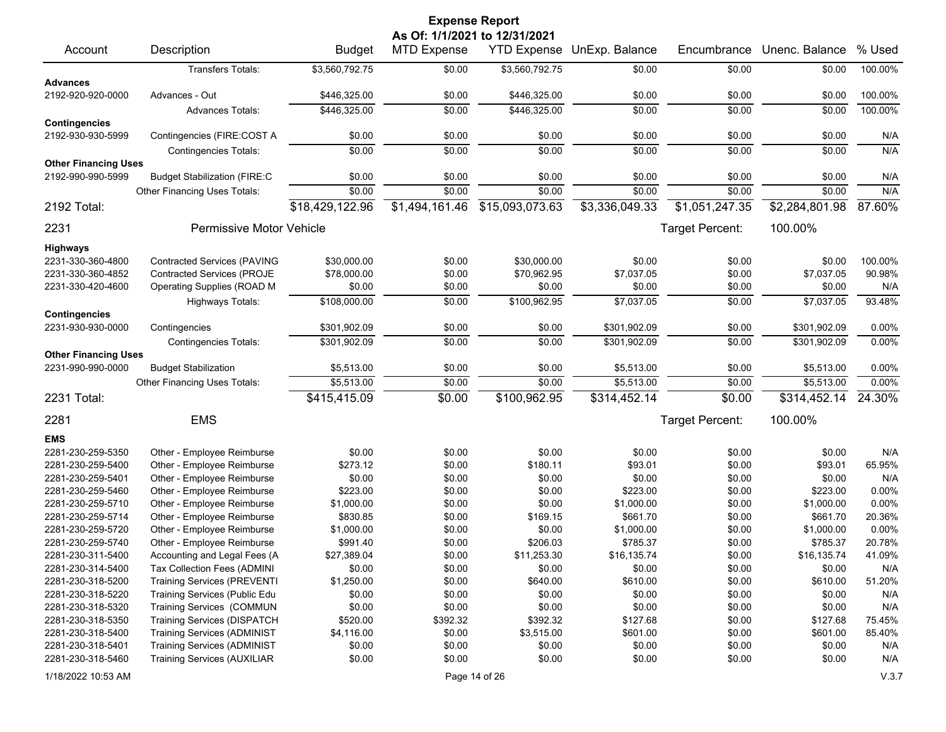| <b>Expense Report</b><br>As Of: 1/1/2021 to 12/31/2021 |                                                                   |                      |                    |                    |                    |                  |                    |               |
|--------------------------------------------------------|-------------------------------------------------------------------|----------------------|--------------------|--------------------|--------------------|------------------|--------------------|---------------|
| Account                                                | Description                                                       | <b>Budget</b>        | <b>MTD Expense</b> | <b>YTD Expense</b> | UnExp. Balance     | Encumbrance      | Unenc. Balance     | % Used        |
|                                                        | Transfers Totals:                                                 | \$3,560,792.75       | \$0.00             | \$3,560,792.75     | \$0.00             | \$0.00           | \$0.00             | 100.00%       |
| <b>Advances</b>                                        |                                                                   |                      |                    |                    |                    |                  |                    |               |
| 2192-920-920-0000                                      | Advances - Out                                                    | \$446,325.00         | \$0.00             | \$446,325.00       | \$0.00             | \$0.00           | \$0.00             | 100.00%       |
|                                                        | <b>Advances Totals:</b>                                           | \$446,325.00         | \$0.00             | \$446,325.00       | \$0.00             | \$0.00           | \$0.00             | 100.00%       |
| <b>Contingencies</b>                                   |                                                                   |                      |                    |                    |                    |                  |                    |               |
| 2192-930-930-5999                                      | Contingencies (FIRE:COST A                                        | \$0.00               | \$0.00             | \$0.00             | \$0.00             | \$0.00           | \$0.00             | N/A           |
|                                                        | <b>Contingencies Totals:</b>                                      | \$0.00               | \$0.00             | \$0.00             | \$0.00             | \$0.00           | \$0.00             | N/A           |
| <b>Other Financing Uses</b>                            |                                                                   |                      |                    |                    |                    |                  |                    |               |
| 2192-990-990-5999                                      | <b>Budget Stabilization (FIRE:C</b>                               | \$0.00               | \$0.00             | \$0.00             | \$0.00             | \$0.00           | \$0.00             | N/A           |
|                                                        | Other Financing Uses Totals:                                      | \$0.00               | \$0.00             | \$0.00             | \$0.00             | \$0.00           | \$0.00             | N/A           |
| 2192 Total:                                            |                                                                   | \$18,429,122.96      | \$1,494,161.46     | \$15,093,073.63    | \$3,336,049.33     | \$1,051,247.35   | \$2,284,801.98     | 87.60%        |
| 2231                                                   | Permissive Motor Vehicle                                          |                      |                    |                    |                    | Target Percent:  | 100.00%            |               |
| <b>Highways</b>                                        |                                                                   |                      |                    |                    |                    |                  |                    |               |
| 2231-330-360-4800                                      | <b>Contracted Services (PAVING</b>                                | \$30,000.00          | \$0.00             | \$30,000.00        | \$0.00             | \$0.00           | \$0.00             | 100.00%       |
| 2231-330-360-4852                                      | <b>Contracted Services (PROJE</b>                                 | \$78,000.00          | \$0.00             | \$70,962.95        | \$7,037.05         | \$0.00           | \$7,037.05         | 90.98%        |
| 2231-330-420-4600                                      | Operating Supplies (ROAD M                                        | \$0.00               | \$0.00             | \$0.00             | \$0.00             | \$0.00           | \$0.00             | N/A           |
|                                                        | Highways Totals:                                                  | \$108,000.00         | \$0.00             | \$100,962.95       | \$7,037.05         | \$0.00           | \$7,037.05         | 93.48%        |
| <b>Contingencies</b>                                   |                                                                   |                      |                    |                    |                    |                  |                    |               |
| 2231-930-930-0000                                      | Contingencies                                                     | \$301,902.09         | \$0.00             | \$0.00             | \$301,902.09       | \$0.00           | \$301,902.09       | 0.00%         |
|                                                        | <b>Contingencies Totals:</b>                                      | \$301,902.09         | \$0.00             | \$0.00             | \$301,902.09       | \$0.00           | \$301.902.09       | 0.00%         |
| <b>Other Financing Uses</b>                            |                                                                   |                      |                    |                    |                    |                  |                    |               |
| 2231-990-990-0000                                      | <b>Budget Stabilization</b>                                       | \$5,513.00           | \$0.00             | \$0.00             | \$5,513.00         | \$0.00           | \$5,513.00         | 0.00%         |
|                                                        | Other Financing Uses Totals:                                      | \$5,513.00           | \$0.00             | \$0.00             | \$5,513.00         | \$0.00           | \$5,513.00         | 0.00%         |
| 2231 Total:                                            |                                                                   | \$415,415.09         | \$0.00             | \$100,962.95       | \$314,452.14       | \$0.00           | \$314,452.14       | 24.30%        |
| 2281                                                   | <b>EMS</b>                                                        |                      |                    |                    |                    | Target Percent:  | 100.00%            |               |
| <b>EMS</b>                                             |                                                                   |                      |                    |                    |                    |                  |                    |               |
| 2281-230-259-5350                                      | Other - Employee Reimburse                                        | \$0.00               | \$0.00             | \$0.00             | \$0.00             | \$0.00           | \$0.00             | N/A           |
| 2281-230-259-5400                                      | Other - Employee Reimburse                                        | \$273.12             | \$0.00             | \$180.11           | \$93.01            | \$0.00           | \$93.01            | 65.95%        |
| 2281-230-259-5401                                      | Other - Employee Reimburse                                        | \$0.00               | \$0.00             | \$0.00             | \$0.00             | \$0.00           | \$0.00             | N/A           |
| 2281-230-259-5460                                      | Other - Employee Reimburse                                        | \$223.00             | \$0.00             | \$0.00             | \$223.00           | \$0.00           | \$223.00           | 0.00%         |
| 2281-230-259-5710                                      | Other - Employee Reimburse                                        | \$1,000.00           | \$0.00             | \$0.00             | \$1,000.00         | \$0.00           | \$1,000.00         | 0.00%         |
| 2281-230-259-5714                                      | Other - Employee Reimburse                                        | \$830.85             | \$0.00             | \$169.15           | \$661.70           | \$0.00           | \$661.70           | 20.36%        |
| 2281-230-259-5720                                      | Other - Employee Reimburse                                        | \$1,000.00           | \$0.00             | \$0.00             | \$1,000.00         | \$0.00           | \$1,000.00         | 0.00%         |
| 2281-230-259-5740                                      | Other - Employee Reimburse                                        | \$991.40             | \$0.00             | \$206.03           | \$785.37           | \$0.00           | \$785.37           | 20.78%        |
| 2281-230-311-5400<br>2281-230-314-5400                 | Accounting and Legal Fees (A                                      | \$27,389.04          | \$0.00             | \$11,253.30        | \$16,135.74        | \$0.00           | \$16,135.74        | 41.09%        |
| 2281-230-318-5200                                      | Tax Collection Fees (ADMINI<br><b>Training Services (PREVENTI</b> | \$0.00<br>\$1,250.00 | \$0.00<br>\$0.00   | \$0.00<br>\$640.00 | \$0.00<br>\$610.00 | \$0.00           | \$0.00<br>\$610.00 | N/A<br>51.20% |
| 2281-230-318-5220                                      | Training Services (Public Edu                                     | \$0.00               | \$0.00             | \$0.00             | \$0.00             | \$0.00<br>\$0.00 | \$0.00             | N/A           |
| 2281-230-318-5320                                      | Training Services (COMMUN                                         | \$0.00               | \$0.00             | \$0.00             | \$0.00             | \$0.00           | \$0.00             | N/A           |
| 2281-230-318-5350                                      | <b>Training Services (DISPATCH</b>                                | \$520.00             | \$392.32           | \$392.32           | \$127.68           | \$0.00           | \$127.68           | 75.45%        |
| 2281-230-318-5400                                      | <b>Training Services (ADMINIST</b>                                | \$4,116.00           | \$0.00             | \$3,515.00         | \$601.00           | \$0.00           | \$601.00           | 85.40%        |
| 2281-230-318-5401                                      | <b>Training Services (ADMINIST</b>                                | \$0.00               | \$0.00             | \$0.00             | \$0.00             | \$0.00           | \$0.00             | N/A           |
| 2281-230-318-5460                                      | <b>Training Services (AUXILIAR</b>                                | \$0.00               | \$0.00             | \$0.00             | \$0.00             | \$0.00           | \$0.00             | N/A           |
| 1/18/2022 10:53 AM                                     |                                                                   |                      |                    | Page 14 of 26      |                    |                  |                    | V.3.7         |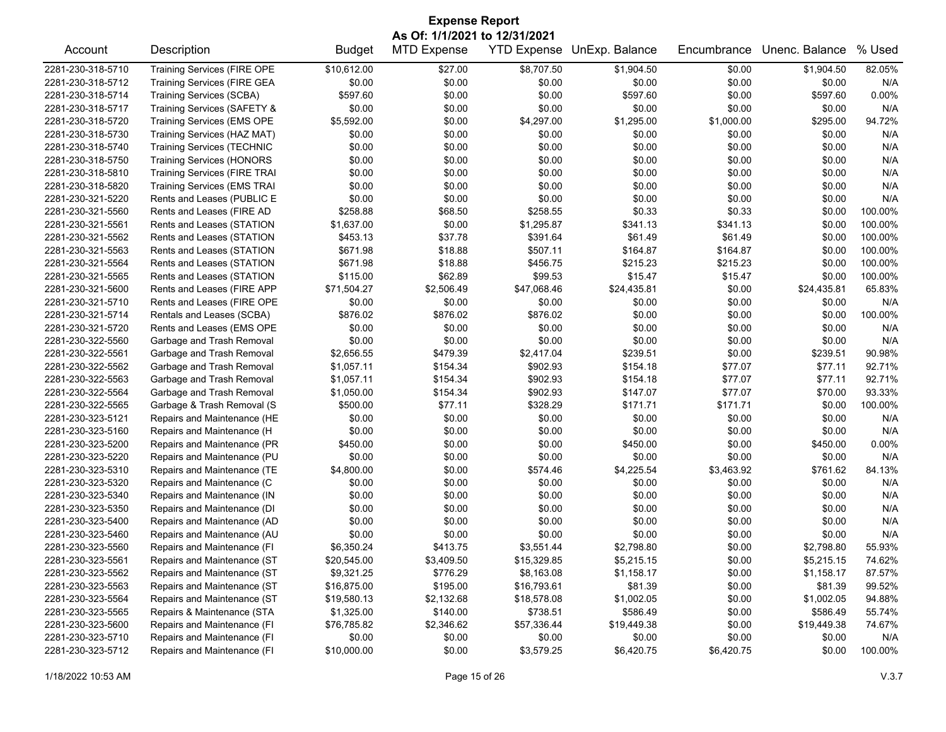| <b>Expense Report</b><br>As Of: 1/1/2021 to 12/31/2021 |                                                            |               |                    |                         |                            |             |                        |                  |
|--------------------------------------------------------|------------------------------------------------------------|---------------|--------------------|-------------------------|----------------------------|-------------|------------------------|------------------|
| Account                                                | Description                                                | <b>Budget</b> | <b>MTD Expense</b> |                         | YTD Expense UnExp. Balance | Encumbrance | Unenc. Balance         | % Used           |
| 2281-230-318-5710                                      | <b>Training Services (FIRE OPE</b>                         | \$10,612.00   | \$27.00            | \$8,707.50              | \$1,904.50                 | \$0.00      | \$1,904.50             | 82.05%           |
| 2281-230-318-5712                                      | Training Services (FIRE GEA                                | \$0.00        | \$0.00             | \$0.00                  | \$0.00                     | \$0.00      | \$0.00                 | N/A              |
| 2281-230-318-5714                                      | Training Services (SCBA)                                   | \$597.60      | \$0.00             | \$0.00                  | \$597.60                   | \$0.00      | \$597.60               | 0.00%            |
| 2281-230-318-5717                                      | Training Services (SAFETY &                                | \$0.00        | \$0.00             | \$0.00                  | \$0.00                     | \$0.00      | \$0.00                 | N/A              |
| 2281-230-318-5720                                      | <b>Training Services (EMS OPE</b>                          | \$5,592.00    | \$0.00             | \$4,297.00              | \$1,295.00                 | \$1,000.00  | \$295.00               | 94.72%           |
| 2281-230-318-5730                                      | Training Services (HAZ MAT)                                | \$0.00        | \$0.00             | \$0.00                  | \$0.00                     | \$0.00      | \$0.00                 | N/A              |
| 2281-230-318-5740                                      | <b>Training Services (TECHNIC</b>                          | \$0.00        | \$0.00             | \$0.00                  | \$0.00                     | \$0.00      | \$0.00                 | N/A              |
| 2281-230-318-5750                                      | <b>Training Services (HONORS</b>                           | \$0.00        | \$0.00             | \$0.00                  | \$0.00                     | \$0.00      | \$0.00                 | N/A              |
| 2281-230-318-5810                                      | <b>Training Services (FIRE TRAI</b>                        | \$0.00        | \$0.00             | \$0.00                  | \$0.00                     | \$0.00      | \$0.00                 | N/A              |
| 2281-230-318-5820                                      | <b>Training Services (EMS TRAI</b>                         | \$0.00        | \$0.00             | \$0.00                  | \$0.00                     | \$0.00      | \$0.00                 | N/A              |
| 2281-230-321-5220                                      | Rents and Leases (PUBLIC E                                 | \$0.00        | \$0.00             | \$0.00                  | \$0.00                     | \$0.00      | \$0.00                 | N/A              |
| 2281-230-321-5560                                      | Rents and Leases (FIRE AD                                  | \$258.88      | \$68.50            | \$258.55                | \$0.33                     | \$0.33      | \$0.00                 | 100.00%          |
| 2281-230-321-5561                                      | Rents and Leases (STATION                                  | \$1,637.00    | \$0.00             | \$1,295.87              | \$341.13                   | \$341.13    | \$0.00                 | 100.00%          |
| 2281-230-321-5562                                      | Rents and Leases (STATION                                  | \$453.13      | \$37.78            | \$391.64                | \$61.49                    | \$61.49     | \$0.00                 | 100.00%          |
| 2281-230-321-5563                                      | Rents and Leases (STATION                                  | \$671.98      | \$18.88            | \$507.11                | \$164.87                   | \$164.87    | \$0.00                 | 100.00%          |
| 2281-230-321-5564                                      | Rents and Leases (STATION                                  | \$671.98      | \$18.88            | \$456.75                | \$215.23                   | \$215.23    | \$0.00                 | 100.00%          |
| 2281-230-321-5565                                      | Rents and Leases (STATION                                  | \$115.00      | \$62.89            | \$99.53                 | \$15.47                    | \$15.47     | \$0.00                 | 100.00%          |
| 2281-230-321-5600                                      | Rents and Leases (FIRE APP                                 | \$71,504.27   | \$2,506.49         | \$47,068.46             | \$24,435.81                | \$0.00      | \$24,435.81            | 65.83%           |
| 2281-230-321-5710                                      | Rents and Leases (FIRE OPE                                 | \$0.00        | \$0.00             | \$0.00                  | \$0.00                     | \$0.00      | \$0.00                 | N/A              |
| 2281-230-321-5714                                      | Rentals and Leases (SCBA)                                  | \$876.02      | \$876.02           | \$876.02                | \$0.00                     | \$0.00      | \$0.00                 | 100.00%          |
| 2281-230-321-5720                                      | Rents and Leases (EMS OPE                                  | \$0.00        | \$0.00             | \$0.00                  | \$0.00                     | \$0.00      | \$0.00                 | N/A              |
| 2281-230-322-5560                                      | Garbage and Trash Removal                                  | \$0.00        | \$0.00             | \$0.00                  | \$0.00                     | \$0.00      | \$0.00                 | N/A              |
| 2281-230-322-5561                                      | Garbage and Trash Removal                                  | \$2,656.55    | \$479.39           | \$2,417.04              | \$239.51                   | \$0.00      | \$239.51               | 90.98%           |
| 2281-230-322-5562                                      | Garbage and Trash Removal                                  | \$1,057.11    | \$154.34           | \$902.93                | \$154.18                   | \$77.07     | \$77.11                | 92.71%           |
| 2281-230-322-5563                                      | Garbage and Trash Removal                                  | \$1,057.11    | \$154.34           | \$902.93                | \$154.18                   | \$77.07     | \$77.11                | 92.71%           |
| 2281-230-322-5564                                      | Garbage and Trash Removal                                  | \$1,050.00    | \$154.34           | \$902.93                | \$147.07                   | \$77.07     | \$70.00                | 93.33%           |
| 2281-230-322-5565                                      | Garbage & Trash Removal (S                                 | \$500.00      | \$77.11            | \$328.29                | \$171.71                   | \$171.71    | \$0.00                 | 100.00%          |
| 2281-230-323-5121                                      | Repairs and Maintenance (HE                                | \$0.00        | \$0.00             | \$0.00                  | \$0.00                     | \$0.00      | \$0.00                 | N/A              |
| 2281-230-323-5160                                      | Repairs and Maintenance (H                                 | \$0.00        | \$0.00             | \$0.00                  | \$0.00                     | \$0.00      | \$0.00                 | N/A              |
| 2281-230-323-5200                                      | Repairs and Maintenance (PR                                | \$450.00      | \$0.00             | \$0.00                  | \$450.00                   | \$0.00      | \$450.00               | 0.00%            |
| 2281-230-323-5220                                      | Repairs and Maintenance (PU                                | \$0.00        | \$0.00             | \$0.00                  | \$0.00                     | \$0.00      | \$0.00                 | N/A              |
| 2281-230-323-5310                                      | Repairs and Maintenance (TE                                | \$4,800.00    | \$0.00             | \$574.46                | \$4,225.54                 | \$3,463.92  | \$761.62               | 84.13%           |
| 2281-230-323-5320                                      | Repairs and Maintenance (C                                 | \$0.00        | \$0.00             | \$0.00                  | \$0.00                     | \$0.00      | \$0.00                 | N/A              |
| 2281-230-323-5340                                      | Repairs and Maintenance (IN                                | \$0.00        | \$0.00             | \$0.00                  | \$0.00                     | \$0.00      | \$0.00                 | N/A              |
| 2281-230-323-5350                                      | Repairs and Maintenance (DI                                | \$0.00        | \$0.00             | \$0.00                  | \$0.00                     | \$0.00      | \$0.00                 | N/A              |
| 2281-230-323-5400                                      | Repairs and Maintenance (AD                                | \$0.00        | \$0.00             | \$0.00                  | \$0.00                     | \$0.00      | \$0.00                 | N/A              |
| 2281-230-323-5460                                      | Repairs and Maintenance (AU                                | \$0.00        | \$0.00             | \$0.00                  | \$0.00                     | \$0.00      | \$0.00                 | N/A              |
| 2281-230-323-5560                                      | Repairs and Maintenance (FI                                | \$6,350.24    | \$413.75           | \$3,551.44              | \$2,798.80                 | \$0.00      | \$2,798.80             | 55.93%           |
| 2281-230-323-5561                                      | Repairs and Maintenance (ST                                | \$20,545.00   | \$3,409.50         | \$15,329.85             | \$5,215.15                 | \$0.00      | \$5,215.15             | 74.62%           |
| 2281-230-323-5562                                      | Repairs and Maintenance (ST                                | \$9,321.25    | \$776.29           | \$8,163.08              | \$1,158.17                 | \$0.00      | \$1,158.17             | 87.57%           |
| 2281-230-323-5563                                      | Repairs and Maintenance (ST                                | \$16,875.00   | \$195.00           | \$16,793.61             | \$81.39                    | \$0.00      | \$81.39                | 99.52%           |
| 2281-230-323-5564                                      |                                                            |               |                    |                         |                            |             |                        |                  |
|                                                        | Repairs and Maintenance (ST                                | \$19,580.13   | \$2,132.68         | \$18,578.08<br>\$738.51 | \$1,002.05<br>\$586.49     | \$0.00      | \$1,002.05<br>\$586.49 | 94.88%<br>55.74% |
| 2281-230-323-5565                                      | Repairs & Maintenance (STA                                 | \$1,325.00    | \$140.00           |                         |                            | \$0.00      |                        |                  |
| 2281-230-323-5600                                      | Repairs and Maintenance (FI                                | \$76,785.82   | \$2,346.62         | \$57,336.44             | \$19,449.38                | \$0.00      | \$19,449.38            | 74.67%           |
| 2281-230-323-5710                                      | Repairs and Maintenance (FI<br>Repairs and Maintenance (FI | \$0.00        | \$0.00<br>\$0.00   | \$0.00                  | \$0.00                     | \$0.00      | \$0.00                 | N/A              |
| 2281-230-323-5712                                      |                                                            | \$10,000.00   |                    | \$3,579.25              | \$6,420.75                 | \$6,420.75  | \$0.00                 | 100.00%          |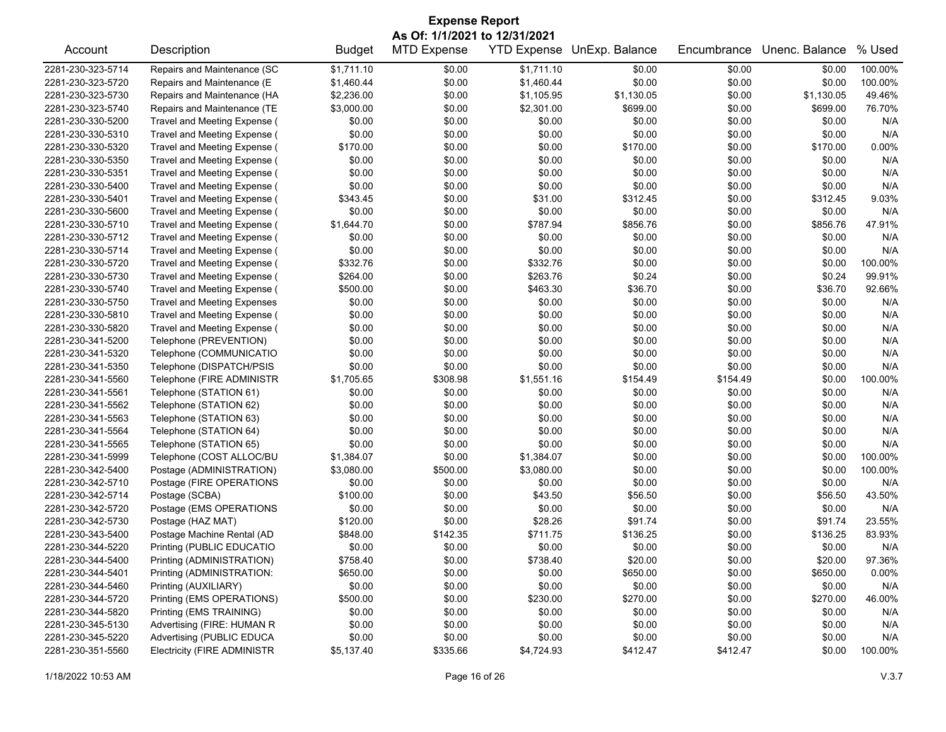| <b>Expense Report</b>         |                                    |               |                    |                    |                |             |                |         |  |
|-------------------------------|------------------------------------|---------------|--------------------|--------------------|----------------|-------------|----------------|---------|--|
| As Of: 1/1/2021 to 12/31/2021 |                                    |               |                    |                    |                |             |                |         |  |
| Account                       | Description                        | <b>Budget</b> | <b>MTD Expense</b> | <b>YTD Expense</b> | UnExp. Balance | Encumbrance | Unenc. Balance | % Used  |  |
| 2281-230-323-5714             | Repairs and Maintenance (SC        | \$1,711.10    | \$0.00             | \$1,711.10         | \$0.00         | \$0.00      | \$0.00         | 100.00% |  |
| 2281-230-323-5720             | Repairs and Maintenance (E         | \$1,460.44    | \$0.00             | \$1,460.44         | \$0.00         | \$0.00      | \$0.00         | 100.00% |  |
| 2281-230-323-5730             | Repairs and Maintenance (HA        | \$2,236.00    | \$0.00             | \$1,105.95         | \$1,130.05     | \$0.00      | \$1,130.05     | 49.46%  |  |
| 2281-230-323-5740             | Repairs and Maintenance (TE        | \$3,000.00    | \$0.00             | \$2,301.00         | \$699.00       | \$0.00      | \$699.00       | 76.70%  |  |
| 2281-230-330-5200             | Travel and Meeting Expense (       | \$0.00        | \$0.00             | \$0.00             | \$0.00         | \$0.00      | \$0.00         | N/A     |  |
| 2281-230-330-5310             | Travel and Meeting Expense (       | \$0.00        | \$0.00             | \$0.00             | \$0.00         | \$0.00      | \$0.00         | N/A     |  |
| 2281-230-330-5320             | Travel and Meeting Expense (       | \$170.00      | \$0.00             | \$0.00             | \$170.00       | \$0.00      | \$170.00       | 0.00%   |  |
| 2281-230-330-5350             | Travel and Meeting Expense (       | \$0.00        | \$0.00             | \$0.00             | \$0.00         | \$0.00      | \$0.00         | N/A     |  |
| 2281-230-330-5351             | Travel and Meeting Expense (       | \$0.00        | \$0.00             | \$0.00             | \$0.00         | \$0.00      | \$0.00         | N/A     |  |
| 2281-230-330-5400             | Travel and Meeting Expense (       | \$0.00        | \$0.00             | \$0.00             | \$0.00         | \$0.00      | \$0.00         | N/A     |  |
| 2281-230-330-5401             | Travel and Meeting Expense (       | \$343.45      | \$0.00             | \$31.00            | \$312.45       | \$0.00      | \$312.45       | 9.03%   |  |
| 2281-230-330-5600             | Travel and Meeting Expense (       | \$0.00        | \$0.00             | \$0.00             | \$0.00         | \$0.00      | \$0.00         | N/A     |  |
| 2281-230-330-5710             | Travel and Meeting Expense (       | \$1,644.70    | \$0.00             | \$787.94           | \$856.76       | \$0.00      | \$856.76       | 47.91%  |  |
| 2281-230-330-5712             | Travel and Meeting Expense (       | \$0.00        | \$0.00             | \$0.00             | \$0.00         | \$0.00      | \$0.00         | N/A     |  |
| 2281-230-330-5714             | Travel and Meeting Expense (       | \$0.00        | \$0.00             | \$0.00             | \$0.00         | \$0.00      | \$0.00         | N/A     |  |
| 2281-230-330-5720             | Travel and Meeting Expense (       | \$332.76      | \$0.00             | \$332.76           | \$0.00         | \$0.00      | \$0.00         | 100.00% |  |
| 2281-230-330-5730             | Travel and Meeting Expense (       | \$264.00      | \$0.00             | \$263.76           | \$0.24         | \$0.00      | \$0.24         | 99.91%  |  |
| 2281-230-330-5740             | Travel and Meeting Expense (       | \$500.00      | \$0.00             | \$463.30           | \$36.70        | \$0.00      | \$36.70        | 92.66%  |  |
| 2281-230-330-5750             | <b>Travel and Meeting Expenses</b> | \$0.00        | \$0.00             | \$0.00             | \$0.00         | \$0.00      | \$0.00         | N/A     |  |
| 2281-230-330-5810             | Travel and Meeting Expense (       | \$0.00        | \$0.00             | \$0.00             | \$0.00         | \$0.00      | \$0.00         | N/A     |  |
| 2281-230-330-5820             | Travel and Meeting Expense (       | \$0.00        | \$0.00             | \$0.00             | \$0.00         | \$0.00      | \$0.00         | N/A     |  |
| 2281-230-341-5200             | Telephone (PREVENTION)             | \$0.00        | \$0.00             | \$0.00             | \$0.00         | \$0.00      | \$0.00         | N/A     |  |
| 2281-230-341-5320             | Telephone (COMMUNICATIO            | \$0.00        | \$0.00             | \$0.00             | \$0.00         | \$0.00      | \$0.00         | N/A     |  |
| 2281-230-341-5350             | Telephone (DISPATCH/PSIS           | \$0.00        | \$0.00             | \$0.00             | \$0.00         | \$0.00      | \$0.00         | N/A     |  |
| 2281-230-341-5560             | Telephone (FIRE ADMINISTR          | \$1,705.65    | \$308.98           | \$1,551.16         | \$154.49       | \$154.49    | \$0.00         | 100.00% |  |
| 2281-230-341-5561             | Telephone (STATION 61)             | \$0.00        | \$0.00             | \$0.00             | \$0.00         | \$0.00      | \$0.00         | N/A     |  |
| 2281-230-341-5562             | Telephone (STATION 62)             | \$0.00        | \$0.00             | \$0.00             | \$0.00         | \$0.00      | \$0.00         | N/A     |  |
| 2281-230-341-5563             | Telephone (STATION 63)             | \$0.00        | \$0.00             | \$0.00             | \$0.00         | \$0.00      | \$0.00         | N/A     |  |
| 2281-230-341-5564             | Telephone (STATION 64)             | \$0.00        | \$0.00             | \$0.00             | \$0.00         | \$0.00      | \$0.00         | N/A     |  |
| 2281-230-341-5565             | Telephone (STATION 65)             | \$0.00        | \$0.00             | \$0.00             | \$0.00         | \$0.00      | \$0.00         | N/A     |  |
| 2281-230-341-5999             | Telephone (COST ALLOC/BU           | \$1,384.07    | \$0.00             | \$1,384.07         | \$0.00         | \$0.00      | \$0.00         | 100.00% |  |
| 2281-230-342-5400             | Postage (ADMINISTRATION)           | \$3,080.00    | \$500.00           | \$3,080.00         | \$0.00         | \$0.00      | \$0.00         | 100.00% |  |
| 2281-230-342-5710             | Postage (FIRE OPERATIONS           | \$0.00        | \$0.00             | \$0.00             | \$0.00         | \$0.00      | \$0.00         | N/A     |  |
| 2281-230-342-5714             | Postage (SCBA)                     | \$100.00      | \$0.00             | \$43.50            | \$56.50        | \$0.00      | \$56.50        | 43.50%  |  |
| 2281-230-342-5720             | Postage (EMS OPERATIONS            | \$0.00        | \$0.00             | \$0.00             | \$0.00         | \$0.00      | \$0.00         | N/A     |  |
| 2281-230-342-5730             | Postage (HAZ MAT)                  | \$120.00      | \$0.00             | \$28.26            | \$91.74        | \$0.00      | \$91.74        | 23.55%  |  |
| 2281-230-343-5400             | Postage Machine Rental (AD         | \$848.00      | \$142.35           | \$711.75           | \$136.25       | \$0.00      | \$136.25       | 83.93%  |  |
| 2281-230-344-5220             | Printing (PUBLIC EDUCATIO          | \$0.00        | \$0.00             | \$0.00             | \$0.00         | \$0.00      | \$0.00         | N/A     |  |
| 2281-230-344-5400             | Printing (ADMINISTRATION)          | \$758.40      | \$0.00             | \$738.40           | \$20.00        | \$0.00      | \$20.00        | 97.36%  |  |
| 2281-230-344-5401             | Printing (ADMINISTRATION:          | \$650.00      | \$0.00             | \$0.00             | \$650.00       | \$0.00      | \$650.00       | 0.00%   |  |
| 2281-230-344-5460             | Printing (AUXILIARY)               | \$0.00        | \$0.00             | \$0.00             | \$0.00         | \$0.00      | \$0.00         | N/A     |  |
| 2281-230-344-5720             | Printing (EMS OPERATIONS)          | \$500.00      | \$0.00             | \$230.00           | \$270.00       | \$0.00      | \$270.00       | 46.00%  |  |
| 2281-230-344-5820             | Printing (EMS TRAINING)            | \$0.00        | \$0.00             | \$0.00             | \$0.00         | \$0.00      | \$0.00         | N/A     |  |
| 2281-230-345-5130             | Advertising (FIRE: HUMAN R         | \$0.00        | \$0.00             | \$0.00             | \$0.00         | \$0.00      | \$0.00         | N/A     |  |
| 2281-230-345-5220             | Advertising (PUBLIC EDUCA          | \$0.00        | \$0.00             | \$0.00             | \$0.00         | \$0.00      | \$0.00         | N/A     |  |
| 2281-230-351-5560             | Electricity (FIRE ADMINISTR        | \$5,137.40    | \$335.66           | \$4,724.93         | \$412.47       | \$412.47    | \$0.00         | 100.00% |  |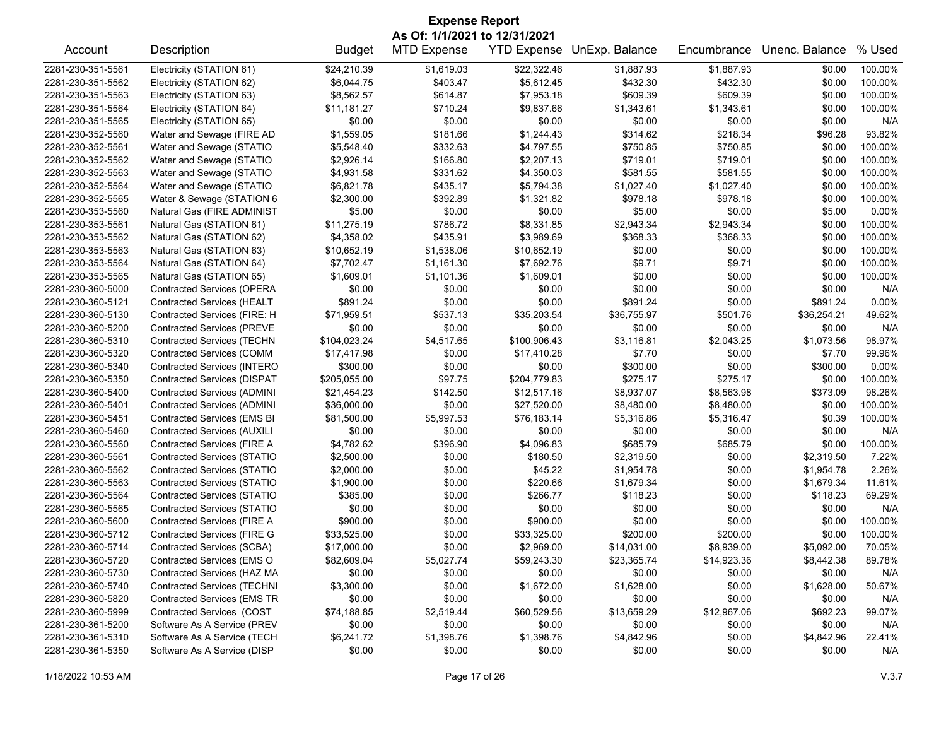| <b>Expense Report</b>         |                                    |               |                    |                    |                |             |                |          |  |
|-------------------------------|------------------------------------|---------------|--------------------|--------------------|----------------|-------------|----------------|----------|--|
| As Of: 1/1/2021 to 12/31/2021 |                                    |               |                    |                    |                |             |                |          |  |
| Account                       | Description                        | <b>Budget</b> | <b>MTD Expense</b> | <b>YTD Expense</b> | UnExp. Balance | Encumbrance | Unenc. Balance | % Used   |  |
| 2281-230-351-5561             | Electricity (STATION 61)           | \$24,210.39   | \$1,619.03         | \$22,322.46        | \$1,887.93     | \$1,887.93  | \$0.00         | 100.00%  |  |
| 2281-230-351-5562             | Electricity (STATION 62)           | \$6,044.75    | \$403.47           | \$5,612.45         | \$432.30       | \$432.30    | \$0.00         | 100.00%  |  |
| 2281-230-351-5563             | Electricity (STATION 63)           | \$8,562.57    | \$614.87           | \$7,953.18         | \$609.39       | \$609.39    | \$0.00         | 100.00%  |  |
| 2281-230-351-5564             | Electricity (STATION 64)           | \$11,181.27   | \$710.24           | \$9,837.66         | \$1,343.61     | \$1,343.61  | \$0.00         | 100.00%  |  |
| 2281-230-351-5565             | Electricity (STATION 65)           | \$0.00        | \$0.00             | \$0.00             | \$0.00         | \$0.00      | \$0.00         | N/A      |  |
| 2281-230-352-5560             | Water and Sewage (FIRE AD          | \$1,559.05    | \$181.66           | \$1,244.43         | \$314.62       | \$218.34    | \$96.28        | 93.82%   |  |
| 2281-230-352-5561             | Water and Sewage (STATIO           | \$5,548.40    | \$332.63           | \$4,797.55         | \$750.85       | \$750.85    | \$0.00         | 100.00%  |  |
| 2281-230-352-5562             | Water and Sewage (STATIO           | \$2,926.14    | \$166.80           | \$2,207.13         | \$719.01       | \$719.01    | \$0.00         | 100.00%  |  |
| 2281-230-352-5563             | Water and Sewage (STATIO           | \$4,931.58    | \$331.62           | \$4,350.03         | \$581.55       | \$581.55    | \$0.00         | 100.00%  |  |
| 2281-230-352-5564             | Water and Sewage (STATIO           | \$6,821.78    | \$435.17           | \$5,794.38         | \$1,027.40     | \$1,027.40  | \$0.00         | 100.00%  |  |
| 2281-230-352-5565             | Water & Sewage (STATION 6          | \$2,300.00    | \$392.89           | \$1,321.82         | \$978.18       | \$978.18    | \$0.00         | 100.00%  |  |
| 2281-230-353-5560             | Natural Gas (FIRE ADMINIST         | \$5.00        | \$0.00             | \$0.00             | \$5.00         | \$0.00      | \$5.00         | 0.00%    |  |
| 2281-230-353-5561             | Natural Gas (STATION 61)           | \$11,275.19   | \$786.72           | \$8,331.85         | \$2,943.34     | \$2,943.34  | \$0.00         | 100.00%  |  |
| 2281-230-353-5562             | Natural Gas (STATION 62)           | \$4,358.02    | \$435.91           | \$3,989.69         | \$368.33       | \$368.33    | \$0.00         | 100.00%  |  |
| 2281-230-353-5563             | Natural Gas (STATION 63)           | \$10,652.19   | \$1,538.06         | \$10,652.19        | \$0.00         | \$0.00      | \$0.00         | 100.00%  |  |
| 2281-230-353-5564             | Natural Gas (STATION 64)           | \$7,702.47    | \$1,161.30         | \$7,692.76         | \$9.71         | \$9.71      | \$0.00         | 100.00%  |  |
| 2281-230-353-5565             | Natural Gas (STATION 65)           | \$1,609.01    | \$1,101.36         | \$1,609.01         | \$0.00         | \$0.00      | \$0.00         | 100.00%  |  |
| 2281-230-360-5000             | <b>Contracted Services (OPERA</b>  | \$0.00        | \$0.00             | \$0.00             | \$0.00         | \$0.00      | \$0.00         | N/A      |  |
| 2281-230-360-5121             | <b>Contracted Services (HEALT</b>  | \$891.24      | \$0.00             | \$0.00             | \$891.24       | \$0.00      | \$891.24       | 0.00%    |  |
| 2281-230-360-5130             | Contracted Services (FIRE: H       | \$71,959.51   | \$537.13           | \$35,203.54        | \$36,755.97    | \$501.76    | \$36,254.21    | 49.62%   |  |
| 2281-230-360-5200             | <b>Contracted Services (PREVE</b>  | \$0.00        | \$0.00             | \$0.00             | \$0.00         | \$0.00      | \$0.00         | N/A      |  |
| 2281-230-360-5310             | <b>Contracted Services (TECHN</b>  | \$104,023.24  | \$4,517.65         | \$100,906.43       | \$3,116.81     | \$2,043.25  | \$1,073.56     | 98.97%   |  |
| 2281-230-360-5320             | <b>Contracted Services (COMM</b>   | \$17,417.98   | \$0.00             | \$17,410.28        | \$7.70         | \$0.00      | \$7.70         | 99.96%   |  |
| 2281-230-360-5340             | <b>Contracted Services (INTERO</b> | \$300.00      | \$0.00             | \$0.00             | \$300.00       | \$0.00      | \$300.00       | $0.00\%$ |  |
| 2281-230-360-5350             | <b>Contracted Services (DISPAT</b> | \$205,055.00  | \$97.75            | \$204,779.83       | \$275.17       | \$275.17    | \$0.00         | 100.00%  |  |
| 2281-230-360-5400             | Contracted Services (ADMINI        | \$21,454.23   | \$142.50           | \$12,517.16        | \$8,937.07     | \$8,563.98  | \$373.09       | 98.26%   |  |
| 2281-230-360-5401             | Contracted Services (ADMINI        | \$36,000.00   | \$0.00             | \$27,520.00        | \$8,480.00     | \$8,480.00  | \$0.00         | 100.00%  |  |
| 2281-230-360-5451             | <b>Contracted Services (EMS BI</b> | \$81,500.00   | \$5,997.53         | \$76,183.14        | \$5,316.86     | \$5,316.47  | \$0.39         | 100.00%  |  |
| 2281-230-360-5460             | <b>Contracted Services (AUXILI</b> | \$0.00        | \$0.00             | \$0.00             | \$0.00         | \$0.00      | \$0.00         | N/A      |  |
| 2281-230-360-5560             | Contracted Services (FIRE A        | \$4,782.62    | \$396.90           | \$4,096.83         | \$685.79       | \$685.79    | \$0.00         | 100.00%  |  |
| 2281-230-360-5561             | Contracted Services (STATIO        | \$2,500.00    | \$0.00             | \$180.50           | \$2,319.50     | \$0.00      | \$2,319.50     | 7.22%    |  |
| 2281-230-360-5562             | <b>Contracted Services (STATIO</b> | \$2,000.00    | \$0.00             | \$45.22            | \$1,954.78     | \$0.00      | \$1,954.78     | 2.26%    |  |
|                               | <b>Contracted Services (STATIO</b> |               |                    |                    |                |             |                | 11.61%   |  |
| 2281-230-360-5563             |                                    | \$1,900.00    | \$0.00             | \$220.66           | \$1,679.34     | \$0.00      | \$1,679.34     |          |  |
| 2281-230-360-5564             | <b>Contracted Services (STATIO</b> | \$385.00      | \$0.00             | \$266.77           | \$118.23       | \$0.00      | \$118.23       | 69.29%   |  |
| 2281-230-360-5565             | Contracted Services (STATIO        | \$0.00        | \$0.00             | \$0.00             | \$0.00         | \$0.00      | \$0.00         | N/A      |  |
| 2281-230-360-5600             | Contracted Services (FIRE A        | \$900.00      | \$0.00             | \$900.00           | \$0.00         | \$0.00      | \$0.00         | 100.00%  |  |
| 2281-230-360-5712             | Contracted Services (FIRE G        | \$33,525.00   | \$0.00             | \$33,325.00        | \$200.00       | \$200.00    | \$0.00         | 100.00%  |  |
| 2281-230-360-5714             | Contracted Services (SCBA)         | \$17,000.00   | \$0.00             | \$2,969.00         | \$14,031.00    | \$8,939.00  | \$5,092.00     | 70.05%   |  |
| 2281-230-360-5720             | Contracted Services (EMS O         | \$82,609.04   | \$5,027.74         | \$59,243.30        | \$23,365.74    | \$14,923.36 | \$8,442.38     | 89.78%   |  |
| 2281-230-360-5730             | Contracted Services (HAZ MA        | \$0.00        | \$0.00             | \$0.00             | \$0.00         | \$0.00      | \$0.00         | N/A      |  |
| 2281-230-360-5740             | <b>Contracted Services (TECHNI</b> | \$3,300.00    | \$0.00             | \$1,672.00         | \$1,628.00     | \$0.00      | \$1,628.00     | 50.67%   |  |
| 2281-230-360-5820             | Contracted Services (EMS TR        | \$0.00        | \$0.00             | \$0.00             | \$0.00         | \$0.00      | \$0.00         | N/A      |  |
| 2281-230-360-5999             | Contracted Services (COST          | \$74,188.85   | \$2,519.44         | \$60,529.56        | \$13,659.29    | \$12,967.06 | \$692.23       | 99.07%   |  |
| 2281-230-361-5200             | Software As A Service (PREV        | \$0.00        | \$0.00             | \$0.00             | \$0.00         | \$0.00      | \$0.00         | N/A      |  |
| 2281-230-361-5310             | Software As A Service (TECH        | \$6,241.72    | \$1,398.76         | \$1,398.76         | \$4,842.96     | \$0.00      | \$4,842.96     | 22.41%   |  |
| 2281-230-361-5350             | Software As A Service (DISP        | \$0.00        | \$0.00             | \$0.00             | \$0.00         | \$0.00      | \$0.00         | N/A      |  |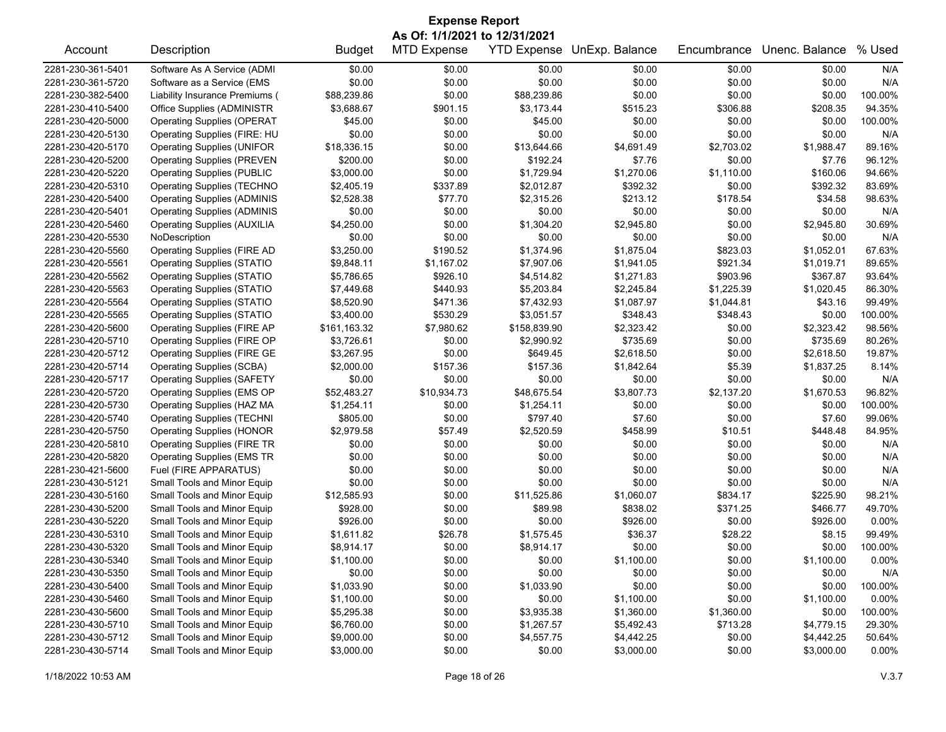| As Of: 1/1/2021 to 12/31/2021<br>Description<br><b>MTD Expense</b><br><b>YTD Expense</b><br>Unenc. Balance<br>% Used<br><b>Budget</b><br>UnExp. Balance<br>Encumbrance<br>Account<br>2281-230-361-5401<br>Software As A Service (ADMI<br>\$0.00<br>N/A<br>\$0.00<br>\$0.00<br>\$0.00<br>\$0.00<br>\$0.00<br>\$0.00<br>\$0.00<br>\$0.00<br>2281-230-361-5720<br>Software as a Service (EMS<br>\$0.00<br>\$0.00<br>\$0.00<br>N/A<br>Liability Insurance Premiums (<br>\$88,239.86<br>\$0.00<br>\$88,239.86<br>\$0.00<br>\$0.00<br>100.00%<br>2281-230-382-5400<br>\$0.00<br>2281-230-410-5400<br>Office Supplies (ADMINISTR<br>\$3,688.67<br>\$901.15<br>\$3,173.44<br>\$515.23<br>\$306.88<br>\$208.35<br>94.35%<br><b>Operating Supplies (OPERAT</b><br>\$45.00<br>\$0.00<br>\$45.00<br>\$0.00<br>100.00%<br>2281-230-420-5000<br>\$0.00<br>\$0.00<br>\$0.00<br>\$0.00<br>\$0.00<br>\$0.00<br>\$0.00<br>2281-230-420-5130<br>Operating Supplies (FIRE: HU<br>\$0.00<br>N/A<br>2281-230-420-5170<br><b>Operating Supplies (UNIFOR</b><br>\$18,336.15<br>\$0.00<br>\$13,644.66<br>\$4,691.49<br>\$2,703.02<br>\$1,988.47<br>89.16%<br>\$0.00<br>2281-230-420-5200<br><b>Operating Supplies (PREVEN</b><br>\$200.00<br>\$192.24<br>\$7.76<br>\$0.00<br>\$7.76<br>96.12%<br>\$3,000.00<br>\$0.00<br>\$1,729.94<br>\$1,270.06<br>\$1,110.00<br>\$160.06<br>94.66%<br>2281-230-420-5220<br><b>Operating Supplies (PUBLIC</b><br>\$337.89<br>2281-230-420-5310<br><b>Operating Supplies (TECHNO</b><br>\$2,405.19<br>\$2,012.87<br>\$392.32<br>\$0.00<br>\$392.32<br>83.69%<br>\$77.70<br>2281-230-420-5400<br><b>Operating Supplies (ADMINIS</b><br>\$2,528.38<br>\$2,315.26<br>\$213.12<br>\$178.54<br>\$34.58<br>98.63%<br>2281-230-420-5401<br><b>Operating Supplies (ADMINIS</b><br>\$0.00<br>\$0.00<br>\$0.00<br>\$0.00<br>\$0.00<br>\$0.00<br>N/A<br>\$4,250.00<br>\$0.00<br>\$2,945.80<br>30.69%<br>2281-230-420-5460<br><b>Operating Supplies (AUXILIA</b><br>\$1,304.20<br>\$0.00<br>\$2,945.80<br>2281-230-420-5530<br>\$0.00<br>\$0.00<br>\$0.00<br>\$0.00<br>\$0.00<br>\$0.00<br>N/A<br>NoDescription<br>\$1,374.96<br><b>Operating Supplies (FIRE AD</b><br>\$3,250.00<br>\$190.52<br>\$1,875.04<br>\$823.03<br>\$1,052.01<br>67.63%<br>2281-230-420-5560<br>\$1,167.02<br>\$7,907.06<br>\$921.34<br>2281-230-420-5561<br><b>Operating Supplies (STATIO</b><br>\$9,848.11<br>\$1,941.05<br>\$1,019.71<br>89.65%<br>2281-230-420-5562<br><b>Operating Supplies (STATIO</b><br>\$5,786.65<br>\$926.10<br>\$4,514.82<br>\$1,271.83<br>\$903.96<br>\$367.87<br>93.64%<br>\$440.93<br>\$1,020.45<br>2281-230-420-5563<br><b>Operating Supplies (STATIO</b><br>\$7,449.68<br>\$5,203.84<br>\$2,245.84<br>\$1,225.39<br>86.30%<br>\$8,520.90<br>\$471.36<br>\$1,044.81<br>\$43.16<br>2281-230-420-5564<br><b>Operating Supplies (STATIO</b><br>\$7,432.93<br>\$1,087.97<br>99.49%<br>\$530.29<br>\$3,051.57<br>2281-230-420-5565<br><b>Operating Supplies (STATIO</b><br>\$3,400.00<br>\$348.43<br>\$348.43<br>\$0.00<br>100.00%<br>2281-230-420-5600<br><b>Operating Supplies (FIRE AP</b><br>\$161,163.32<br>\$7,980.62<br>\$158,839.90<br>\$2,323.42<br>\$0.00<br>\$2,323.42<br>98.56%<br>2281-230-420-5710<br>Operating Supplies (FIRE OP<br>\$3,726.61<br>\$0.00<br>\$2,990.92<br>\$735.69<br>\$0.00<br>\$735.69<br>80.26%<br>\$0.00<br>\$649.45<br>\$2,618.50<br>2281-230-420-5712<br>Operating Supplies (FIRE GE<br>\$3,267.95<br>\$2,618.50<br>\$0.00<br>19.87%<br>2281-230-420-5714<br><b>Operating Supplies (SCBA)</b><br>\$2,000.00<br>\$157.36<br>\$157.36<br>\$1,842.64<br>\$5.39<br>\$1,837.25<br>8.14%<br>\$0.00<br>\$0.00<br>\$0.00<br>\$0.00<br>\$0.00<br>N/A<br>2281-230-420-5717<br><b>Operating Supplies (SAFETY</b><br>\$0.00<br>\$52,483.27<br>\$48,675.54<br>\$2,137.20<br>2281-230-420-5720<br>Operating Supplies (EMS OP<br>\$10,934.73<br>\$3,807.73<br>\$1,670.53<br>96.82%<br>2281-230-420-5730<br>Operating Supplies (HAZ MA<br>\$1,254.11<br>\$0.00<br>\$1,254.11<br>\$0.00<br>\$0.00<br>\$0.00<br>100.00%<br>\$0.00<br>\$797.40<br>\$7.60<br>\$7.60<br>99.06%<br>2281-230-420-5740<br><b>Operating Supplies (TECHNI</b><br>\$805.00<br>\$0.00<br>2281-230-420-5750<br><b>Operating Supplies (HONOR</b><br>\$2,979.58<br>\$57.49<br>\$2,520.59<br>\$458.99<br>\$10.51<br>\$448.48<br>84.95%<br>\$0.00<br>\$0.00<br>\$0.00<br>2281-230-420-5810<br><b>Operating Supplies (FIRE TR</b><br>\$0.00<br>\$0.00<br>\$0.00<br>N/A<br>\$0.00<br>\$0.00<br>\$0.00<br>2281-230-420-5820<br><b>Operating Supplies (EMS TR</b><br>\$0.00<br>\$0.00<br>\$0.00<br>N/A<br>2281-230-421-5600<br>Fuel (FIRE APPARATUS)<br>\$0.00<br>\$0.00<br>\$0.00<br>\$0.00<br>\$0.00<br>\$0.00<br>N/A<br>\$0.00<br>\$0.00<br>\$0.00<br>2281-230-430-5121<br>Small Tools and Minor Equip<br>\$0.00<br>\$0.00<br>\$0.00<br>N/A<br>2281-230-430-5160<br>\$12,585.93<br>\$0.00<br>\$11,525.86<br>\$834.17<br>Small Tools and Minor Equip<br>\$1,060.07<br>\$225.90<br>98.21%<br>\$928.00<br>\$0.00<br>\$371.25<br>2281-230-430-5200<br>Small Tools and Minor Equip<br>\$89.98<br>\$838.02<br>\$466.77<br>49.70%<br>\$926.00<br>\$0.00<br>2281-230-430-5220<br>Small Tools and Minor Equip<br>\$0.00<br>\$0.00<br>\$926.00<br>\$926.00<br>$0.00\%$<br>\$28.22<br>2281-230-430-5310<br>Small Tools and Minor Equip<br>\$1,611.82<br>\$26.78<br>\$1,575.45<br>\$36.37<br>\$8.15<br>99.49%<br>2281-230-430-5320<br>\$8,914.17<br>\$0.00<br>\$0.00<br>\$0.00<br>\$0.00<br>100.00%<br>Small Tools and Minor Equip<br>\$8,914.17<br>\$0.00<br>2281-230-430-5340<br>Small Tools and Minor Equip<br>\$1,100.00<br>\$0.00<br>\$1,100.00<br>\$0.00<br>\$1,100.00<br>$0.00\%$<br>\$0.00<br>\$0.00<br>\$0.00<br>\$0.00<br>2281-230-430-5350<br>Small Tools and Minor Equip<br>\$0.00<br>\$0.00<br>N/A<br>\$0.00<br>2281-230-430-5400<br>Small Tools and Minor Equip<br>\$1,033.90<br>\$0.00<br>\$1,033.90<br>\$0.00<br>\$0.00<br>100.00%<br>2281-230-430-5460<br>Small Tools and Minor Equip<br>\$1,100.00<br>\$0.00<br>\$0.00<br>\$1,100.00<br>\$0.00<br>\$1,100.00<br>0.00%<br>Small Tools and Minor Equip<br>2281-230-430-5600<br>\$5,295.38<br>\$0.00<br>\$3,935.38<br>\$1,360.00<br>\$1,360.00<br>\$0.00<br>100.00%<br>2281-230-430-5710<br>Small Tools and Minor Equip<br>\$6,760.00<br>\$0.00<br>\$1,267.57<br>\$5,492.43<br>\$713.28<br>\$4,779.15<br>29.30%<br>Small Tools and Minor Equip<br>2281-230-430-5712<br>\$9,000.00<br>\$0.00<br>\$4,557.75<br>\$4,442.25<br>\$0.00<br>\$4,442.25<br>50.64% | <b>Expense Report</b> |                             |            |        |        |            |        |            |          |  |
|-----------------------------------------------------------------------------------------------------------------------------------------------------------------------------------------------------------------------------------------------------------------------------------------------------------------------------------------------------------------------------------------------------------------------------------------------------------------------------------------------------------------------------------------------------------------------------------------------------------------------------------------------------------------------------------------------------------------------------------------------------------------------------------------------------------------------------------------------------------------------------------------------------------------------------------------------------------------------------------------------------------------------------------------------------------------------------------------------------------------------------------------------------------------------------------------------------------------------------------------------------------------------------------------------------------------------------------------------------------------------------------------------------------------------------------------------------------------------------------------------------------------------------------------------------------------------------------------------------------------------------------------------------------------------------------------------------------------------------------------------------------------------------------------------------------------------------------------------------------------------------------------------------------------------------------------------------------------------------------------------------------------------------------------------------------------------------------------------------------------------------------------------------------------------------------------------------------------------------------------------------------------------------------------------------------------------------------------------------------------------------------------------------------------------------------------------------------------------------------------------------------------------------------------------------------------------------------------------------------------------------------------------------------------------------------------------------------------------------------------------------------------------------------------------------------------------------------------------------------------------------------------------------------------------------------------------------------------------------------------------------------------------------------------------------------------------------------------------------------------------------------------------------------------------------------------------------------------------------------------------------------------------------------------------------------------------------------------------------------------------------------------------------------------------------------------------------------------------------------------------------------------------------------------------------------------------------------------------------------------------------------------------------------------------------------------------------------------------------------------------------------------------------------------------------------------------------------------------------------------------------------------------------------------------------------------------------------------------------------------------------------------------------------------------------------------------------------------------------------------------------------------------------------------------------------------------------------------------------------------------------------------------------------------------------------------------------------------------------------------------------------------------------------------------------------------------------------------------------------------------------------------------------------------------------------------------------------------------------------------------------------------------------------------------------------------------------------------------------------------------------------------------------------------------------------------------------------------------------------------------------------------------------------------------------------------------------------------------------------------------------------------------------------------------------------------------------------------------------------------------------------------------------------------------------------------------------------------------------------------------------------------------------------------------------------------------------------------------------------------------------------------------------------------------------------------------------------------------------------------------------------------------------------------------------------------------------------------------------------------------------------------------------------------------------------------------------------------------------------------------------------------------------------------------------------------------------------------------------------------------------------------------------------------------------------------------------------------------------------------------------------------------------------------------------------------------------------------------------------------------------------------------------------------------------------------------------------------------------------------------------------------------------------------------------------------------------------------------------------------------------------------------------------------------------------------------------------------------------------------------|-----------------------|-----------------------------|------------|--------|--------|------------|--------|------------|----------|--|
|                                                                                                                                                                                                                                                                                                                                                                                                                                                                                                                                                                                                                                                                                                                                                                                                                                                                                                                                                                                                                                                                                                                                                                                                                                                                                                                                                                                                                                                                                                                                                                                                                                                                                                                                                                                                                                                                                                                                                                                                                                                                                                                                                                                                                                                                                                                                                                                                                                                                                                                                                                                                                                                                                                                                                                                                                                                                                                                                                                                                                                                                                                                                                                                                                                                                                                                                                                                                                                                                                                                                                                                                                                                                                                                                                                                                                                                                                                                                                                                                                                                                                                                                                                                                                                                                                                                                                                                                                                                                                                                                                                                                                                                                                                                                                                                                                                                                                                                                                                                                                                                                                                                                                                                                                                                                                                                                                                                                                                                                                                                                                                                                                                                                                                                                                                                                                                                                                                                                                                                                                                                                                                                                                                                                                                                                                                                                                                                                                                                                                               |                       |                             |            |        |        |            |        |            |          |  |
|                                                                                                                                                                                                                                                                                                                                                                                                                                                                                                                                                                                                                                                                                                                                                                                                                                                                                                                                                                                                                                                                                                                                                                                                                                                                                                                                                                                                                                                                                                                                                                                                                                                                                                                                                                                                                                                                                                                                                                                                                                                                                                                                                                                                                                                                                                                                                                                                                                                                                                                                                                                                                                                                                                                                                                                                                                                                                                                                                                                                                                                                                                                                                                                                                                                                                                                                                                                                                                                                                                                                                                                                                                                                                                                                                                                                                                                                                                                                                                                                                                                                                                                                                                                                                                                                                                                                                                                                                                                                                                                                                                                                                                                                                                                                                                                                                                                                                                                                                                                                                                                                                                                                                                                                                                                                                                                                                                                                                                                                                                                                                                                                                                                                                                                                                                                                                                                                                                                                                                                                                                                                                                                                                                                                                                                                                                                                                                                                                                                                                               |                       |                             |            |        |        |            |        |            |          |  |
|                                                                                                                                                                                                                                                                                                                                                                                                                                                                                                                                                                                                                                                                                                                                                                                                                                                                                                                                                                                                                                                                                                                                                                                                                                                                                                                                                                                                                                                                                                                                                                                                                                                                                                                                                                                                                                                                                                                                                                                                                                                                                                                                                                                                                                                                                                                                                                                                                                                                                                                                                                                                                                                                                                                                                                                                                                                                                                                                                                                                                                                                                                                                                                                                                                                                                                                                                                                                                                                                                                                                                                                                                                                                                                                                                                                                                                                                                                                                                                                                                                                                                                                                                                                                                                                                                                                                                                                                                                                                                                                                                                                                                                                                                                                                                                                                                                                                                                                                                                                                                                                                                                                                                                                                                                                                                                                                                                                                                                                                                                                                                                                                                                                                                                                                                                                                                                                                                                                                                                                                                                                                                                                                                                                                                                                                                                                                                                                                                                                                                               |                       |                             |            |        |        |            |        |            |          |  |
|                                                                                                                                                                                                                                                                                                                                                                                                                                                                                                                                                                                                                                                                                                                                                                                                                                                                                                                                                                                                                                                                                                                                                                                                                                                                                                                                                                                                                                                                                                                                                                                                                                                                                                                                                                                                                                                                                                                                                                                                                                                                                                                                                                                                                                                                                                                                                                                                                                                                                                                                                                                                                                                                                                                                                                                                                                                                                                                                                                                                                                                                                                                                                                                                                                                                                                                                                                                                                                                                                                                                                                                                                                                                                                                                                                                                                                                                                                                                                                                                                                                                                                                                                                                                                                                                                                                                                                                                                                                                                                                                                                                                                                                                                                                                                                                                                                                                                                                                                                                                                                                                                                                                                                                                                                                                                                                                                                                                                                                                                                                                                                                                                                                                                                                                                                                                                                                                                                                                                                                                                                                                                                                                                                                                                                                                                                                                                                                                                                                                                               |                       |                             |            |        |        |            |        |            |          |  |
|                                                                                                                                                                                                                                                                                                                                                                                                                                                                                                                                                                                                                                                                                                                                                                                                                                                                                                                                                                                                                                                                                                                                                                                                                                                                                                                                                                                                                                                                                                                                                                                                                                                                                                                                                                                                                                                                                                                                                                                                                                                                                                                                                                                                                                                                                                                                                                                                                                                                                                                                                                                                                                                                                                                                                                                                                                                                                                                                                                                                                                                                                                                                                                                                                                                                                                                                                                                                                                                                                                                                                                                                                                                                                                                                                                                                                                                                                                                                                                                                                                                                                                                                                                                                                                                                                                                                                                                                                                                                                                                                                                                                                                                                                                                                                                                                                                                                                                                                                                                                                                                                                                                                                                                                                                                                                                                                                                                                                                                                                                                                                                                                                                                                                                                                                                                                                                                                                                                                                                                                                                                                                                                                                                                                                                                                                                                                                                                                                                                                                               |                       |                             |            |        |        |            |        |            |          |  |
|                                                                                                                                                                                                                                                                                                                                                                                                                                                                                                                                                                                                                                                                                                                                                                                                                                                                                                                                                                                                                                                                                                                                                                                                                                                                                                                                                                                                                                                                                                                                                                                                                                                                                                                                                                                                                                                                                                                                                                                                                                                                                                                                                                                                                                                                                                                                                                                                                                                                                                                                                                                                                                                                                                                                                                                                                                                                                                                                                                                                                                                                                                                                                                                                                                                                                                                                                                                                                                                                                                                                                                                                                                                                                                                                                                                                                                                                                                                                                                                                                                                                                                                                                                                                                                                                                                                                                                                                                                                                                                                                                                                                                                                                                                                                                                                                                                                                                                                                                                                                                                                                                                                                                                                                                                                                                                                                                                                                                                                                                                                                                                                                                                                                                                                                                                                                                                                                                                                                                                                                                                                                                                                                                                                                                                                                                                                                                                                                                                                                                               |                       |                             |            |        |        |            |        |            |          |  |
|                                                                                                                                                                                                                                                                                                                                                                                                                                                                                                                                                                                                                                                                                                                                                                                                                                                                                                                                                                                                                                                                                                                                                                                                                                                                                                                                                                                                                                                                                                                                                                                                                                                                                                                                                                                                                                                                                                                                                                                                                                                                                                                                                                                                                                                                                                                                                                                                                                                                                                                                                                                                                                                                                                                                                                                                                                                                                                                                                                                                                                                                                                                                                                                                                                                                                                                                                                                                                                                                                                                                                                                                                                                                                                                                                                                                                                                                                                                                                                                                                                                                                                                                                                                                                                                                                                                                                                                                                                                                                                                                                                                                                                                                                                                                                                                                                                                                                                                                                                                                                                                                                                                                                                                                                                                                                                                                                                                                                                                                                                                                                                                                                                                                                                                                                                                                                                                                                                                                                                                                                                                                                                                                                                                                                                                                                                                                                                                                                                                                                               |                       |                             |            |        |        |            |        |            |          |  |
|                                                                                                                                                                                                                                                                                                                                                                                                                                                                                                                                                                                                                                                                                                                                                                                                                                                                                                                                                                                                                                                                                                                                                                                                                                                                                                                                                                                                                                                                                                                                                                                                                                                                                                                                                                                                                                                                                                                                                                                                                                                                                                                                                                                                                                                                                                                                                                                                                                                                                                                                                                                                                                                                                                                                                                                                                                                                                                                                                                                                                                                                                                                                                                                                                                                                                                                                                                                                                                                                                                                                                                                                                                                                                                                                                                                                                                                                                                                                                                                                                                                                                                                                                                                                                                                                                                                                                                                                                                                                                                                                                                                                                                                                                                                                                                                                                                                                                                                                                                                                                                                                                                                                                                                                                                                                                                                                                                                                                                                                                                                                                                                                                                                                                                                                                                                                                                                                                                                                                                                                                                                                                                                                                                                                                                                                                                                                                                                                                                                                                               |                       |                             |            |        |        |            |        |            |          |  |
|                                                                                                                                                                                                                                                                                                                                                                                                                                                                                                                                                                                                                                                                                                                                                                                                                                                                                                                                                                                                                                                                                                                                                                                                                                                                                                                                                                                                                                                                                                                                                                                                                                                                                                                                                                                                                                                                                                                                                                                                                                                                                                                                                                                                                                                                                                                                                                                                                                                                                                                                                                                                                                                                                                                                                                                                                                                                                                                                                                                                                                                                                                                                                                                                                                                                                                                                                                                                                                                                                                                                                                                                                                                                                                                                                                                                                                                                                                                                                                                                                                                                                                                                                                                                                                                                                                                                                                                                                                                                                                                                                                                                                                                                                                                                                                                                                                                                                                                                                                                                                                                                                                                                                                                                                                                                                                                                                                                                                                                                                                                                                                                                                                                                                                                                                                                                                                                                                                                                                                                                                                                                                                                                                                                                                                                                                                                                                                                                                                                                                               |                       |                             |            |        |        |            |        |            |          |  |
|                                                                                                                                                                                                                                                                                                                                                                                                                                                                                                                                                                                                                                                                                                                                                                                                                                                                                                                                                                                                                                                                                                                                                                                                                                                                                                                                                                                                                                                                                                                                                                                                                                                                                                                                                                                                                                                                                                                                                                                                                                                                                                                                                                                                                                                                                                                                                                                                                                                                                                                                                                                                                                                                                                                                                                                                                                                                                                                                                                                                                                                                                                                                                                                                                                                                                                                                                                                                                                                                                                                                                                                                                                                                                                                                                                                                                                                                                                                                                                                                                                                                                                                                                                                                                                                                                                                                                                                                                                                                                                                                                                                                                                                                                                                                                                                                                                                                                                                                                                                                                                                                                                                                                                                                                                                                                                                                                                                                                                                                                                                                                                                                                                                                                                                                                                                                                                                                                                                                                                                                                                                                                                                                                                                                                                                                                                                                                                                                                                                                                               |                       |                             |            |        |        |            |        |            |          |  |
|                                                                                                                                                                                                                                                                                                                                                                                                                                                                                                                                                                                                                                                                                                                                                                                                                                                                                                                                                                                                                                                                                                                                                                                                                                                                                                                                                                                                                                                                                                                                                                                                                                                                                                                                                                                                                                                                                                                                                                                                                                                                                                                                                                                                                                                                                                                                                                                                                                                                                                                                                                                                                                                                                                                                                                                                                                                                                                                                                                                                                                                                                                                                                                                                                                                                                                                                                                                                                                                                                                                                                                                                                                                                                                                                                                                                                                                                                                                                                                                                                                                                                                                                                                                                                                                                                                                                                                                                                                                                                                                                                                                                                                                                                                                                                                                                                                                                                                                                                                                                                                                                                                                                                                                                                                                                                                                                                                                                                                                                                                                                                                                                                                                                                                                                                                                                                                                                                                                                                                                                                                                                                                                                                                                                                                                                                                                                                                                                                                                                                               |                       |                             |            |        |        |            |        |            |          |  |
|                                                                                                                                                                                                                                                                                                                                                                                                                                                                                                                                                                                                                                                                                                                                                                                                                                                                                                                                                                                                                                                                                                                                                                                                                                                                                                                                                                                                                                                                                                                                                                                                                                                                                                                                                                                                                                                                                                                                                                                                                                                                                                                                                                                                                                                                                                                                                                                                                                                                                                                                                                                                                                                                                                                                                                                                                                                                                                                                                                                                                                                                                                                                                                                                                                                                                                                                                                                                                                                                                                                                                                                                                                                                                                                                                                                                                                                                                                                                                                                                                                                                                                                                                                                                                                                                                                                                                                                                                                                                                                                                                                                                                                                                                                                                                                                                                                                                                                                                                                                                                                                                                                                                                                                                                                                                                                                                                                                                                                                                                                                                                                                                                                                                                                                                                                                                                                                                                                                                                                                                                                                                                                                                                                                                                                                                                                                                                                                                                                                                                               |                       |                             |            |        |        |            |        |            |          |  |
|                                                                                                                                                                                                                                                                                                                                                                                                                                                                                                                                                                                                                                                                                                                                                                                                                                                                                                                                                                                                                                                                                                                                                                                                                                                                                                                                                                                                                                                                                                                                                                                                                                                                                                                                                                                                                                                                                                                                                                                                                                                                                                                                                                                                                                                                                                                                                                                                                                                                                                                                                                                                                                                                                                                                                                                                                                                                                                                                                                                                                                                                                                                                                                                                                                                                                                                                                                                                                                                                                                                                                                                                                                                                                                                                                                                                                                                                                                                                                                                                                                                                                                                                                                                                                                                                                                                                                                                                                                                                                                                                                                                                                                                                                                                                                                                                                                                                                                                                                                                                                                                                                                                                                                                                                                                                                                                                                                                                                                                                                                                                                                                                                                                                                                                                                                                                                                                                                                                                                                                                                                                                                                                                                                                                                                                                                                                                                                                                                                                                                               |                       |                             |            |        |        |            |        |            |          |  |
|                                                                                                                                                                                                                                                                                                                                                                                                                                                                                                                                                                                                                                                                                                                                                                                                                                                                                                                                                                                                                                                                                                                                                                                                                                                                                                                                                                                                                                                                                                                                                                                                                                                                                                                                                                                                                                                                                                                                                                                                                                                                                                                                                                                                                                                                                                                                                                                                                                                                                                                                                                                                                                                                                                                                                                                                                                                                                                                                                                                                                                                                                                                                                                                                                                                                                                                                                                                                                                                                                                                                                                                                                                                                                                                                                                                                                                                                                                                                                                                                                                                                                                                                                                                                                                                                                                                                                                                                                                                                                                                                                                                                                                                                                                                                                                                                                                                                                                                                                                                                                                                                                                                                                                                                                                                                                                                                                                                                                                                                                                                                                                                                                                                                                                                                                                                                                                                                                                                                                                                                                                                                                                                                                                                                                                                                                                                                                                                                                                                                                               |                       |                             |            |        |        |            |        |            |          |  |
|                                                                                                                                                                                                                                                                                                                                                                                                                                                                                                                                                                                                                                                                                                                                                                                                                                                                                                                                                                                                                                                                                                                                                                                                                                                                                                                                                                                                                                                                                                                                                                                                                                                                                                                                                                                                                                                                                                                                                                                                                                                                                                                                                                                                                                                                                                                                                                                                                                                                                                                                                                                                                                                                                                                                                                                                                                                                                                                                                                                                                                                                                                                                                                                                                                                                                                                                                                                                                                                                                                                                                                                                                                                                                                                                                                                                                                                                                                                                                                                                                                                                                                                                                                                                                                                                                                                                                                                                                                                                                                                                                                                                                                                                                                                                                                                                                                                                                                                                                                                                                                                                                                                                                                                                                                                                                                                                                                                                                                                                                                                                                                                                                                                                                                                                                                                                                                                                                                                                                                                                                                                                                                                                                                                                                                                                                                                                                                                                                                                                                               |                       |                             |            |        |        |            |        |            |          |  |
|                                                                                                                                                                                                                                                                                                                                                                                                                                                                                                                                                                                                                                                                                                                                                                                                                                                                                                                                                                                                                                                                                                                                                                                                                                                                                                                                                                                                                                                                                                                                                                                                                                                                                                                                                                                                                                                                                                                                                                                                                                                                                                                                                                                                                                                                                                                                                                                                                                                                                                                                                                                                                                                                                                                                                                                                                                                                                                                                                                                                                                                                                                                                                                                                                                                                                                                                                                                                                                                                                                                                                                                                                                                                                                                                                                                                                                                                                                                                                                                                                                                                                                                                                                                                                                                                                                                                                                                                                                                                                                                                                                                                                                                                                                                                                                                                                                                                                                                                                                                                                                                                                                                                                                                                                                                                                                                                                                                                                                                                                                                                                                                                                                                                                                                                                                                                                                                                                                                                                                                                                                                                                                                                                                                                                                                                                                                                                                                                                                                                                               |                       |                             |            |        |        |            |        |            |          |  |
|                                                                                                                                                                                                                                                                                                                                                                                                                                                                                                                                                                                                                                                                                                                                                                                                                                                                                                                                                                                                                                                                                                                                                                                                                                                                                                                                                                                                                                                                                                                                                                                                                                                                                                                                                                                                                                                                                                                                                                                                                                                                                                                                                                                                                                                                                                                                                                                                                                                                                                                                                                                                                                                                                                                                                                                                                                                                                                                                                                                                                                                                                                                                                                                                                                                                                                                                                                                                                                                                                                                                                                                                                                                                                                                                                                                                                                                                                                                                                                                                                                                                                                                                                                                                                                                                                                                                                                                                                                                                                                                                                                                                                                                                                                                                                                                                                                                                                                                                                                                                                                                                                                                                                                                                                                                                                                                                                                                                                                                                                                                                                                                                                                                                                                                                                                                                                                                                                                                                                                                                                                                                                                                                                                                                                                                                                                                                                                                                                                                                                               |                       |                             |            |        |        |            |        |            |          |  |
|                                                                                                                                                                                                                                                                                                                                                                                                                                                                                                                                                                                                                                                                                                                                                                                                                                                                                                                                                                                                                                                                                                                                                                                                                                                                                                                                                                                                                                                                                                                                                                                                                                                                                                                                                                                                                                                                                                                                                                                                                                                                                                                                                                                                                                                                                                                                                                                                                                                                                                                                                                                                                                                                                                                                                                                                                                                                                                                                                                                                                                                                                                                                                                                                                                                                                                                                                                                                                                                                                                                                                                                                                                                                                                                                                                                                                                                                                                                                                                                                                                                                                                                                                                                                                                                                                                                                                                                                                                                                                                                                                                                                                                                                                                                                                                                                                                                                                                                                                                                                                                                                                                                                                                                                                                                                                                                                                                                                                                                                                                                                                                                                                                                                                                                                                                                                                                                                                                                                                                                                                                                                                                                                                                                                                                                                                                                                                                                                                                                                                               |                       |                             |            |        |        |            |        |            |          |  |
|                                                                                                                                                                                                                                                                                                                                                                                                                                                                                                                                                                                                                                                                                                                                                                                                                                                                                                                                                                                                                                                                                                                                                                                                                                                                                                                                                                                                                                                                                                                                                                                                                                                                                                                                                                                                                                                                                                                                                                                                                                                                                                                                                                                                                                                                                                                                                                                                                                                                                                                                                                                                                                                                                                                                                                                                                                                                                                                                                                                                                                                                                                                                                                                                                                                                                                                                                                                                                                                                                                                                                                                                                                                                                                                                                                                                                                                                                                                                                                                                                                                                                                                                                                                                                                                                                                                                                                                                                                                                                                                                                                                                                                                                                                                                                                                                                                                                                                                                                                                                                                                                                                                                                                                                                                                                                                                                                                                                                                                                                                                                                                                                                                                                                                                                                                                                                                                                                                                                                                                                                                                                                                                                                                                                                                                                                                                                                                                                                                                                                               |                       |                             |            |        |        |            |        |            |          |  |
|                                                                                                                                                                                                                                                                                                                                                                                                                                                                                                                                                                                                                                                                                                                                                                                                                                                                                                                                                                                                                                                                                                                                                                                                                                                                                                                                                                                                                                                                                                                                                                                                                                                                                                                                                                                                                                                                                                                                                                                                                                                                                                                                                                                                                                                                                                                                                                                                                                                                                                                                                                                                                                                                                                                                                                                                                                                                                                                                                                                                                                                                                                                                                                                                                                                                                                                                                                                                                                                                                                                                                                                                                                                                                                                                                                                                                                                                                                                                                                                                                                                                                                                                                                                                                                                                                                                                                                                                                                                                                                                                                                                                                                                                                                                                                                                                                                                                                                                                                                                                                                                                                                                                                                                                                                                                                                                                                                                                                                                                                                                                                                                                                                                                                                                                                                                                                                                                                                                                                                                                                                                                                                                                                                                                                                                                                                                                                                                                                                                                                               |                       |                             |            |        |        |            |        |            |          |  |
|                                                                                                                                                                                                                                                                                                                                                                                                                                                                                                                                                                                                                                                                                                                                                                                                                                                                                                                                                                                                                                                                                                                                                                                                                                                                                                                                                                                                                                                                                                                                                                                                                                                                                                                                                                                                                                                                                                                                                                                                                                                                                                                                                                                                                                                                                                                                                                                                                                                                                                                                                                                                                                                                                                                                                                                                                                                                                                                                                                                                                                                                                                                                                                                                                                                                                                                                                                                                                                                                                                                                                                                                                                                                                                                                                                                                                                                                                                                                                                                                                                                                                                                                                                                                                                                                                                                                                                                                                                                                                                                                                                                                                                                                                                                                                                                                                                                                                                                                                                                                                                                                                                                                                                                                                                                                                                                                                                                                                                                                                                                                                                                                                                                                                                                                                                                                                                                                                                                                                                                                                                                                                                                                                                                                                                                                                                                                                                                                                                                                                               |                       |                             |            |        |        |            |        |            |          |  |
|                                                                                                                                                                                                                                                                                                                                                                                                                                                                                                                                                                                                                                                                                                                                                                                                                                                                                                                                                                                                                                                                                                                                                                                                                                                                                                                                                                                                                                                                                                                                                                                                                                                                                                                                                                                                                                                                                                                                                                                                                                                                                                                                                                                                                                                                                                                                                                                                                                                                                                                                                                                                                                                                                                                                                                                                                                                                                                                                                                                                                                                                                                                                                                                                                                                                                                                                                                                                                                                                                                                                                                                                                                                                                                                                                                                                                                                                                                                                                                                                                                                                                                                                                                                                                                                                                                                                                                                                                                                                                                                                                                                                                                                                                                                                                                                                                                                                                                                                                                                                                                                                                                                                                                                                                                                                                                                                                                                                                                                                                                                                                                                                                                                                                                                                                                                                                                                                                                                                                                                                                                                                                                                                                                                                                                                                                                                                                                                                                                                                                               |                       |                             |            |        |        |            |        |            |          |  |
|                                                                                                                                                                                                                                                                                                                                                                                                                                                                                                                                                                                                                                                                                                                                                                                                                                                                                                                                                                                                                                                                                                                                                                                                                                                                                                                                                                                                                                                                                                                                                                                                                                                                                                                                                                                                                                                                                                                                                                                                                                                                                                                                                                                                                                                                                                                                                                                                                                                                                                                                                                                                                                                                                                                                                                                                                                                                                                                                                                                                                                                                                                                                                                                                                                                                                                                                                                                                                                                                                                                                                                                                                                                                                                                                                                                                                                                                                                                                                                                                                                                                                                                                                                                                                                                                                                                                                                                                                                                                                                                                                                                                                                                                                                                                                                                                                                                                                                                                                                                                                                                                                                                                                                                                                                                                                                                                                                                                                                                                                                                                                                                                                                                                                                                                                                                                                                                                                                                                                                                                                                                                                                                                                                                                                                                                                                                                                                                                                                                                                               |                       |                             |            |        |        |            |        |            |          |  |
|                                                                                                                                                                                                                                                                                                                                                                                                                                                                                                                                                                                                                                                                                                                                                                                                                                                                                                                                                                                                                                                                                                                                                                                                                                                                                                                                                                                                                                                                                                                                                                                                                                                                                                                                                                                                                                                                                                                                                                                                                                                                                                                                                                                                                                                                                                                                                                                                                                                                                                                                                                                                                                                                                                                                                                                                                                                                                                                                                                                                                                                                                                                                                                                                                                                                                                                                                                                                                                                                                                                                                                                                                                                                                                                                                                                                                                                                                                                                                                                                                                                                                                                                                                                                                                                                                                                                                                                                                                                                                                                                                                                                                                                                                                                                                                                                                                                                                                                                                                                                                                                                                                                                                                                                                                                                                                                                                                                                                                                                                                                                                                                                                                                                                                                                                                                                                                                                                                                                                                                                                                                                                                                                                                                                                                                                                                                                                                                                                                                                                               |                       |                             |            |        |        |            |        |            |          |  |
|                                                                                                                                                                                                                                                                                                                                                                                                                                                                                                                                                                                                                                                                                                                                                                                                                                                                                                                                                                                                                                                                                                                                                                                                                                                                                                                                                                                                                                                                                                                                                                                                                                                                                                                                                                                                                                                                                                                                                                                                                                                                                                                                                                                                                                                                                                                                                                                                                                                                                                                                                                                                                                                                                                                                                                                                                                                                                                                                                                                                                                                                                                                                                                                                                                                                                                                                                                                                                                                                                                                                                                                                                                                                                                                                                                                                                                                                                                                                                                                                                                                                                                                                                                                                                                                                                                                                                                                                                                                                                                                                                                                                                                                                                                                                                                                                                                                                                                                                                                                                                                                                                                                                                                                                                                                                                                                                                                                                                                                                                                                                                                                                                                                                                                                                                                                                                                                                                                                                                                                                                                                                                                                                                                                                                                                                                                                                                                                                                                                                                               |                       |                             |            |        |        |            |        |            |          |  |
|                                                                                                                                                                                                                                                                                                                                                                                                                                                                                                                                                                                                                                                                                                                                                                                                                                                                                                                                                                                                                                                                                                                                                                                                                                                                                                                                                                                                                                                                                                                                                                                                                                                                                                                                                                                                                                                                                                                                                                                                                                                                                                                                                                                                                                                                                                                                                                                                                                                                                                                                                                                                                                                                                                                                                                                                                                                                                                                                                                                                                                                                                                                                                                                                                                                                                                                                                                                                                                                                                                                                                                                                                                                                                                                                                                                                                                                                                                                                                                                                                                                                                                                                                                                                                                                                                                                                                                                                                                                                                                                                                                                                                                                                                                                                                                                                                                                                                                                                                                                                                                                                                                                                                                                                                                                                                                                                                                                                                                                                                                                                                                                                                                                                                                                                                                                                                                                                                                                                                                                                                                                                                                                                                                                                                                                                                                                                                                                                                                                                                               |                       |                             |            |        |        |            |        |            |          |  |
|                                                                                                                                                                                                                                                                                                                                                                                                                                                                                                                                                                                                                                                                                                                                                                                                                                                                                                                                                                                                                                                                                                                                                                                                                                                                                                                                                                                                                                                                                                                                                                                                                                                                                                                                                                                                                                                                                                                                                                                                                                                                                                                                                                                                                                                                                                                                                                                                                                                                                                                                                                                                                                                                                                                                                                                                                                                                                                                                                                                                                                                                                                                                                                                                                                                                                                                                                                                                                                                                                                                                                                                                                                                                                                                                                                                                                                                                                                                                                                                                                                                                                                                                                                                                                                                                                                                                                                                                                                                                                                                                                                                                                                                                                                                                                                                                                                                                                                                                                                                                                                                                                                                                                                                                                                                                                                                                                                                                                                                                                                                                                                                                                                                                                                                                                                                                                                                                                                                                                                                                                                                                                                                                                                                                                                                                                                                                                                                                                                                                                               |                       |                             |            |        |        |            |        |            |          |  |
|                                                                                                                                                                                                                                                                                                                                                                                                                                                                                                                                                                                                                                                                                                                                                                                                                                                                                                                                                                                                                                                                                                                                                                                                                                                                                                                                                                                                                                                                                                                                                                                                                                                                                                                                                                                                                                                                                                                                                                                                                                                                                                                                                                                                                                                                                                                                                                                                                                                                                                                                                                                                                                                                                                                                                                                                                                                                                                                                                                                                                                                                                                                                                                                                                                                                                                                                                                                                                                                                                                                                                                                                                                                                                                                                                                                                                                                                                                                                                                                                                                                                                                                                                                                                                                                                                                                                                                                                                                                                                                                                                                                                                                                                                                                                                                                                                                                                                                                                                                                                                                                                                                                                                                                                                                                                                                                                                                                                                                                                                                                                                                                                                                                                                                                                                                                                                                                                                                                                                                                                                                                                                                                                                                                                                                                                                                                                                                                                                                                                                               |                       |                             |            |        |        |            |        |            |          |  |
|                                                                                                                                                                                                                                                                                                                                                                                                                                                                                                                                                                                                                                                                                                                                                                                                                                                                                                                                                                                                                                                                                                                                                                                                                                                                                                                                                                                                                                                                                                                                                                                                                                                                                                                                                                                                                                                                                                                                                                                                                                                                                                                                                                                                                                                                                                                                                                                                                                                                                                                                                                                                                                                                                                                                                                                                                                                                                                                                                                                                                                                                                                                                                                                                                                                                                                                                                                                                                                                                                                                                                                                                                                                                                                                                                                                                                                                                                                                                                                                                                                                                                                                                                                                                                                                                                                                                                                                                                                                                                                                                                                                                                                                                                                                                                                                                                                                                                                                                                                                                                                                                                                                                                                                                                                                                                                                                                                                                                                                                                                                                                                                                                                                                                                                                                                                                                                                                                                                                                                                                                                                                                                                                                                                                                                                                                                                                                                                                                                                                                               |                       |                             |            |        |        |            |        |            |          |  |
|                                                                                                                                                                                                                                                                                                                                                                                                                                                                                                                                                                                                                                                                                                                                                                                                                                                                                                                                                                                                                                                                                                                                                                                                                                                                                                                                                                                                                                                                                                                                                                                                                                                                                                                                                                                                                                                                                                                                                                                                                                                                                                                                                                                                                                                                                                                                                                                                                                                                                                                                                                                                                                                                                                                                                                                                                                                                                                                                                                                                                                                                                                                                                                                                                                                                                                                                                                                                                                                                                                                                                                                                                                                                                                                                                                                                                                                                                                                                                                                                                                                                                                                                                                                                                                                                                                                                                                                                                                                                                                                                                                                                                                                                                                                                                                                                                                                                                                                                                                                                                                                                                                                                                                                                                                                                                                                                                                                                                                                                                                                                                                                                                                                                                                                                                                                                                                                                                                                                                                                                                                                                                                                                                                                                                                                                                                                                                                                                                                                                                               |                       |                             |            |        |        |            |        |            |          |  |
|                                                                                                                                                                                                                                                                                                                                                                                                                                                                                                                                                                                                                                                                                                                                                                                                                                                                                                                                                                                                                                                                                                                                                                                                                                                                                                                                                                                                                                                                                                                                                                                                                                                                                                                                                                                                                                                                                                                                                                                                                                                                                                                                                                                                                                                                                                                                                                                                                                                                                                                                                                                                                                                                                                                                                                                                                                                                                                                                                                                                                                                                                                                                                                                                                                                                                                                                                                                                                                                                                                                                                                                                                                                                                                                                                                                                                                                                                                                                                                                                                                                                                                                                                                                                                                                                                                                                                                                                                                                                                                                                                                                                                                                                                                                                                                                                                                                                                                                                                                                                                                                                                                                                                                                                                                                                                                                                                                                                                                                                                                                                                                                                                                                                                                                                                                                                                                                                                                                                                                                                                                                                                                                                                                                                                                                                                                                                                                                                                                                                                               |                       |                             |            |        |        |            |        |            |          |  |
|                                                                                                                                                                                                                                                                                                                                                                                                                                                                                                                                                                                                                                                                                                                                                                                                                                                                                                                                                                                                                                                                                                                                                                                                                                                                                                                                                                                                                                                                                                                                                                                                                                                                                                                                                                                                                                                                                                                                                                                                                                                                                                                                                                                                                                                                                                                                                                                                                                                                                                                                                                                                                                                                                                                                                                                                                                                                                                                                                                                                                                                                                                                                                                                                                                                                                                                                                                                                                                                                                                                                                                                                                                                                                                                                                                                                                                                                                                                                                                                                                                                                                                                                                                                                                                                                                                                                                                                                                                                                                                                                                                                                                                                                                                                                                                                                                                                                                                                                                                                                                                                                                                                                                                                                                                                                                                                                                                                                                                                                                                                                                                                                                                                                                                                                                                                                                                                                                                                                                                                                                                                                                                                                                                                                                                                                                                                                                                                                                                                                                               |                       |                             |            |        |        |            |        |            |          |  |
|                                                                                                                                                                                                                                                                                                                                                                                                                                                                                                                                                                                                                                                                                                                                                                                                                                                                                                                                                                                                                                                                                                                                                                                                                                                                                                                                                                                                                                                                                                                                                                                                                                                                                                                                                                                                                                                                                                                                                                                                                                                                                                                                                                                                                                                                                                                                                                                                                                                                                                                                                                                                                                                                                                                                                                                                                                                                                                                                                                                                                                                                                                                                                                                                                                                                                                                                                                                                                                                                                                                                                                                                                                                                                                                                                                                                                                                                                                                                                                                                                                                                                                                                                                                                                                                                                                                                                                                                                                                                                                                                                                                                                                                                                                                                                                                                                                                                                                                                                                                                                                                                                                                                                                                                                                                                                                                                                                                                                                                                                                                                                                                                                                                                                                                                                                                                                                                                                                                                                                                                                                                                                                                                                                                                                                                                                                                                                                                                                                                                                               |                       |                             |            |        |        |            |        |            |          |  |
|                                                                                                                                                                                                                                                                                                                                                                                                                                                                                                                                                                                                                                                                                                                                                                                                                                                                                                                                                                                                                                                                                                                                                                                                                                                                                                                                                                                                                                                                                                                                                                                                                                                                                                                                                                                                                                                                                                                                                                                                                                                                                                                                                                                                                                                                                                                                                                                                                                                                                                                                                                                                                                                                                                                                                                                                                                                                                                                                                                                                                                                                                                                                                                                                                                                                                                                                                                                                                                                                                                                                                                                                                                                                                                                                                                                                                                                                                                                                                                                                                                                                                                                                                                                                                                                                                                                                                                                                                                                                                                                                                                                                                                                                                                                                                                                                                                                                                                                                                                                                                                                                                                                                                                                                                                                                                                                                                                                                                                                                                                                                                                                                                                                                                                                                                                                                                                                                                                                                                                                                                                                                                                                                                                                                                                                                                                                                                                                                                                                                                               |                       |                             |            |        |        |            |        |            |          |  |
|                                                                                                                                                                                                                                                                                                                                                                                                                                                                                                                                                                                                                                                                                                                                                                                                                                                                                                                                                                                                                                                                                                                                                                                                                                                                                                                                                                                                                                                                                                                                                                                                                                                                                                                                                                                                                                                                                                                                                                                                                                                                                                                                                                                                                                                                                                                                                                                                                                                                                                                                                                                                                                                                                                                                                                                                                                                                                                                                                                                                                                                                                                                                                                                                                                                                                                                                                                                                                                                                                                                                                                                                                                                                                                                                                                                                                                                                                                                                                                                                                                                                                                                                                                                                                                                                                                                                                                                                                                                                                                                                                                                                                                                                                                                                                                                                                                                                                                                                                                                                                                                                                                                                                                                                                                                                                                                                                                                                                                                                                                                                                                                                                                                                                                                                                                                                                                                                                                                                                                                                                                                                                                                                                                                                                                                                                                                                                                                                                                                                                               |                       |                             |            |        |        |            |        |            |          |  |
|                                                                                                                                                                                                                                                                                                                                                                                                                                                                                                                                                                                                                                                                                                                                                                                                                                                                                                                                                                                                                                                                                                                                                                                                                                                                                                                                                                                                                                                                                                                                                                                                                                                                                                                                                                                                                                                                                                                                                                                                                                                                                                                                                                                                                                                                                                                                                                                                                                                                                                                                                                                                                                                                                                                                                                                                                                                                                                                                                                                                                                                                                                                                                                                                                                                                                                                                                                                                                                                                                                                                                                                                                                                                                                                                                                                                                                                                                                                                                                                                                                                                                                                                                                                                                                                                                                                                                                                                                                                                                                                                                                                                                                                                                                                                                                                                                                                                                                                                                                                                                                                                                                                                                                                                                                                                                                                                                                                                                                                                                                                                                                                                                                                                                                                                                                                                                                                                                                                                                                                                                                                                                                                                                                                                                                                                                                                                                                                                                                                                                               |                       |                             |            |        |        |            |        |            |          |  |
|                                                                                                                                                                                                                                                                                                                                                                                                                                                                                                                                                                                                                                                                                                                                                                                                                                                                                                                                                                                                                                                                                                                                                                                                                                                                                                                                                                                                                                                                                                                                                                                                                                                                                                                                                                                                                                                                                                                                                                                                                                                                                                                                                                                                                                                                                                                                                                                                                                                                                                                                                                                                                                                                                                                                                                                                                                                                                                                                                                                                                                                                                                                                                                                                                                                                                                                                                                                                                                                                                                                                                                                                                                                                                                                                                                                                                                                                                                                                                                                                                                                                                                                                                                                                                                                                                                                                                                                                                                                                                                                                                                                                                                                                                                                                                                                                                                                                                                                                                                                                                                                                                                                                                                                                                                                                                                                                                                                                                                                                                                                                                                                                                                                                                                                                                                                                                                                                                                                                                                                                                                                                                                                                                                                                                                                                                                                                                                                                                                                                                               |                       |                             |            |        |        |            |        |            |          |  |
|                                                                                                                                                                                                                                                                                                                                                                                                                                                                                                                                                                                                                                                                                                                                                                                                                                                                                                                                                                                                                                                                                                                                                                                                                                                                                                                                                                                                                                                                                                                                                                                                                                                                                                                                                                                                                                                                                                                                                                                                                                                                                                                                                                                                                                                                                                                                                                                                                                                                                                                                                                                                                                                                                                                                                                                                                                                                                                                                                                                                                                                                                                                                                                                                                                                                                                                                                                                                                                                                                                                                                                                                                                                                                                                                                                                                                                                                                                                                                                                                                                                                                                                                                                                                                                                                                                                                                                                                                                                                                                                                                                                                                                                                                                                                                                                                                                                                                                                                                                                                                                                                                                                                                                                                                                                                                                                                                                                                                                                                                                                                                                                                                                                                                                                                                                                                                                                                                                                                                                                                                                                                                                                                                                                                                                                                                                                                                                                                                                                                                               |                       |                             |            |        |        |            |        |            |          |  |
|                                                                                                                                                                                                                                                                                                                                                                                                                                                                                                                                                                                                                                                                                                                                                                                                                                                                                                                                                                                                                                                                                                                                                                                                                                                                                                                                                                                                                                                                                                                                                                                                                                                                                                                                                                                                                                                                                                                                                                                                                                                                                                                                                                                                                                                                                                                                                                                                                                                                                                                                                                                                                                                                                                                                                                                                                                                                                                                                                                                                                                                                                                                                                                                                                                                                                                                                                                                                                                                                                                                                                                                                                                                                                                                                                                                                                                                                                                                                                                                                                                                                                                                                                                                                                                                                                                                                                                                                                                                                                                                                                                                                                                                                                                                                                                                                                                                                                                                                                                                                                                                                                                                                                                                                                                                                                                                                                                                                                                                                                                                                                                                                                                                                                                                                                                                                                                                                                                                                                                                                                                                                                                                                                                                                                                                                                                                                                                                                                                                                                               |                       |                             |            |        |        |            |        |            |          |  |
|                                                                                                                                                                                                                                                                                                                                                                                                                                                                                                                                                                                                                                                                                                                                                                                                                                                                                                                                                                                                                                                                                                                                                                                                                                                                                                                                                                                                                                                                                                                                                                                                                                                                                                                                                                                                                                                                                                                                                                                                                                                                                                                                                                                                                                                                                                                                                                                                                                                                                                                                                                                                                                                                                                                                                                                                                                                                                                                                                                                                                                                                                                                                                                                                                                                                                                                                                                                                                                                                                                                                                                                                                                                                                                                                                                                                                                                                                                                                                                                                                                                                                                                                                                                                                                                                                                                                                                                                                                                                                                                                                                                                                                                                                                                                                                                                                                                                                                                                                                                                                                                                                                                                                                                                                                                                                                                                                                                                                                                                                                                                                                                                                                                                                                                                                                                                                                                                                                                                                                                                                                                                                                                                                                                                                                                                                                                                                                                                                                                                                               |                       |                             |            |        |        |            |        |            |          |  |
|                                                                                                                                                                                                                                                                                                                                                                                                                                                                                                                                                                                                                                                                                                                                                                                                                                                                                                                                                                                                                                                                                                                                                                                                                                                                                                                                                                                                                                                                                                                                                                                                                                                                                                                                                                                                                                                                                                                                                                                                                                                                                                                                                                                                                                                                                                                                                                                                                                                                                                                                                                                                                                                                                                                                                                                                                                                                                                                                                                                                                                                                                                                                                                                                                                                                                                                                                                                                                                                                                                                                                                                                                                                                                                                                                                                                                                                                                                                                                                                                                                                                                                                                                                                                                                                                                                                                                                                                                                                                                                                                                                                                                                                                                                                                                                                                                                                                                                                                                                                                                                                                                                                                                                                                                                                                                                                                                                                                                                                                                                                                                                                                                                                                                                                                                                                                                                                                                                                                                                                                                                                                                                                                                                                                                                                                                                                                                                                                                                                                                               |                       |                             |            |        |        |            |        |            |          |  |
|                                                                                                                                                                                                                                                                                                                                                                                                                                                                                                                                                                                                                                                                                                                                                                                                                                                                                                                                                                                                                                                                                                                                                                                                                                                                                                                                                                                                                                                                                                                                                                                                                                                                                                                                                                                                                                                                                                                                                                                                                                                                                                                                                                                                                                                                                                                                                                                                                                                                                                                                                                                                                                                                                                                                                                                                                                                                                                                                                                                                                                                                                                                                                                                                                                                                                                                                                                                                                                                                                                                                                                                                                                                                                                                                                                                                                                                                                                                                                                                                                                                                                                                                                                                                                                                                                                                                                                                                                                                                                                                                                                                                                                                                                                                                                                                                                                                                                                                                                                                                                                                                                                                                                                                                                                                                                                                                                                                                                                                                                                                                                                                                                                                                                                                                                                                                                                                                                                                                                                                                                                                                                                                                                                                                                                                                                                                                                                                                                                                                                               |                       |                             |            |        |        |            |        |            |          |  |
|                                                                                                                                                                                                                                                                                                                                                                                                                                                                                                                                                                                                                                                                                                                                                                                                                                                                                                                                                                                                                                                                                                                                                                                                                                                                                                                                                                                                                                                                                                                                                                                                                                                                                                                                                                                                                                                                                                                                                                                                                                                                                                                                                                                                                                                                                                                                                                                                                                                                                                                                                                                                                                                                                                                                                                                                                                                                                                                                                                                                                                                                                                                                                                                                                                                                                                                                                                                                                                                                                                                                                                                                                                                                                                                                                                                                                                                                                                                                                                                                                                                                                                                                                                                                                                                                                                                                                                                                                                                                                                                                                                                                                                                                                                                                                                                                                                                                                                                                                                                                                                                                                                                                                                                                                                                                                                                                                                                                                                                                                                                                                                                                                                                                                                                                                                                                                                                                                                                                                                                                                                                                                                                                                                                                                                                                                                                                                                                                                                                                                               |                       |                             |            |        |        |            |        |            |          |  |
|                                                                                                                                                                                                                                                                                                                                                                                                                                                                                                                                                                                                                                                                                                                                                                                                                                                                                                                                                                                                                                                                                                                                                                                                                                                                                                                                                                                                                                                                                                                                                                                                                                                                                                                                                                                                                                                                                                                                                                                                                                                                                                                                                                                                                                                                                                                                                                                                                                                                                                                                                                                                                                                                                                                                                                                                                                                                                                                                                                                                                                                                                                                                                                                                                                                                                                                                                                                                                                                                                                                                                                                                                                                                                                                                                                                                                                                                                                                                                                                                                                                                                                                                                                                                                                                                                                                                                                                                                                                                                                                                                                                                                                                                                                                                                                                                                                                                                                                                                                                                                                                                                                                                                                                                                                                                                                                                                                                                                                                                                                                                                                                                                                                                                                                                                                                                                                                                                                                                                                                                                                                                                                                                                                                                                                                                                                                                                                                                                                                                                               |                       |                             |            |        |        |            |        |            |          |  |
|                                                                                                                                                                                                                                                                                                                                                                                                                                                                                                                                                                                                                                                                                                                                                                                                                                                                                                                                                                                                                                                                                                                                                                                                                                                                                                                                                                                                                                                                                                                                                                                                                                                                                                                                                                                                                                                                                                                                                                                                                                                                                                                                                                                                                                                                                                                                                                                                                                                                                                                                                                                                                                                                                                                                                                                                                                                                                                                                                                                                                                                                                                                                                                                                                                                                                                                                                                                                                                                                                                                                                                                                                                                                                                                                                                                                                                                                                                                                                                                                                                                                                                                                                                                                                                                                                                                                                                                                                                                                                                                                                                                                                                                                                                                                                                                                                                                                                                                                                                                                                                                                                                                                                                                                                                                                                                                                                                                                                                                                                                                                                                                                                                                                                                                                                                                                                                                                                                                                                                                                                                                                                                                                                                                                                                                                                                                                                                                                                                                                                               |                       |                             |            |        |        |            |        |            |          |  |
|                                                                                                                                                                                                                                                                                                                                                                                                                                                                                                                                                                                                                                                                                                                                                                                                                                                                                                                                                                                                                                                                                                                                                                                                                                                                                                                                                                                                                                                                                                                                                                                                                                                                                                                                                                                                                                                                                                                                                                                                                                                                                                                                                                                                                                                                                                                                                                                                                                                                                                                                                                                                                                                                                                                                                                                                                                                                                                                                                                                                                                                                                                                                                                                                                                                                                                                                                                                                                                                                                                                                                                                                                                                                                                                                                                                                                                                                                                                                                                                                                                                                                                                                                                                                                                                                                                                                                                                                                                                                                                                                                                                                                                                                                                                                                                                                                                                                                                                                                                                                                                                                                                                                                                                                                                                                                                                                                                                                                                                                                                                                                                                                                                                                                                                                                                                                                                                                                                                                                                                                                                                                                                                                                                                                                                                                                                                                                                                                                                                                                               |                       |                             |            |        |        |            |        |            |          |  |
|                                                                                                                                                                                                                                                                                                                                                                                                                                                                                                                                                                                                                                                                                                                                                                                                                                                                                                                                                                                                                                                                                                                                                                                                                                                                                                                                                                                                                                                                                                                                                                                                                                                                                                                                                                                                                                                                                                                                                                                                                                                                                                                                                                                                                                                                                                                                                                                                                                                                                                                                                                                                                                                                                                                                                                                                                                                                                                                                                                                                                                                                                                                                                                                                                                                                                                                                                                                                                                                                                                                                                                                                                                                                                                                                                                                                                                                                                                                                                                                                                                                                                                                                                                                                                                                                                                                                                                                                                                                                                                                                                                                                                                                                                                                                                                                                                                                                                                                                                                                                                                                                                                                                                                                                                                                                                                                                                                                                                                                                                                                                                                                                                                                                                                                                                                                                                                                                                                                                                                                                                                                                                                                                                                                                                                                                                                                                                                                                                                                                                               |                       |                             |            |        |        |            |        |            |          |  |
|                                                                                                                                                                                                                                                                                                                                                                                                                                                                                                                                                                                                                                                                                                                                                                                                                                                                                                                                                                                                                                                                                                                                                                                                                                                                                                                                                                                                                                                                                                                                                                                                                                                                                                                                                                                                                                                                                                                                                                                                                                                                                                                                                                                                                                                                                                                                                                                                                                                                                                                                                                                                                                                                                                                                                                                                                                                                                                                                                                                                                                                                                                                                                                                                                                                                                                                                                                                                                                                                                                                                                                                                                                                                                                                                                                                                                                                                                                                                                                                                                                                                                                                                                                                                                                                                                                                                                                                                                                                                                                                                                                                                                                                                                                                                                                                                                                                                                                                                                                                                                                                                                                                                                                                                                                                                                                                                                                                                                                                                                                                                                                                                                                                                                                                                                                                                                                                                                                                                                                                                                                                                                                                                                                                                                                                                                                                                                                                                                                                                                               | 2281-230-430-5714     | Small Tools and Minor Equip | \$3,000.00 | \$0.00 | \$0.00 | \$3,000.00 | \$0.00 | \$3,000.00 | $0.00\%$ |  |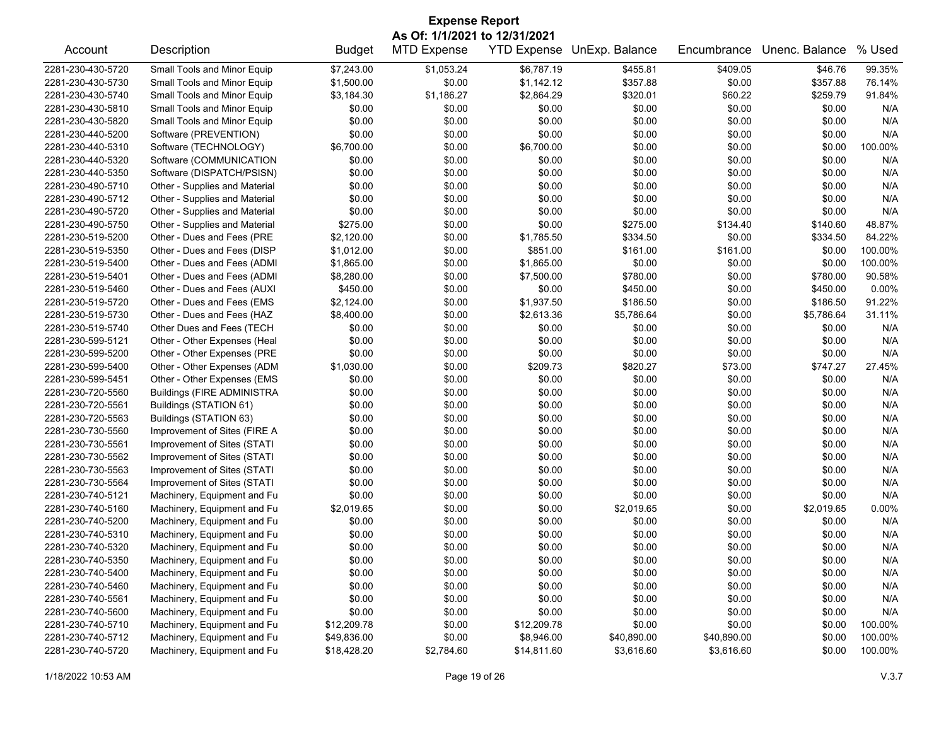| <b>Expense Report</b>         |                                   |               |                    |                    |                |             |                |         |  |
|-------------------------------|-----------------------------------|---------------|--------------------|--------------------|----------------|-------------|----------------|---------|--|
| As Of: 1/1/2021 to 12/31/2021 |                                   |               |                    |                    |                |             |                |         |  |
| Account                       | Description                       | <b>Budget</b> | <b>MTD Expense</b> | <b>YTD Expense</b> | UnExp. Balance | Encumbrance | Unenc. Balance | % Used  |  |
| 2281-230-430-5720             | Small Tools and Minor Equip       | \$7,243.00    | \$1,053.24         | \$6,787.19         | \$455.81       | \$409.05    | \$46.76        | 99.35%  |  |
| 2281-230-430-5730             | Small Tools and Minor Equip       | \$1,500.00    | \$0.00             | \$1,142.12         | \$357.88       | \$0.00      | \$357.88       | 76.14%  |  |
| 2281-230-430-5740             | Small Tools and Minor Equip       | \$3,184.30    | \$1,186.27         | \$2,864.29         | \$320.01       | \$60.22     | \$259.79       | 91.84%  |  |
| 2281-230-430-5810             | Small Tools and Minor Equip       | \$0.00        | \$0.00             | \$0.00             | \$0.00         | \$0.00      | \$0.00         | N/A     |  |
| 2281-230-430-5820             | Small Tools and Minor Equip       | \$0.00        | \$0.00             | \$0.00             | \$0.00         | \$0.00      | \$0.00         | N/A     |  |
| 2281-230-440-5200             | Software (PREVENTION)             | \$0.00        | \$0.00             | \$0.00             | \$0.00         | \$0.00      | \$0.00         | N/A     |  |
| 2281-230-440-5310             | Software (TECHNOLOGY)             | \$6,700.00    | \$0.00             | \$6,700.00         | \$0.00         | \$0.00      | \$0.00         | 100.00% |  |
| 2281-230-440-5320             | Software (COMMUNICATION           | \$0.00        | \$0.00             | \$0.00             | \$0.00         | \$0.00      | \$0.00         | N/A     |  |
| 2281-230-440-5350             | Software (DISPATCH/PSISN)         | \$0.00        | \$0.00             | \$0.00             | \$0.00         | \$0.00      | \$0.00         | N/A     |  |
| 2281-230-490-5710             | Other - Supplies and Material     | \$0.00        | \$0.00             | \$0.00             | \$0.00         | \$0.00      | \$0.00         | N/A     |  |
| 2281-230-490-5712             | Other - Supplies and Material     | \$0.00        | \$0.00             | \$0.00             | \$0.00         | \$0.00      | \$0.00         | N/A     |  |
| 2281-230-490-5720             | Other - Supplies and Material     | \$0.00        | \$0.00             | \$0.00             | \$0.00         | \$0.00      | \$0.00         | N/A     |  |
| 2281-230-490-5750             | Other - Supplies and Material     | \$275.00      | \$0.00             | \$0.00             | \$275.00       | \$134.40    | \$140.60       | 48.87%  |  |
| 2281-230-519-5200             | Other - Dues and Fees (PRE        | \$2,120.00    | \$0.00             | \$1,785.50         | \$334.50       | \$0.00      | \$334.50       | 84.22%  |  |
| 2281-230-519-5350             | Other - Dues and Fees (DISP       | \$1,012.00    | \$0.00             | \$851.00           | \$161.00       | \$161.00    | \$0.00         | 100.00% |  |
| 2281-230-519-5400             | Other - Dues and Fees (ADMI       | \$1,865.00    | \$0.00             | \$1,865.00         | \$0.00         | \$0.00      | \$0.00         | 100.00% |  |
| 2281-230-519-5401             | Other - Dues and Fees (ADMI       | \$8,280.00    | \$0.00             | \$7,500.00         | \$780.00       | \$0.00      | \$780.00       | 90.58%  |  |
| 2281-230-519-5460             | Other - Dues and Fees (AUXI       | \$450.00      | \$0.00             | \$0.00             | \$450.00       | \$0.00      | \$450.00       | 0.00%   |  |
| 2281-230-519-5720             | Other - Dues and Fees (EMS        | \$2,124.00    | \$0.00             | \$1,937.50         | \$186.50       | \$0.00      | \$186.50       | 91.22%  |  |
| 2281-230-519-5730             | Other - Dues and Fees (HAZ        | \$8,400.00    | \$0.00             | \$2,613.36         | \$5,786.64     | \$0.00      | \$5,786.64     | 31.11%  |  |
| 2281-230-519-5740             | Other Dues and Fees (TECH         | \$0.00        | \$0.00             | \$0.00             | \$0.00         | \$0.00      | \$0.00         | N/A     |  |
| 2281-230-599-5121             | Other - Other Expenses (Heal      | \$0.00        | \$0.00             | \$0.00             | \$0.00         | \$0.00      | \$0.00         | N/A     |  |
| 2281-230-599-5200             | Other - Other Expenses (PRE       | \$0.00        | \$0.00             | \$0.00             | \$0.00         | \$0.00      | \$0.00         | N/A     |  |
| 2281-230-599-5400             | Other - Other Expenses (ADM       | \$1,030.00    | \$0.00             | \$209.73           | \$820.27       | \$73.00     | \$747.27       | 27.45%  |  |
| 2281-230-599-5451             | Other - Other Expenses (EMS       | \$0.00        | \$0.00             | \$0.00             | \$0.00         | \$0.00      | \$0.00         | N/A     |  |
| 2281-230-720-5560             | <b>Buildings (FIRE ADMINISTRA</b> | \$0.00        | \$0.00             | \$0.00             | \$0.00         | \$0.00      | \$0.00         | N/A     |  |
| 2281-230-720-5561             | Buildings (STATION 61)            | \$0.00        | \$0.00             | \$0.00             | \$0.00         | \$0.00      | \$0.00         | N/A     |  |
| 2281-230-720-5563             | Buildings (STATION 63)            | \$0.00        | \$0.00             | \$0.00             | \$0.00         | \$0.00      | \$0.00         | N/A     |  |
| 2281-230-730-5560             | Improvement of Sites (FIRE A      | \$0.00        | \$0.00             | \$0.00             | \$0.00         | \$0.00      | \$0.00         | N/A     |  |
| 2281-230-730-5561             | Improvement of Sites (STATI       | \$0.00        | \$0.00             | \$0.00             | \$0.00         | \$0.00      | \$0.00         | N/A     |  |
| 2281-230-730-5562             | Improvement of Sites (STATI       | \$0.00        | \$0.00             | \$0.00             | \$0.00         | \$0.00      | \$0.00         | N/A     |  |
| 2281-230-730-5563             | Improvement of Sites (STATI       | \$0.00        | \$0.00             | \$0.00             | \$0.00         | \$0.00      | \$0.00         | N/A     |  |
| 2281-230-730-5564             | Improvement of Sites (STATI       | \$0.00        | \$0.00             | \$0.00             | \$0.00         | \$0.00      | \$0.00         | N/A     |  |
| 2281-230-740-5121             | Machinery, Equipment and Fu       | \$0.00        | \$0.00             | \$0.00             | \$0.00         | \$0.00      | \$0.00         | N/A     |  |
| 2281-230-740-5160             | Machinery, Equipment and Fu       | \$2,019.65    | \$0.00             | \$0.00             | \$2,019.65     | \$0.00      | \$2,019.65     | 0.00%   |  |
| 2281-230-740-5200             | Machinery, Equipment and Fu       | \$0.00        | \$0.00             | \$0.00             | \$0.00         | \$0.00      | \$0.00         | N/A     |  |
| 2281-230-740-5310             | Machinery, Equipment and Fu       | \$0.00        | \$0.00             | \$0.00             | \$0.00         | \$0.00      | \$0.00         | N/A     |  |
| 2281-230-740-5320             | Machinery, Equipment and Fu       | \$0.00        | \$0.00             | \$0.00             | \$0.00         | \$0.00      | \$0.00         | N/A     |  |
| 2281-230-740-5350             | Machinery, Equipment and Fu       | \$0.00        | \$0.00             | \$0.00             | \$0.00         | \$0.00      | \$0.00         | N/A     |  |
| 2281-230-740-5400             | Machinery, Equipment and Fu       | \$0.00        | \$0.00             | \$0.00             | \$0.00         | \$0.00      | \$0.00         | N/A     |  |
| 2281-230-740-5460             | Machinery, Equipment and Fu       | \$0.00        | \$0.00             | \$0.00             | \$0.00         | \$0.00      | \$0.00         | N/A     |  |
| 2281-230-740-5561             | Machinery, Equipment and Fu       | \$0.00        | \$0.00             | \$0.00             | \$0.00         | \$0.00      | \$0.00         | N/A     |  |
| 2281-230-740-5600             | Machinery, Equipment and Fu       | \$0.00        | \$0.00             | \$0.00             | \$0.00         | \$0.00      | \$0.00         | N/A     |  |
| 2281-230-740-5710             | Machinery, Equipment and Fu       | \$12,209.78   | \$0.00             | \$12,209.78        | \$0.00         | \$0.00      | \$0.00         | 100.00% |  |
| 2281-230-740-5712             | Machinery, Equipment and Fu       | \$49,836.00   | \$0.00             | \$8,946.00         | \$40,890.00    | \$40,890.00 | \$0.00         | 100.00% |  |
| 2281-230-740-5720             | Machinery, Equipment and Fu       | \$18,428.20   | \$2,784.60         | \$14,811.60        | \$3,616.60     | \$3,616.60  | \$0.00         | 100.00% |  |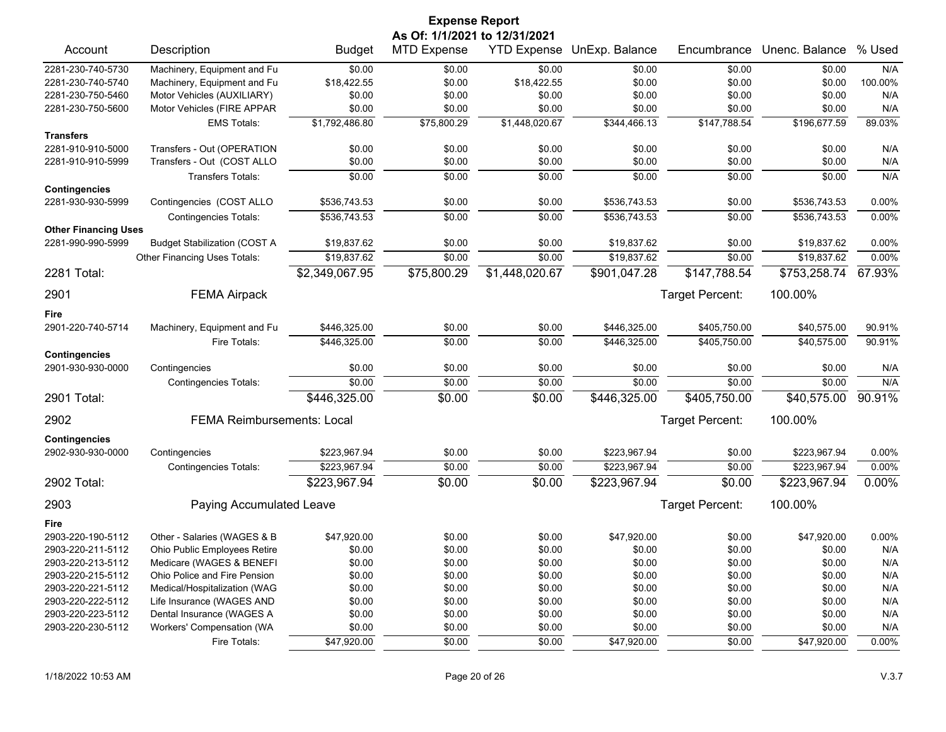|                                                  |                                     |                | <b>Expense Report</b>         |                |                            |                 |                |          |
|--------------------------------------------------|-------------------------------------|----------------|-------------------------------|----------------|----------------------------|-----------------|----------------|----------|
|                                                  |                                     |                | As Of: 1/1/2021 to 12/31/2021 |                |                            |                 |                |          |
| Account                                          | Description                         | <b>Budget</b>  | <b>MTD Expense</b>            |                | YTD Expense UnExp. Balance | Encumbrance     | Unenc. Balance | % Used   |
| 2281-230-740-5730                                | Machinery, Equipment and Fu         | \$0.00         | \$0.00                        | \$0.00         | \$0.00                     | \$0.00          | \$0.00         | N/A      |
| 2281-230-740-5740                                | Machinery, Equipment and Fu         | \$18,422.55    | \$0.00                        | \$18,422.55    | \$0.00                     | \$0.00          | \$0.00         | 100.00%  |
| 2281-230-750-5460                                | Motor Vehicles (AUXILIARY)          | \$0.00         | \$0.00                        | \$0.00         | \$0.00                     | \$0.00          | \$0.00         | N/A      |
| 2281-230-750-5600                                | Motor Vehicles (FIRE APPAR          | \$0.00         | \$0.00                        | \$0.00         | \$0.00                     | \$0.00          | \$0.00         | N/A      |
|                                                  | <b>EMS Totals:</b>                  | \$1,792,486.80 | \$75,800.29                   | \$1,448,020.67 | \$344,466.13               | \$147,788.54    | \$196,677.59   | 89.03%   |
| <b>Transfers</b>                                 |                                     |                |                               |                |                            |                 |                |          |
| 2281-910-910-5000                                | Transfers - Out (OPERATION          | \$0.00         | \$0.00                        | \$0.00         | \$0.00                     | \$0.00          | \$0.00         | N/A      |
| 2281-910-910-5999                                | Transfers - Out (COST ALLO          | \$0.00         | \$0.00                        | \$0.00         | \$0.00                     | \$0.00          | \$0.00         | N/A      |
|                                                  | <b>Transfers Totals:</b>            | \$0.00         | \$0.00                        | \$0.00         | \$0.00                     | \$0.00          | \$0.00         | N/A      |
| <b>Contingencies</b>                             |                                     |                |                               |                |                            |                 |                |          |
| 2281-930-930-5999                                | Contingencies (COST ALLO            | \$536,743.53   | \$0.00                        | \$0.00         | \$536,743.53               | \$0.00          | \$536,743.53   | 0.00%    |
|                                                  | <b>Contingencies Totals:</b>        | \$536,743.53   | \$0.00                        | \$0.00         | \$536,743.53               | \$0.00          | \$536,743.53   | 0.00%    |
| <b>Other Financing Uses</b><br>2281-990-990-5999 | <b>Budget Stabilization (COST A</b> | \$19,837.62    | \$0.00                        | \$0.00         | \$19,837.62                | \$0.00          | \$19,837.62    | 0.00%    |
|                                                  |                                     | \$19,837.62    | \$0.00                        |                | \$19,837.62                |                 | \$19,837.62    | 0.00%    |
|                                                  | Other Financing Uses Totals:        |                |                               | \$0.00         |                            | \$0.00          |                |          |
| 2281 Total:                                      |                                     | \$2,349,067.95 | \$75,800.29                   | \$1,448,020.67 | \$901,047.28               | \$147,788.54    | \$753,258.74   | 67.93%   |
| 2901                                             | <b>FEMA Airpack</b>                 |                |                               |                |                            | Target Percent: | 100.00%        |          |
| Fire                                             |                                     |                |                               |                |                            |                 |                |          |
| 2901-220-740-5714                                | Machinery, Equipment and Fu         | \$446,325.00   | \$0.00                        | \$0.00         | \$446,325.00               | \$405,750.00    | \$40,575.00    | 90.91%   |
|                                                  | Fire Totals:                        | \$446,325.00   | \$0.00                        | \$0.00         | \$446,325.00               | \$405,750.00    | \$40,575.00    | 90.91%   |
| <b>Contingencies</b>                             |                                     |                |                               |                |                            |                 |                |          |
| 2901-930-930-0000                                | Contingencies                       | \$0.00         | \$0.00                        | \$0.00         | \$0.00                     | \$0.00          | \$0.00         | N/A      |
|                                                  | Contingencies Totals:               | \$0.00         | \$0.00                        | \$0.00         | \$0.00                     | \$0.00          | \$0.00         | N/A      |
| 2901 Total:                                      |                                     | \$446,325.00   | \$0.00                        | \$0.00         | \$446,325.00               | \$405,750.00    | \$40,575.00    | 90.91%   |
| 2902                                             | <b>FEMA Reimbursements: Local</b>   |                |                               |                |                            | Target Percent: | 100.00%        |          |
| <b>Contingencies</b>                             |                                     |                |                               |                |                            |                 |                |          |
| 2902-930-930-0000                                | Contingencies                       | \$223,967.94   | \$0.00                        | \$0.00         | \$223,967.94               | \$0.00          | \$223,967.94   | 0.00%    |
|                                                  | <b>Contingencies Totals:</b>        | \$223,967.94   | \$0.00                        | \$0.00         | \$223,967.94               | \$0.00          | \$223,967.94   | 0.00%    |
| 2902 Total:                                      |                                     | \$223,967.94   | \$0.00                        | \$0.00         | \$223,967.94               | \$0.00          | \$223,967.94   | 0.00%    |
| 2903                                             | Paying Accumulated Leave            |                |                               |                |                            | Target Percent: | 100.00%        |          |
| Fire                                             |                                     |                |                               |                |                            |                 |                |          |
| 2903-220-190-5112                                | Other - Salaries (WAGES & B         | \$47,920.00    | \$0.00                        | \$0.00         | \$47,920.00                | \$0.00          | \$47,920.00    | 0.00%    |
| 2903-220-211-5112                                | Ohio Public Employees Retire        | \$0.00         | \$0.00                        | \$0.00         | \$0.00                     | \$0.00          | \$0.00         | N/A      |
| 2903-220-213-5112                                | Medicare (WAGES & BENEFI            | \$0.00         | \$0.00                        | \$0.00         | \$0.00                     | \$0.00          | \$0.00         | N/A      |
| 2903-220-215-5112                                | Ohio Police and Fire Pension        | \$0.00         | \$0.00                        | \$0.00         | \$0.00                     | \$0.00          | \$0.00         | N/A      |
| 2903-220-221-5112                                | Medical/Hospitalization (WAG        | \$0.00         | \$0.00                        | \$0.00         | \$0.00                     | \$0.00          | \$0.00         | N/A      |
| 2903-220-222-5112                                | Life Insurance (WAGES AND           | \$0.00         | \$0.00                        | \$0.00         | \$0.00                     | \$0.00          | \$0.00         | N/A      |
| 2903-220-223-5112                                | Dental Insurance (WAGES A           | \$0.00         | \$0.00                        | \$0.00         | \$0.00                     | \$0.00          | \$0.00         | N/A      |
| 2903-220-230-5112                                | Workers' Compensation (WA           | \$0.00         | \$0.00                        | \$0.00         | \$0.00                     | \$0.00          | \$0.00         | N/A      |
|                                                  | Fire Totals:                        | \$47,920.00    | \$0.00                        | \$0.00         | \$47,920.00                | \$0.00          | \$47,920.00    | $0.00\%$ |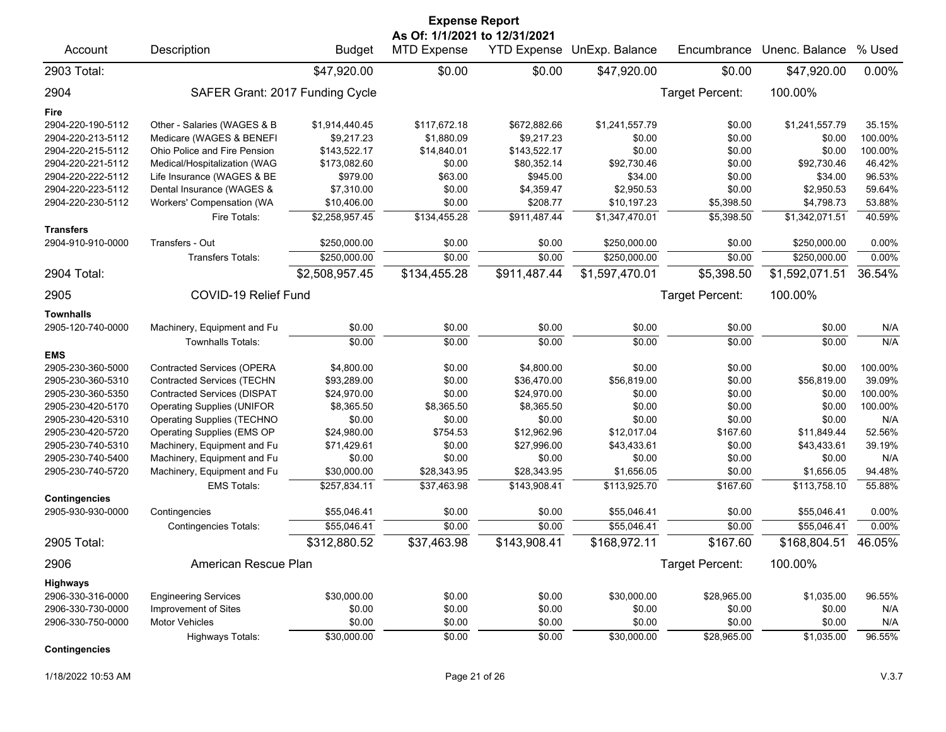| <b>Expense Report</b>                     |                                    |                |                                                     |              |                            |                 |                |         |  |  |
|-------------------------------------------|------------------------------------|----------------|-----------------------------------------------------|--------------|----------------------------|-----------------|----------------|---------|--|--|
| Account                                   | Description                        | <b>Budget</b>  | As Of: 1/1/2021 to 12/31/2021<br><b>MTD Expense</b> |              | YTD Expense UnExp. Balance | Encumbrance     | Unenc. Balance | % Used  |  |  |
| 2903 Total:                               |                                    | \$47,920.00    | \$0.00                                              | \$0.00       | \$47,920.00                | \$0.00          | \$47,920.00    | 0.00%   |  |  |
| 2904                                      | SAFER Grant: 2017 Funding Cycle    |                |                                                     |              |                            | Target Percent: | 100.00%        |         |  |  |
| Fire                                      |                                    |                |                                                     |              |                            |                 |                |         |  |  |
| 2904-220-190-5112                         | Other - Salaries (WAGES & B        | \$1,914,440.45 | \$117,672.18                                        | \$672,882.66 | \$1,241,557.79             | \$0.00          | \$1,241,557.79 | 35.15%  |  |  |
| 2904-220-213-5112                         | Medicare (WAGES & BENEFI           | \$9,217.23     | \$1,880.09                                          | \$9,217.23   | \$0.00                     | \$0.00          | \$0.00         | 100.00% |  |  |
| 2904-220-215-5112                         | Ohio Police and Fire Pension       | \$143,522.17   | \$14,840.01                                         | \$143,522.17 | \$0.00                     | \$0.00          | \$0.00         | 100.00% |  |  |
| 2904-220-221-5112                         | Medical/Hospitalization (WAG       | \$173,082.60   | \$0.00                                              | \$80,352.14  | \$92,730.46                | \$0.00          | \$92,730.46    | 46.42%  |  |  |
| 2904-220-222-5112                         | Life Insurance (WAGES & BE         | \$979.00       | \$63.00                                             | \$945.00     | \$34.00                    | \$0.00          | \$34.00        | 96.53%  |  |  |
| 2904-220-223-5112                         | Dental Insurance (WAGES &          | \$7,310.00     | \$0.00                                              | \$4,359.47   | \$2,950.53                 | \$0.00          | \$2,950.53     | 59.64%  |  |  |
| 2904-220-230-5112                         | Workers' Compensation (WA          | \$10,406.00    | \$0.00                                              | \$208.77     | \$10,197.23                | \$5,398.50      | \$4,798.73     | 53.88%  |  |  |
|                                           | Fire Totals:                       | \$2,258,957.45 | \$134,455.28                                        | \$911,487.44 | \$1,347,470.01             | \$5,398.50      | \$1,342,071.51 | 40.59%  |  |  |
| <b>Transfers</b><br>2904-910-910-0000     | Transfers - Out                    | \$250,000.00   | \$0.00                                              | \$0.00       | \$250,000.00               | \$0.00          | \$250,000.00   | 0.00%   |  |  |
|                                           | <b>Transfers Totals:</b>           | \$250,000.00   | \$0.00                                              | \$0.00       | \$250,000.00               | \$0.00          | \$250,000.00   | 0.00%   |  |  |
| 2904 Total:                               |                                    | \$2,508,957.45 | \$134,455.28                                        | \$911,487.44 | \$1,597,470.01             | \$5,398.50      | \$1,592,071.51 | 36.54%  |  |  |
| 2905                                      | COVID-19 Relief Fund               |                |                                                     |              |                            | Target Percent: | 100.00%        |         |  |  |
| <b>Townhalls</b>                          |                                    |                |                                                     |              |                            |                 |                |         |  |  |
| 2905-120-740-0000                         | Machinery, Equipment and Fu        | \$0.00         | \$0.00                                              | \$0.00       | \$0.00                     | \$0.00          | \$0.00         | N/A     |  |  |
|                                           | <b>Townhalls Totals:</b>           | \$0.00         | \$0.00                                              | \$0.00       | \$0.00                     | \$0.00          | \$0.00         | N/A     |  |  |
| <b>EMS</b>                                |                                    |                |                                                     |              |                            |                 |                |         |  |  |
| 2905-230-360-5000                         | <b>Contracted Services (OPERA</b>  | \$4,800.00     | \$0.00                                              | \$4,800.00   | \$0.00                     | \$0.00          | \$0.00         | 100.00% |  |  |
| 2905-230-360-5310                         | <b>Contracted Services (TECHN</b>  | \$93,289.00    | \$0.00                                              | \$36,470.00  | \$56,819.00                | \$0.00          | \$56,819.00    | 39.09%  |  |  |
| 2905-230-360-5350                         | <b>Contracted Services (DISPAT</b> | \$24,970.00    | \$0.00                                              | \$24,970.00  | \$0.00                     | \$0.00          | \$0.00         | 100.00% |  |  |
| 2905-230-420-5170                         | <b>Operating Supplies (UNIFOR</b>  | \$8,365.50     | \$8,365.50                                          | \$8,365.50   | \$0.00                     | \$0.00          | \$0.00         | 100.00% |  |  |
| 2905-230-420-5310                         | <b>Operating Supplies (TECHNO</b>  | \$0.00         | \$0.00                                              | \$0.00       | \$0.00                     | \$0.00          | \$0.00         | N/A     |  |  |
| 2905-230-420-5720                         | Operating Supplies (EMS OP         | \$24,980.00    | \$754.53                                            | \$12,962.96  | \$12,017.04                | \$167.60        | \$11,849.44    | 52.56%  |  |  |
| 2905-230-740-5310                         | Machinery, Equipment and Fu        | \$71,429.61    | \$0.00                                              | \$27,996.00  | \$43,433.61                | \$0.00          | \$43,433.61    | 39.19%  |  |  |
| 2905-230-740-5400                         | Machinery, Equipment and Fu        | \$0.00         | \$0.00                                              | \$0.00       | \$0.00                     | \$0.00          | \$0.00         | N/A     |  |  |
| 2905-230-740-5720                         | Machinery, Equipment and Fu        | \$30,000.00    | \$28,343.95                                         | \$28,343.95  | \$1,656.05                 | \$0.00          | \$1,656.05     | 94.48%  |  |  |
|                                           | <b>EMS Totals:</b>                 | \$257,834.11   | \$37,463.98                                         | \$143,908.41 | \$113,925.70               | \$167.60        | \$113,758.10   | 55.88%  |  |  |
| <b>Contingencies</b><br>2905-930-930-0000 | Contingencies                      | \$55,046.41    | \$0.00                                              | \$0.00       | \$55,046.41                | \$0.00          | \$55,046.41    | 0.00%   |  |  |
|                                           | <b>Contingencies Totals:</b>       | \$55.046.41    | \$0.00                                              | \$0.00       | \$55,046.41                | \$0.00          | \$55.046.41    | 0.00%   |  |  |
| 2905 Total:                               |                                    | \$312,880.52   | \$37,463.98                                         | \$143,908.41 | \$168,972.11               | \$167.60        | \$168,804.51   | 46.05%  |  |  |
|                                           |                                    |                |                                                     |              |                            |                 |                |         |  |  |
| 2906                                      | American Rescue Plan               |                |                                                     |              |                            | Target Percent: | 100.00%        |         |  |  |
| Highways                                  |                                    |                |                                                     |              |                            |                 |                |         |  |  |
| 2906-330-316-0000                         | <b>Engineering Services</b>        | \$30,000.00    | \$0.00                                              | \$0.00       | \$30,000.00                | \$28,965.00     | \$1,035.00     | 96.55%  |  |  |
| 2906-330-730-0000                         | Improvement of Sites               | \$0.00         | \$0.00                                              | \$0.00       | \$0.00                     | \$0.00          | \$0.00         | N/A     |  |  |
| 2906-330-750-0000                         | <b>Motor Vehicles</b>              | \$0.00         | \$0.00                                              | \$0.00       | \$0.00                     | \$0.00          | \$0.00         | N/A     |  |  |
|                                           | Highways Totals:                   | \$30,000.00    | \$0.00                                              | \$0.00       | \$30,000.00                | \$28,965.00     | \$1,035.00     | 96.55%  |  |  |
| <b>Contingencies</b>                      |                                    |                |                                                     |              |                            |                 |                |         |  |  |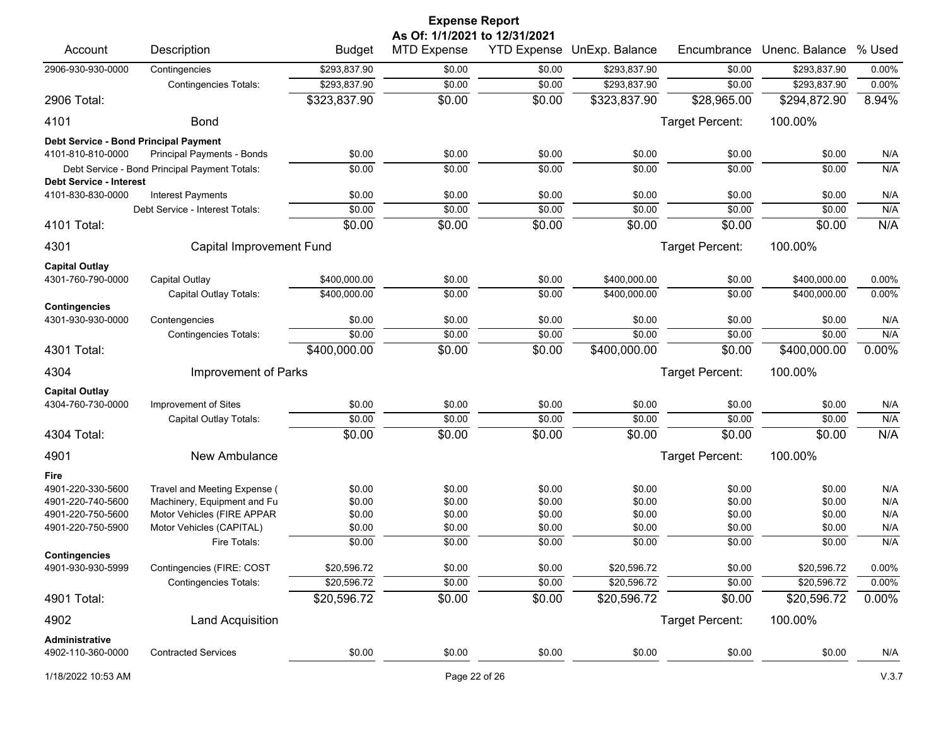| <b>Expense Report</b><br>As Of: 1/1/2021 to 12/31/2021 |                                               |               |                    |                    |                |                 |                |        |  |
|--------------------------------------------------------|-----------------------------------------------|---------------|--------------------|--------------------|----------------|-----------------|----------------|--------|--|
| Account                                                | Description                                   | <b>Budget</b> | <b>MTD Expense</b> | <b>YTD Expense</b> | UnExp. Balance | Encumbrance     | Unenc. Balance | % Used |  |
| 2906-930-930-0000                                      | Contingencies                                 | \$293,837.90  | \$0.00             | \$0.00             | \$293,837.90   | \$0.00          | \$293,837.90   | 0.00%  |  |
|                                                        | <b>Contingencies Totals:</b>                  | \$293,837.90  | \$0.00             | \$0.00             | \$293,837.90   | \$0.00          | \$293,837.90   | 0.00%  |  |
| 2906 Total:                                            |                                               | \$323,837.90  | \$0.00             | \$0.00             | \$323,837.90   | \$28,965.00     | \$294,872.90   | 8.94%  |  |
| 4101                                                   | <b>Bond</b>                                   |               |                    |                    |                | Target Percent: | 100.00%        |        |  |
| Debt Service - Bond Principal Payment                  |                                               |               |                    |                    |                |                 |                |        |  |
| 4101-810-810-0000                                      | Principal Payments - Bonds                    | \$0.00        | \$0.00             | \$0.00             | \$0.00         | \$0.00          | \$0.00         | N/A    |  |
|                                                        | Debt Service - Bond Principal Payment Totals: | \$0.00        | \$0.00             | \$0.00             | \$0.00         | \$0.00          | \$0.00         | N/A    |  |
| <b>Debt Service - Interest</b><br>4101-830-830-0000    | <b>Interest Payments</b>                      | \$0.00        | \$0.00             | \$0.00             | \$0.00         | \$0.00          | \$0.00         | N/A    |  |
|                                                        | Debt Service - Interest Totals:               | \$0.00        | \$0.00             | \$0.00             | \$0.00         | \$0.00          | \$0.00         | N/A    |  |
| 4101 Total:                                            |                                               | \$0.00        | \$0.00             | \$0.00             | \$0.00         | \$0.00          | \$0.00         | N/A    |  |
|                                                        |                                               |               |                    |                    |                |                 |                |        |  |
| 4301                                                   | Capital Improvement Fund                      |               |                    |                    |                | Target Percent: | 100.00%        |        |  |
| <b>Capital Outlay</b>                                  |                                               |               |                    |                    |                |                 |                |        |  |
| 4301-760-790-0000                                      | Capital Outlay                                | \$400,000.00  | \$0.00             | \$0.00             | \$400,000.00   | \$0.00          | \$400,000.00   | 0.00%  |  |
| <b>Contingencies</b>                                   | Capital Outlay Totals:                        | \$400,000.00  | \$0.00             | \$0.00             | \$400,000.00   | \$0.00          | \$400,000.00   | 0.00%  |  |
| 4301-930-930-0000                                      | Contengencies                                 | \$0.00        | \$0.00             | \$0.00             | \$0.00         | \$0.00          | \$0.00         | N/A    |  |
|                                                        | <b>Contingencies Totals:</b>                  | \$0.00        | \$0.00             | \$0.00             | \$0.00         | \$0.00          | \$0.00         | N/A    |  |
| 4301 Total:                                            |                                               | \$400,000.00  | \$0.00             | \$0.00             | \$400,000.00   | \$0.00          | \$400,000.00   | 0.00%  |  |
| 4304                                                   | Improvement of Parks                          |               |                    |                    |                | Target Percent: | 100.00%        |        |  |
| <b>Capital Outlay</b>                                  |                                               |               |                    |                    |                |                 |                |        |  |
| 4304-760-730-0000                                      | Improvement of Sites                          | \$0.00        | \$0.00             | \$0.00             | \$0.00         | \$0.00          | \$0.00         | N/A    |  |
|                                                        | Capital Outlay Totals:                        | \$0.00        | \$0.00             | \$0.00             | \$0.00         | \$0.00          | \$0.00         | N/A    |  |
| 4304 Total:                                            |                                               | \$0.00        | \$0.00             | \$0.00             | \$0.00         | \$0.00          | \$0.00         | N/A    |  |
| 4901                                                   | New Ambulance                                 |               |                    |                    |                | Target Percent: | 100.00%        |        |  |
| Fire                                                   |                                               |               |                    |                    |                |                 |                |        |  |
| 4901-220-330-5600                                      | Travel and Meeting Expense (                  | \$0.00        | \$0.00             | \$0.00             | \$0.00         | \$0.00          | \$0.00         | N/A    |  |
| 4901-220-740-5600                                      | Machinery, Equipment and Fu                   | \$0.00        | \$0.00             | \$0.00             | \$0.00         | \$0.00          | \$0.00         | N/A    |  |
| 4901-220-750-5600                                      | Motor Vehicles (FIRE APPAR                    | \$0.00        | \$0.00             | \$0.00             | \$0.00         | \$0.00          | \$0.00         | N/A    |  |
| 4901-220-750-5900                                      | Motor Vehicles (CAPITAL)                      | \$0.00        | \$0.00             | \$0.00             | \$0.00         | \$0.00          | \$0.00         | N/A    |  |
| <b>Contingencies</b>                                   | Fire Totals:                                  | \$0.00        | \$0.00             | \$0.00             | \$0.00         | \$0.00          | \$0.00         | N/A    |  |
| 4901-930-930-5999                                      | Contingencies (FIRE: COST                     | \$20,596.72   | \$0.00             | \$0.00             | \$20,596.72    | \$0.00          | \$20,596.72    | 0.00%  |  |
|                                                        | <b>Contingencies Totals:</b>                  | \$20,596.72   | \$0.00             | \$0.00             | \$20,596.72    | \$0.00          | \$20,596.72    | 0.00%  |  |
| 4901 Total:                                            |                                               | \$20,596.72   | \$0.00             | \$0.00             | \$20,596.72    | \$0.00          | \$20,596.72    | 0.00%  |  |
| 4902                                                   | <b>Land Acquisition</b>                       |               |                    |                    |                | Target Percent: | 100.00%        |        |  |
| Administrative                                         |                                               |               |                    |                    |                |                 |                |        |  |
| 4902-110-360-0000                                      | <b>Contracted Services</b>                    | \$0.00        | \$0.00             | \$0.00             | \$0.00         | \$0.00          | \$0.00         | N/A    |  |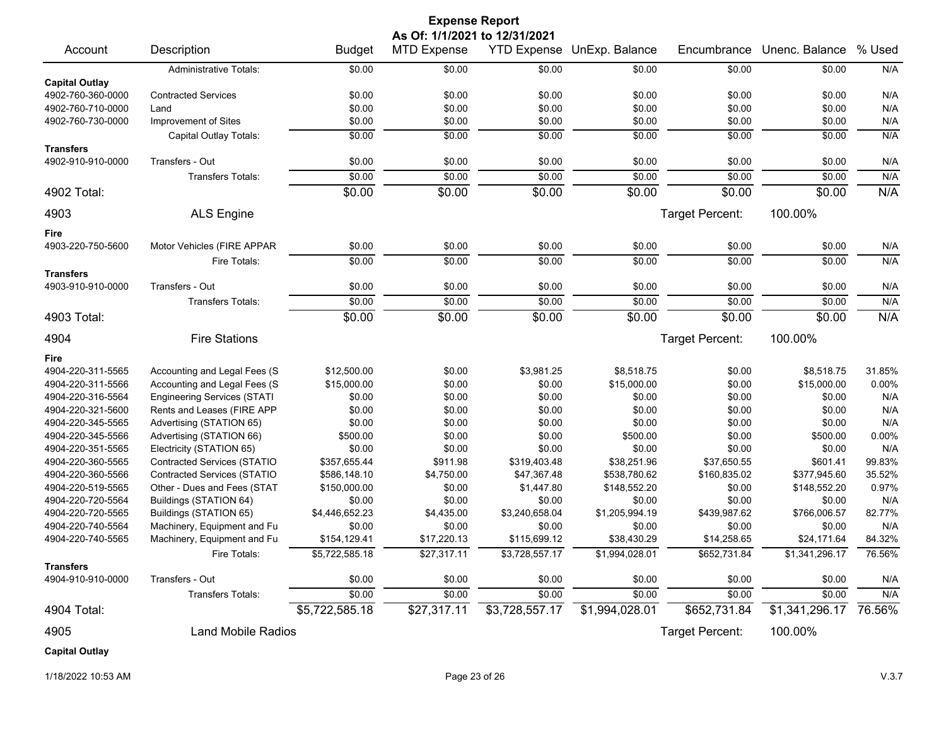| <b>Expense Report</b><br>As Of: 1/1/2021 to 12/31/2021 |                                    |                |                    |                |                                   |                        |                |        |
|--------------------------------------------------------|------------------------------------|----------------|--------------------|----------------|-----------------------------------|------------------------|----------------|--------|
| Account                                                | Description                        | <b>Budget</b>  | <b>MTD Expense</b> |                | <b>YTD Expense UnExp. Balance</b> | Encumbrance            | Unenc. Balance | % Used |
|                                                        | <b>Administrative Totals:</b>      | \$0.00         | \$0.00             | \$0.00         | \$0.00                            | \$0.00                 | \$0.00         | N/A    |
| <b>Capital Outlay</b>                                  |                                    |                |                    |                |                                   |                        |                |        |
| 4902-760-360-0000                                      | <b>Contracted Services</b>         | \$0.00         | \$0.00             | \$0.00         | \$0.00                            | \$0.00                 | \$0.00         | N/A    |
| 4902-760-710-0000                                      | Land                               | \$0.00         | \$0.00             | \$0.00         | \$0.00                            | \$0.00                 | \$0.00         | N/A    |
| 4902-760-730-0000                                      | Improvement of Sites               | \$0.00         | \$0.00             | \$0.00         | \$0.00                            | \$0.00                 | \$0.00         | N/A    |
|                                                        | Capital Outlay Totals:             | \$0.00         | \$0.00             | \$0.00         | \$0.00                            | \$0.00                 | \$0.00         | N/A    |
| <b>Transfers</b>                                       |                                    |                |                    |                |                                   |                        |                |        |
| 4902-910-910-0000                                      | Transfers - Out                    | \$0.00         | \$0.00             | \$0.00         | \$0.00                            | \$0.00                 | \$0.00         | N/A    |
|                                                        | <b>Transfers Totals:</b>           | \$0.00         | \$0.00             | \$0.00         | \$0.00                            | \$0.00                 | \$0.00         | N/A    |
| 4902 Total:                                            |                                    | \$0.00         | \$0.00             | \$0.00         | \$0.00                            | \$0.00                 | \$0.00         | N/A    |
| 4903                                                   | <b>ALS Engine</b>                  |                |                    |                |                                   | Target Percent:        | 100.00%        |        |
| Fire                                                   |                                    |                |                    |                |                                   |                        |                |        |
| 4903-220-750-5600                                      | Motor Vehicles (FIRE APPAR         | \$0.00         | \$0.00             | \$0.00         | \$0.00                            | \$0.00                 | \$0.00         | N/A    |
|                                                        | Fire Totals:                       | \$0.00         | \$0.00             | \$0.00         | \$0.00                            | \$0.00                 | \$0.00         | N/A    |
| <b>Transfers</b>                                       |                                    |                |                    |                |                                   |                        |                |        |
| 4903-910-910-0000                                      | Transfers - Out                    | \$0.00         | \$0.00             | \$0.00         | \$0.00                            | \$0.00                 | \$0.00         | N/A    |
|                                                        | <b>Transfers Totals:</b>           | \$0.00         | \$0.00             | \$0.00         | \$0.00                            | \$0.00                 | \$0.00         | N/A    |
| 4903 Total:                                            |                                    | \$0.00         | \$0.00             | \$0.00         | \$0.00                            | \$0.00                 | \$0.00         | N/A    |
| 4904                                                   | <b>Fire Stations</b>               |                |                    |                |                                   | <b>Target Percent:</b> | 100.00%        |        |
| Fire                                                   |                                    |                |                    |                |                                   |                        |                |        |
| 4904-220-311-5565                                      | Accounting and Legal Fees (S       | \$12,500.00    | \$0.00             | \$3,981.25     | \$8,518.75                        | \$0.00                 | \$8,518.75     | 31.85% |
| 4904-220-311-5566                                      | Accounting and Legal Fees (S       | \$15,000.00    | \$0.00             | \$0.00         | \$15,000.00                       | \$0.00                 | \$15,000.00    | 0.00%  |
| 4904-220-316-5564                                      | <b>Engineering Services (STATI</b> | \$0.00         | \$0.00             | \$0.00         | \$0.00                            | \$0.00                 | \$0.00         | N/A    |
| 4904-220-321-5600                                      | Rents and Leases (FIRE APP         | \$0.00         | \$0.00             | \$0.00         | \$0.00                            | \$0.00                 | \$0.00         | N/A    |
| 4904-220-345-5565                                      | Advertising (STATION 65)           | \$0.00         | \$0.00             | \$0.00         | \$0.00                            | \$0.00                 | \$0.00         | N/A    |
| 4904-220-345-5566                                      | Advertising (STATION 66)           | \$500.00       | \$0.00             | \$0.00         | \$500.00                          | \$0.00                 | \$500.00       | 0.00%  |
| 4904-220-351-5565                                      | Electricity (STATION 65)           | \$0.00         | \$0.00             | \$0.00         | \$0.00                            | \$0.00                 | \$0.00         | N/A    |
| 4904-220-360-5565                                      | <b>Contracted Services (STATIO</b> | \$357,655.44   | \$911.98           | \$319,403.48   | \$38,251.96                       | \$37,650.55            | \$601.41       | 99.83% |
| 4904-220-360-5566                                      | <b>Contracted Services (STATIO</b> | \$586,148.10   | \$4,750.00         | \$47,367.48    | \$538,780.62                      | \$160,835.02           | \$377,945.60   | 35.52% |
| 4904-220-519-5565                                      | Other - Dues and Fees (STAT        | \$150,000.00   | \$0.00             | \$1,447.80     | \$148,552.20                      | \$0.00                 | \$148,552.20   | 0.97%  |
| 4904-220-720-5564                                      | Buildings (STATION 64)             | \$0.00         | \$0.00             | \$0.00         | \$0.00                            | \$0.00                 | \$0.00         | N/A    |
| 4904-220-720-5565                                      | Buildings (STATION 65)             | \$4,446,652.23 | \$4,435.00         | \$3,240,658.04 | \$1,205,994.19                    | \$439,987.62           | \$766,006.57   | 82.77% |
| 4904-220-740-5564                                      | Machinery, Equipment and Fu        | \$0.00         | \$0.00             | \$0.00         | \$0.00                            | \$0.00                 | \$0.00         | N/A    |
| 4904-220-740-5565                                      | Machinery, Equipment and Fu        | \$154,129.41   | \$17,220.13        | \$115,699.12   | \$38,430.29                       | \$14,258.65            | \$24,171.64    | 84.32% |
|                                                        | Fire Totals:                       | \$5,722,585.18 | \$27,317.11        | \$3,728,557.17 | \$1,994,028.01                    | \$652,731.84           | \$1,341,296.17 | 76.56% |
| <b>Transfers</b><br>4904-910-910-0000                  | Transfers - Out                    | \$0.00         | \$0.00             | \$0.00         | \$0.00                            | \$0.00                 | \$0.00         | N/A    |
|                                                        | Transfers Totals:                  | \$0.00         | \$0.00             | \$0.00         | \$0.00                            | \$0.00                 | \$0.00         | N/A    |
| 4904 Total:                                            |                                    | \$5,722,585.18 | \$27,317.11        | \$3,728,557.17 | \$1,994,028.01                    | \$652,731.84           | \$1,341,296.17 | 76.56% |
| 4905                                                   | <b>Land Mobile Radios</b>          |                |                    |                |                                   | Target Percent:        | 100.00%        |        |
| <b>Capital Outlay</b>                                  |                                    |                |                    |                |                                   |                        |                |        |

1/18/2022 10:53 AM Page 23 of 26 V.3.7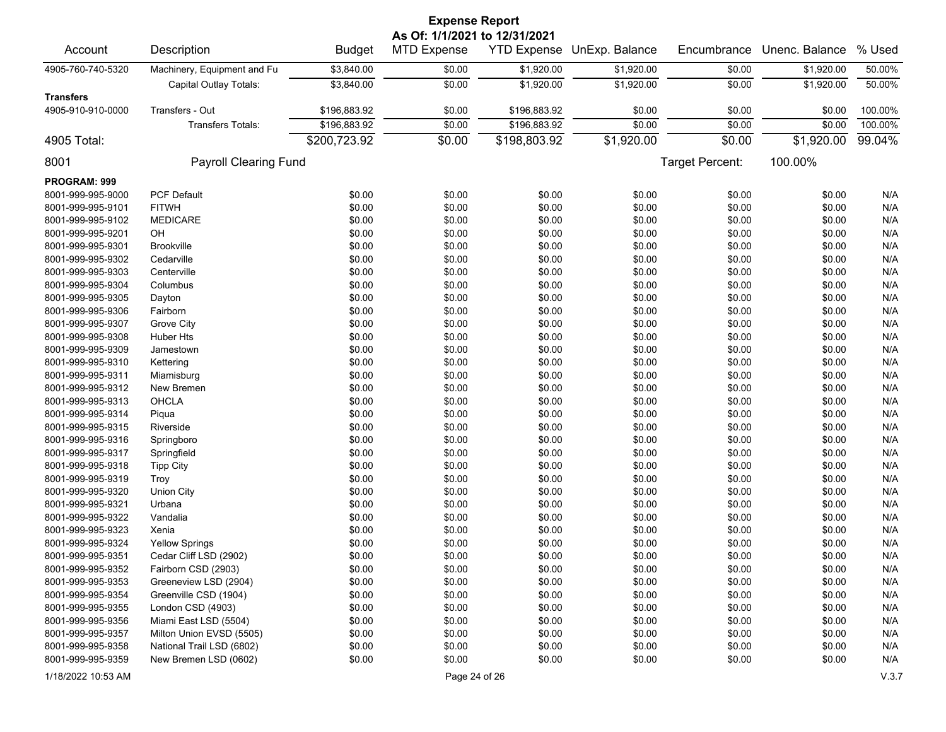| <b>Expense Report</b>                 |                              |               |                                                     |              |                            |                 |                |         |  |
|---------------------------------------|------------------------------|---------------|-----------------------------------------------------|--------------|----------------------------|-----------------|----------------|---------|--|
| Account                               | Description                  | <b>Budget</b> | As Of: 1/1/2021 to 12/31/2021<br><b>MTD Expense</b> |              | YTD Expense UnExp. Balance | Encumbrance     | Unenc. Balance | % Used  |  |
| 4905-760-740-5320                     | Machinery, Equipment and Fu  | \$3,840.00    | \$0.00                                              | \$1,920.00   | \$1,920.00                 | \$0.00          | \$1,920.00     | 50.00%  |  |
|                                       | Capital Outlay Totals:       | \$3,840.00    | \$0.00                                              | \$1,920.00   | \$1,920.00                 | \$0.00          | \$1,920.00     | 50.00%  |  |
| <b>Transfers</b><br>4905-910-910-0000 | Transfers - Out              | \$196,883.92  | \$0.00                                              | \$196,883.92 | \$0.00                     | \$0.00          | \$0.00         | 100.00% |  |
|                                       | Transfers Totals:            | \$196,883.92  | \$0.00                                              | \$196,883.92 | \$0.00                     | \$0.00          | \$0.00         | 100.00% |  |
| 4905 Total:                           |                              | \$200,723.92  | \$0.00                                              | \$198,803.92 | \$1,920.00                 | \$0.00          | \$1,920.00     | 99.04%  |  |
| 8001                                  | <b>Payroll Clearing Fund</b> |               |                                                     |              |                            | Target Percent: | 100.00%        |         |  |
|                                       |                              |               |                                                     |              |                            |                 |                |         |  |
| PROGRAM: 999                          |                              |               |                                                     |              |                            |                 |                |         |  |
| 8001-999-995-9000                     | <b>PCF Default</b>           | \$0.00        | \$0.00                                              | \$0.00       | \$0.00                     | \$0.00          | \$0.00         | N/A     |  |
| 8001-999-995-9101                     | <b>FITWH</b>                 | \$0.00        | \$0.00                                              | \$0.00       | \$0.00                     | \$0.00          | \$0.00         | N/A     |  |
| 8001-999-995-9102                     | <b>MEDICARE</b>              | \$0.00        | \$0.00                                              | \$0.00       | \$0.00                     | \$0.00          | \$0.00         | N/A     |  |
| 8001-999-995-9201                     | OH                           | \$0.00        | \$0.00                                              | \$0.00       | \$0.00                     | \$0.00          | \$0.00         | N/A     |  |
| 8001-999-995-9301                     | <b>Brookville</b>            | \$0.00        | \$0.00                                              | \$0.00       | \$0.00                     | \$0.00          | \$0.00         | N/A     |  |
| 8001-999-995-9302                     | Cedarville                   | \$0.00        | \$0.00                                              | \$0.00       | \$0.00                     | \$0.00          | \$0.00         | N/A     |  |
| 8001-999-995-9303                     | Centerville                  | \$0.00        | \$0.00                                              | \$0.00       | \$0.00                     | \$0.00          | \$0.00         | N/A     |  |
| 8001-999-995-9304                     | Columbus                     | \$0.00        | \$0.00                                              | \$0.00       | \$0.00                     | \$0.00          | \$0.00         | N/A     |  |
| 8001-999-995-9305                     | Dayton                       | \$0.00        | \$0.00                                              | \$0.00       | \$0.00                     | \$0.00          | \$0.00         | N/A     |  |
| 8001-999-995-9306                     | Fairborn                     | \$0.00        | \$0.00                                              | \$0.00       | \$0.00                     | \$0.00          | \$0.00         | N/A     |  |
| 8001-999-995-9307                     | Grove City                   | \$0.00        | \$0.00                                              | \$0.00       | \$0.00                     | \$0.00          | \$0.00         | N/A     |  |
| 8001-999-995-9308                     | Huber Hts                    | \$0.00        | \$0.00                                              | \$0.00       | \$0.00                     | \$0.00          | \$0.00         | N/A     |  |
| 8001-999-995-9309                     | Jamestown                    | \$0.00        | \$0.00                                              | \$0.00       | \$0.00                     | \$0.00          | \$0.00         | N/A     |  |
| 8001-999-995-9310                     | Kettering                    | \$0.00        | \$0.00                                              | \$0.00       | \$0.00                     | \$0.00          | \$0.00         | N/A     |  |
| 8001-999-995-9311                     | Miamisburg                   | \$0.00        | \$0.00                                              | \$0.00       | \$0.00                     | \$0.00          | \$0.00         | N/A     |  |
| 8001-999-995-9312                     | New Bremen                   | \$0.00        | \$0.00                                              | \$0.00       | \$0.00                     | \$0.00          | \$0.00         | N/A     |  |
| 8001-999-995-9313                     | <b>OHCLA</b>                 | \$0.00        | \$0.00                                              | \$0.00       | \$0.00                     | \$0.00          | \$0.00         | N/A     |  |
| 8001-999-995-9314                     | Piqua                        | \$0.00        | \$0.00                                              | \$0.00       | \$0.00                     | \$0.00          | \$0.00         | N/A     |  |
| 8001-999-995-9315                     | Riverside                    | \$0.00        | \$0.00                                              | \$0.00       | \$0.00                     | \$0.00          | \$0.00         | N/A     |  |
| 8001-999-995-9316                     | Springboro                   | \$0.00        | \$0.00                                              | \$0.00       | \$0.00                     | \$0.00          | \$0.00         | N/A     |  |
| 8001-999-995-9317                     | Springfield                  | \$0.00        | \$0.00                                              | \$0.00       | \$0.00                     | \$0.00          | \$0.00         | N/A     |  |
| 8001-999-995-9318                     | <b>Tipp City</b>             | \$0.00        | \$0.00                                              | \$0.00       | \$0.00                     | \$0.00          | \$0.00         | N/A     |  |
| 8001-999-995-9319                     | Troy                         | \$0.00        | \$0.00                                              | \$0.00       | \$0.00                     | \$0.00          | \$0.00         | N/A     |  |
| 8001-999-995-9320                     | <b>Union City</b>            | \$0.00        | \$0.00                                              | \$0.00       | \$0.00                     | \$0.00          | \$0.00         | N/A     |  |
| 8001-999-995-9321                     | Urbana                       | \$0.00        | \$0.00                                              | \$0.00       | \$0.00                     | \$0.00          | \$0.00         | N/A     |  |
| 8001-999-995-9322                     | Vandalia                     | \$0.00        | \$0.00                                              | \$0.00       | \$0.00                     | \$0.00          | \$0.00         | N/A     |  |
| 8001-999-995-9323                     | Xenia                        | \$0.00        | \$0.00                                              | \$0.00       | \$0.00                     | \$0.00          | \$0.00         | N/A     |  |
| 8001-999-995-9324                     | <b>Yellow Springs</b>        | \$0.00        | \$0.00                                              | \$0.00       | \$0.00                     | \$0.00          | \$0.00         | N/A     |  |
| 8001-999-995-9351                     | Cedar Cliff LSD (2902)       | \$0.00        | \$0.00                                              | \$0.00       | \$0.00                     | \$0.00          | \$0.00         | N/A     |  |
| 8001-999-995-9352                     | Fairborn CSD (2903)          | \$0.00        | \$0.00                                              | \$0.00       | \$0.00                     | \$0.00          | \$0.00         | N/A     |  |
| 8001-999-995-9353                     | Greeneview LSD (2904)        | \$0.00        | \$0.00                                              | \$0.00       | \$0.00                     | \$0.00          | \$0.00         | N/A     |  |
| 8001-999-995-9354                     | Greenville CSD (1904)        | \$0.00        | \$0.00                                              | \$0.00       | \$0.00                     | \$0.00          | \$0.00         | N/A     |  |
| 8001-999-995-9355                     | London CSD (4903)            | \$0.00        | \$0.00                                              | \$0.00       | \$0.00                     | \$0.00          | \$0.00         | N/A     |  |
| 8001-999-995-9356                     | Miami East LSD (5504)        | \$0.00        | \$0.00                                              | \$0.00       | \$0.00                     | \$0.00          | \$0.00         | N/A     |  |
| 8001-999-995-9357                     | Milton Union EVSD (5505)     | \$0.00        | \$0.00                                              | \$0.00       | \$0.00                     | \$0.00          | \$0.00         | N/A     |  |
| 8001-999-995-9358                     | National Trail LSD (6802)    | \$0.00        | \$0.00                                              | \$0.00       | \$0.00                     | \$0.00          | \$0.00         | N/A     |  |
| 8001-999-995-9359                     | New Bremen LSD (0602)        | \$0.00        | \$0.00                                              | \$0.00       | \$0.00                     | \$0.00          | \$0.00         | N/A     |  |
| 1/18/2022 10:53 AM                    |                              |               | Page 24 of 26                                       |              |                            |                 |                | V.3.7   |  |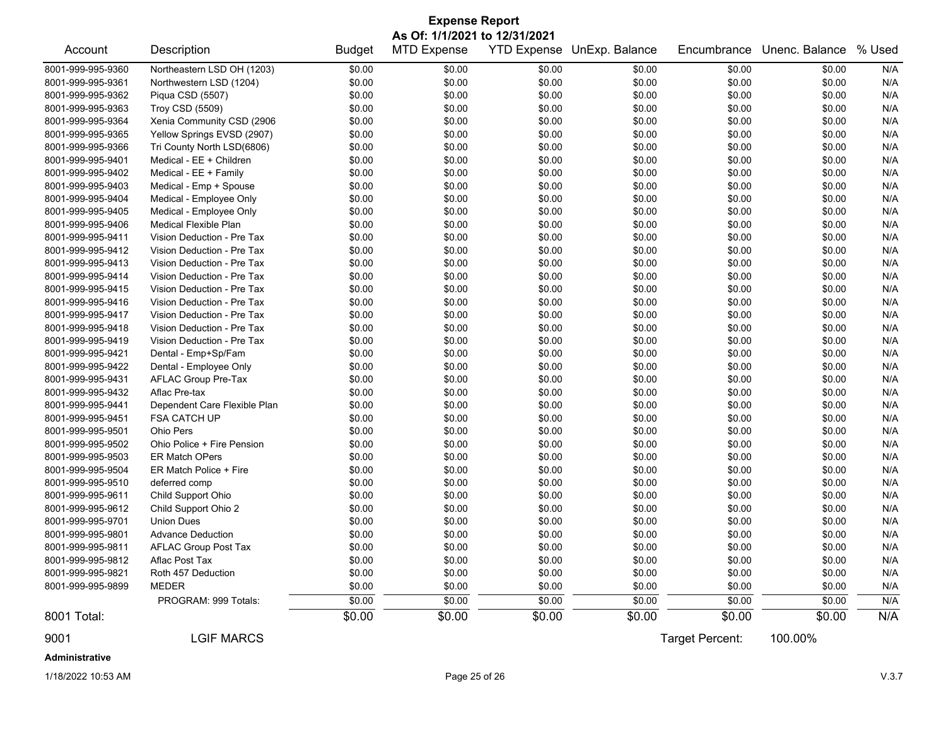| <b>Expense Report</b> |                              |               |                                                     |                    |                |                 |                |        |  |  |
|-----------------------|------------------------------|---------------|-----------------------------------------------------|--------------------|----------------|-----------------|----------------|--------|--|--|
| Account               | Description                  | <b>Budget</b> | As Of: 1/1/2021 to 12/31/2021<br><b>MTD Expense</b> | <b>YTD Expense</b> | UnExp. Balance | Encumbrance     | Unenc. Balance | % Used |  |  |
| 8001-999-995-9360     | Northeastern LSD OH (1203)   | \$0.00        | \$0.00                                              | \$0.00             | \$0.00         | \$0.00          | \$0.00         | N/A    |  |  |
| 8001-999-995-9361     | Northwestern LSD (1204)      | \$0.00        | \$0.00                                              | \$0.00             | \$0.00         | \$0.00          | \$0.00         | N/A    |  |  |
| 8001-999-995-9362     | Piqua CSD (5507)             | \$0.00        | \$0.00                                              | \$0.00             | \$0.00         | \$0.00          | \$0.00         | N/A    |  |  |
| 8001-999-995-9363     | Troy CSD (5509)              | \$0.00        | \$0.00                                              | \$0.00             | \$0.00         | \$0.00          | \$0.00         | N/A    |  |  |
| 8001-999-995-9364     | Xenia Community CSD (2906    | \$0.00        | \$0.00                                              | \$0.00             | \$0.00         | \$0.00          | \$0.00         | N/A    |  |  |
| 8001-999-995-9365     | Yellow Springs EVSD (2907)   | \$0.00        | \$0.00                                              | \$0.00             | \$0.00         | \$0.00          | \$0.00         | N/A    |  |  |
| 8001-999-995-9366     | Tri County North LSD(6806)   | \$0.00        | \$0.00                                              | \$0.00             | \$0.00         | \$0.00          | \$0.00         | N/A    |  |  |
| 8001-999-995-9401     | Medical - EE + Children      | \$0.00        | \$0.00                                              | \$0.00             | \$0.00         | \$0.00          | \$0.00         | N/A    |  |  |
| 8001-999-995-9402     | Medical - EE + Family        | \$0.00        | \$0.00                                              | \$0.00             | \$0.00         | \$0.00          | \$0.00         | N/A    |  |  |
| 8001-999-995-9403     | Medical - Emp + Spouse       | \$0.00        | \$0.00                                              | \$0.00             | \$0.00         | \$0.00          | \$0.00         | N/A    |  |  |
| 8001-999-995-9404     | Medical - Employee Only      | \$0.00        | \$0.00                                              | \$0.00             | \$0.00         | \$0.00          | \$0.00         | N/A    |  |  |
| 8001-999-995-9405     | Medical - Employee Only      | \$0.00        | \$0.00                                              | \$0.00             | \$0.00         | \$0.00          | \$0.00         | N/A    |  |  |
| 8001-999-995-9406     | Medical Flexible Plan        | \$0.00        | \$0.00                                              | \$0.00             | \$0.00         | \$0.00          | \$0.00         | N/A    |  |  |
| 8001-999-995-9411     | Vision Deduction - Pre Tax   | \$0.00        | \$0.00                                              | \$0.00             | \$0.00         | \$0.00          | \$0.00         | N/A    |  |  |
| 8001-999-995-9412     | Vision Deduction - Pre Tax   | \$0.00        | \$0.00                                              | \$0.00             | \$0.00         | \$0.00          | \$0.00         | N/A    |  |  |
| 8001-999-995-9413     | Vision Deduction - Pre Tax   | \$0.00        | \$0.00                                              | \$0.00             | \$0.00         | \$0.00          | \$0.00         | N/A    |  |  |
| 8001-999-995-9414     | Vision Deduction - Pre Tax   | \$0.00        | \$0.00                                              | \$0.00             | \$0.00         | \$0.00          | \$0.00         | N/A    |  |  |
| 8001-999-995-9415     | Vision Deduction - Pre Tax   | \$0.00        | \$0.00                                              | \$0.00             | \$0.00         | \$0.00          | \$0.00         | N/A    |  |  |
| 8001-999-995-9416     | Vision Deduction - Pre Tax   | \$0.00        | \$0.00                                              | \$0.00             | \$0.00         | \$0.00          | \$0.00         | N/A    |  |  |
| 8001-999-995-9417     | Vision Deduction - Pre Tax   | \$0.00        | \$0.00                                              | \$0.00             | \$0.00         | \$0.00          | \$0.00         | N/A    |  |  |
| 8001-999-995-9418     | Vision Deduction - Pre Tax   | \$0.00        | \$0.00                                              | \$0.00             | \$0.00         | \$0.00          | \$0.00         | N/A    |  |  |
| 8001-999-995-9419     | Vision Deduction - Pre Tax   | \$0.00        | \$0.00                                              | \$0.00             | \$0.00         | \$0.00          | \$0.00         | N/A    |  |  |
| 8001-999-995-9421     | Dental - Emp+Sp/Fam          | \$0.00        | \$0.00                                              | \$0.00             | \$0.00         | \$0.00          | \$0.00         | N/A    |  |  |
| 8001-999-995-9422     | Dental - Employee Only       | \$0.00        | \$0.00                                              | \$0.00             | \$0.00         | \$0.00          | \$0.00         | N/A    |  |  |
| 8001-999-995-9431     | AFLAC Group Pre-Tax          | \$0.00        | \$0.00                                              | \$0.00             | \$0.00         | \$0.00          | \$0.00         | N/A    |  |  |
| 8001-999-995-9432     | Aflac Pre-tax                | \$0.00        | \$0.00                                              | \$0.00             | \$0.00         | \$0.00          | \$0.00         | N/A    |  |  |
| 8001-999-995-9441     | Dependent Care Flexible Plan | \$0.00        | \$0.00                                              | \$0.00             | \$0.00         | \$0.00          | \$0.00         | N/A    |  |  |
| 8001-999-995-9451     | <b>FSA CATCH UP</b>          | \$0.00        | \$0.00                                              | \$0.00             | \$0.00         | \$0.00          | \$0.00         | N/A    |  |  |
| 8001-999-995-9501     | <b>Ohio Pers</b>             | \$0.00        | \$0.00                                              | \$0.00             | \$0.00         | \$0.00          | \$0.00         | N/A    |  |  |
| 8001-999-995-9502     | Ohio Police + Fire Pension   | \$0.00        | \$0.00                                              | \$0.00             | \$0.00         | \$0.00          | \$0.00         | N/A    |  |  |
| 8001-999-995-9503     | <b>ER Match OPers</b>        | \$0.00        | \$0.00                                              | \$0.00             | \$0.00         | \$0.00          | \$0.00         | N/A    |  |  |
| 8001-999-995-9504     | ER Match Police + Fire       | \$0.00        | \$0.00                                              | \$0.00             | \$0.00         | \$0.00          | \$0.00         | N/A    |  |  |
| 8001-999-995-9510     | deferred comp                | \$0.00        | \$0.00                                              | \$0.00             | \$0.00         | \$0.00          | \$0.00         | N/A    |  |  |
| 8001-999-995-9611     | Child Support Ohio           | \$0.00        | \$0.00                                              | \$0.00             | \$0.00         | \$0.00          | \$0.00         | N/A    |  |  |
| 8001-999-995-9612     | Child Support Ohio 2         | \$0.00        | \$0.00                                              | \$0.00             | \$0.00         | \$0.00          | \$0.00         | N/A    |  |  |
| 8001-999-995-9701     | <b>Union Dues</b>            | \$0.00        | \$0.00                                              | \$0.00             | \$0.00         | \$0.00          | \$0.00         | N/A    |  |  |
| 8001-999-995-9801     | <b>Advance Deduction</b>     | \$0.00        | \$0.00                                              | \$0.00             | \$0.00         | \$0.00          | \$0.00         | N/A    |  |  |
| 8001-999-995-9811     | AFLAC Group Post Tax         | \$0.00        | \$0.00                                              | \$0.00             | \$0.00         | \$0.00          | \$0.00         | N/A    |  |  |
| 8001-999-995-9812     | Aflac Post Tax               | \$0.00        | \$0.00                                              | \$0.00             | \$0.00         | \$0.00          | \$0.00         | N/A    |  |  |
| 8001-999-995-9821     | Roth 457 Deduction           | \$0.00        | \$0.00                                              | \$0.00             | \$0.00         | \$0.00          | \$0.00         | N/A    |  |  |
| 8001-999-995-9899     | MEDER                        | \$0.00        | \$0.00                                              | \$0.00             | \$0.00         | \$0.00          | \$0.00         | N/A    |  |  |
|                       | PROGRAM: 999 Totals:         | \$0.00        | \$0.00                                              | \$0.00             | \$0.00         | \$0.00          | \$0.00         | N/A    |  |  |
| 8001 Total:           |                              | \$0.00        | \$0.00                                              | \$0.00             | \$0.00         | \$0.00          | \$0.00         | N/A    |  |  |
| 9001                  | <b>LGIF MARCS</b>            |               |                                                     |                    |                | Target Percent: | 100.00%        |        |  |  |
| Administrative        |                              |               |                                                     |                    |                |                 |                |        |  |  |

1/18/2022 10:53 AM Page 25 of 26 V.3.7